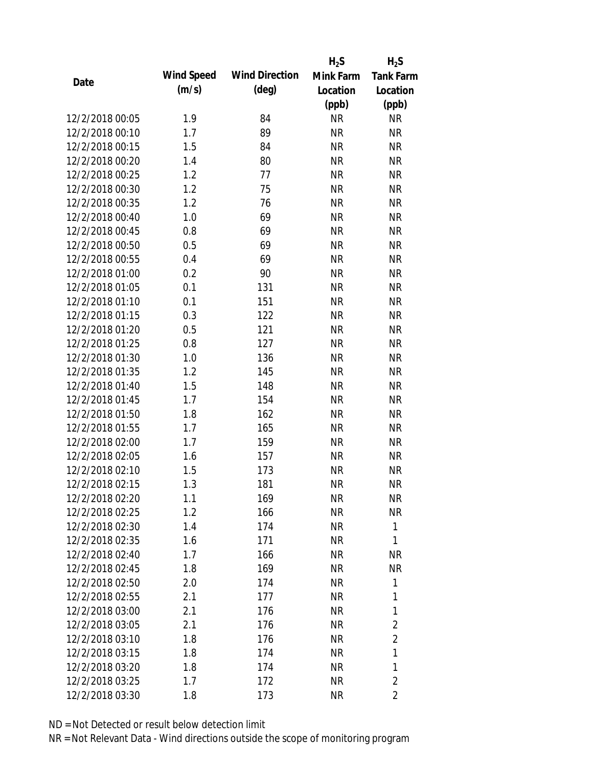|                 |            |                       | $H_2S$    | $H_2S$           |
|-----------------|------------|-----------------------|-----------|------------------|
| Date            | Wind Speed | <b>Wind Direction</b> | Mink Farm | <b>Tank Farm</b> |
|                 | (m/s)      | $(\text{deg})$        | Location  | Location         |
|                 |            |                       | (ppb)     | (ppb)            |
| 12/2/2018 00:05 | 1.9        | 84                    | <b>NR</b> | <b>NR</b>        |
| 12/2/2018 00:10 | 1.7        | 89                    | <b>NR</b> | <b>NR</b>        |
| 12/2/2018 00:15 | 1.5        | 84                    | <b>NR</b> | <b>NR</b>        |
| 12/2/2018 00:20 | 1.4        | 80                    | <b>NR</b> | <b>NR</b>        |
| 12/2/2018 00:25 | 1.2        | 77                    | <b>NR</b> | <b>NR</b>        |
| 12/2/2018 00:30 | 1.2        | 75                    | <b>NR</b> | <b>NR</b>        |
| 12/2/2018 00:35 | 1.2        | 76                    | <b>NR</b> | <b>NR</b>        |
| 12/2/2018 00:40 | 1.0        | 69                    | <b>NR</b> | <b>NR</b>        |
| 12/2/2018 00:45 | 0.8        | 69                    | <b>NR</b> | <b>NR</b>        |
| 12/2/2018 00:50 | 0.5        | 69                    | <b>NR</b> | <b>NR</b>        |
| 12/2/2018 00:55 | 0.4        | 69                    | <b>NR</b> | <b>NR</b>        |
| 12/2/2018 01:00 | 0.2        | 90                    | <b>NR</b> | <b>NR</b>        |
| 12/2/2018 01:05 | 0.1        | 131                   | <b>NR</b> | <b>NR</b>        |
| 12/2/2018 01:10 | 0.1        | 151                   | <b>NR</b> | <b>NR</b>        |
| 12/2/2018 01:15 | 0.3        | 122                   | <b>NR</b> | <b>NR</b>        |
| 12/2/2018 01:20 | 0.5        | 121                   | <b>NR</b> | <b>NR</b>        |
| 12/2/2018 01:25 | 0.8        | 127                   | <b>NR</b> | <b>NR</b>        |
| 12/2/2018 01:30 | 1.0        | 136                   | <b>NR</b> | <b>NR</b>        |
| 12/2/2018 01:35 | 1.2        | 145                   | <b>NR</b> | <b>NR</b>        |
| 12/2/2018 01:40 | 1.5        | 148                   | <b>NR</b> | <b>NR</b>        |
| 12/2/2018 01:45 | 1.7        | 154                   | <b>NR</b> | <b>NR</b>        |
| 12/2/2018 01:50 | 1.8        | 162                   | <b>NR</b> | <b>NR</b>        |
| 12/2/2018 01:55 | 1.7        | 165                   | <b>NR</b> | <b>NR</b>        |
| 12/2/2018 02:00 | 1.7        | 159                   | <b>NR</b> | <b>NR</b>        |
| 12/2/2018 02:05 | 1.6        | 157                   | <b>NR</b> | <b>NR</b>        |
| 12/2/2018 02:10 | 1.5        | 173                   | <b>NR</b> | <b>NR</b>        |
| 12/2/2018 02:15 | 1.3        | 181                   | <b>NR</b> | <b>NR</b>        |
| 12/2/2018 02:20 | 1.1        | 169                   | <b>NR</b> | <b>NR</b>        |
| 12/2/2018 02:25 | 1.2        | 166                   | <b>NR</b> | <b>NR</b>        |
| 12/2/2018 02:30 | 1.4        | 174                   | <b>NR</b> | 1                |
| 12/2/2018 02:35 | 1.6        | 171                   | <b>NR</b> | 1                |
| 12/2/2018 02:40 | 1.7        | 166                   | <b>NR</b> | <b>NR</b>        |
| 12/2/2018 02:45 | 1.8        | 169                   | <b>NR</b> | NR               |
| 12/2/2018 02:50 | 2.0        | 174                   | <b>NR</b> | 1                |
| 12/2/2018 02:55 | 2.1        | 177                   | <b>NR</b> | 1                |
| 12/2/2018 03:00 | 2.1        | 176                   | <b>NR</b> | 1                |
| 12/2/2018 03:05 | 2.1        | 176                   | NR        | $\overline{2}$   |
| 12/2/2018 03:10 | 1.8        | 176                   | NR        | $\overline{2}$   |
| 12/2/2018 03:15 | 1.8        | 174                   | NR        | 1                |
| 12/2/2018 03:20 | 1.8        | 174                   | <b>NR</b> | 1                |
| 12/2/2018 03:25 | 1.7        | 172                   | <b>NR</b> | $\overline{2}$   |
| 12/2/2018 03:30 | 1.8        | 173                   | <b>NR</b> | $\overline{2}$   |
|                 |            |                       |           |                  |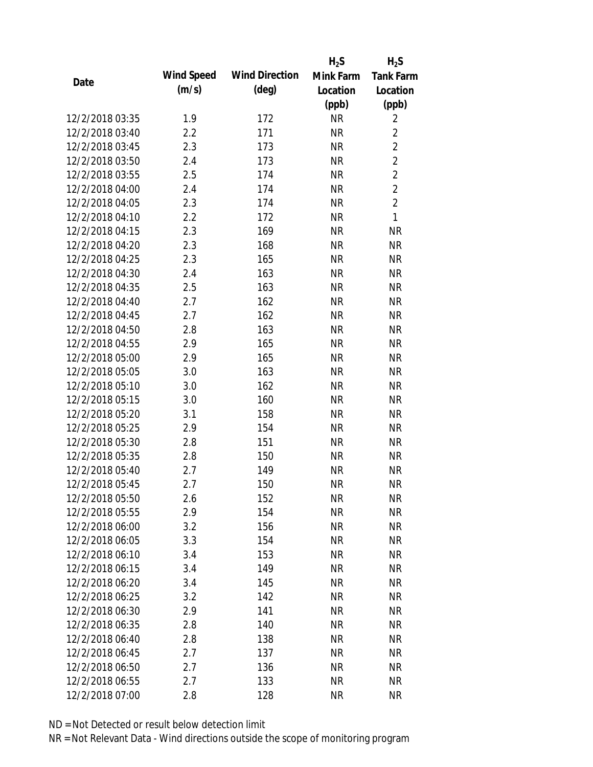|                 |            |                       | $H_2S$    | $H_2S$           |
|-----------------|------------|-----------------------|-----------|------------------|
|                 | Wind Speed | <b>Wind Direction</b> | Mink Farm | <b>Tank Farm</b> |
| Date            | (m/s)      | $(\text{deg})$        | Location  | Location         |
|                 |            |                       | (ppb)     | (ppb)            |
| 12/2/2018 03:35 | 1.9        | 172                   | <b>NR</b> | $\overline{2}$   |
| 12/2/2018 03:40 | 2.2        | 171                   | <b>NR</b> | $\overline{2}$   |
| 12/2/2018 03:45 | 2.3        | 173                   | <b>NR</b> | $\overline{2}$   |
| 12/2/2018 03:50 | 2.4        | 173                   | <b>NR</b> | $\overline{2}$   |
| 12/2/2018 03:55 | 2.5        | 174                   | <b>NR</b> | $\overline{2}$   |
| 12/2/2018 04:00 | 2.4        | 174                   | <b>NR</b> | $\overline{2}$   |
| 12/2/2018 04:05 | 2.3        | 174                   | <b>NR</b> | $\overline{2}$   |
| 12/2/2018 04:10 | 2.2        | 172                   | <b>NR</b> | 1                |
| 12/2/2018 04:15 | 2.3        | 169                   | <b>NR</b> | <b>NR</b>        |
| 12/2/2018 04:20 | 2.3        | 168                   | <b>NR</b> | <b>NR</b>        |
| 12/2/2018 04:25 | 2.3        | 165                   | <b>NR</b> | <b>NR</b>        |
| 12/2/2018 04:30 | 2.4        | 163                   | <b>NR</b> | <b>NR</b>        |
| 12/2/2018 04:35 | 2.5        | 163                   | <b>NR</b> | <b>NR</b>        |
| 12/2/2018 04:40 | 2.7        | 162                   | <b>NR</b> | <b>NR</b>        |
| 12/2/2018 04:45 | 2.7        | 162                   | <b>NR</b> | <b>NR</b>        |
| 12/2/2018 04:50 | 2.8        | 163                   | <b>NR</b> | <b>NR</b>        |
| 12/2/2018 04:55 | 2.9        | 165                   | <b>NR</b> | <b>NR</b>        |
| 12/2/2018 05:00 | 2.9        | 165                   | <b>NR</b> | <b>NR</b>        |
| 12/2/2018 05:05 | 3.0        | 163                   | <b>NR</b> | <b>NR</b>        |
| 12/2/2018 05:10 | 3.0        | 162                   | <b>NR</b> | <b>NR</b>        |
| 12/2/2018 05:15 | 3.0        | 160                   | <b>NR</b> | <b>NR</b>        |
| 12/2/2018 05:20 | 3.1        | 158                   | <b>NR</b> | <b>NR</b>        |
| 12/2/2018 05:25 | 2.9        | 154                   | <b>NR</b> | <b>NR</b>        |
| 12/2/2018 05:30 | 2.8        | 151                   | <b>NR</b> | <b>NR</b>        |
| 12/2/2018 05:35 | 2.8        | 150                   | <b>NR</b> | <b>NR</b>        |
| 12/2/2018 05:40 | 2.7        | 149                   | <b>NR</b> | <b>NR</b>        |
| 12/2/2018 05:45 | 2.7        | 150                   | <b>NR</b> | <b>NR</b>        |
| 12/2/2018 05:50 | 2.6        | 152                   | <b>NR</b> | <b>NR</b>        |
| 12/2/2018 05:55 | 2.9        | 154                   | <b>NR</b> | <b>NR</b>        |
| 12/2/2018 06:00 | 3.2        | 156                   | <b>NR</b> | <b>NR</b>        |
| 12/2/2018 06:05 | 3.3        | 154                   | <b>NR</b> | <b>NR</b>        |
| 12/2/2018 06:10 | 3.4        | 153                   | <b>NR</b> | NR               |
| 12/2/2018 06:15 | 3.4        | 149                   | <b>NR</b> | NR               |
| 12/2/2018 06:20 | 3.4        | 145                   | <b>NR</b> | <b>NR</b>        |
| 12/2/2018 06:25 | 3.2        | 142                   | <b>NR</b> | <b>NR</b>        |
| 12/2/2018 06:30 | 2.9        | 141                   | <b>NR</b> | <b>NR</b>        |
| 12/2/2018 06:35 | 2.8        | 140                   | <b>NR</b> | <b>NR</b>        |
| 12/2/2018 06:40 | 2.8        | 138                   | <b>NR</b> | <b>NR</b>        |
| 12/2/2018 06:45 | 2.7        | 137                   | <b>NR</b> | NR               |
| 12/2/2018 06:50 | 2.7        | 136                   | <b>NR</b> | NR               |
| 12/2/2018 06:55 | 2.7        | 133                   | <b>NR</b> | <b>NR</b>        |
| 12/2/2018 07:00 | 2.8        | 128                   | <b>NR</b> | <b>NR</b>        |
|                 |            |                       |           |                  |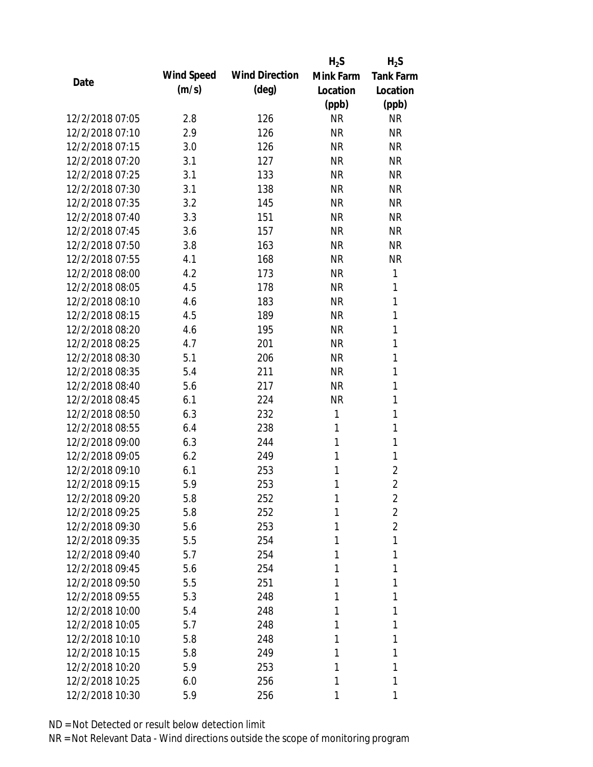|                 |            |                       | $H_2S$    | $H_2S$           |
|-----------------|------------|-----------------------|-----------|------------------|
| Date            | Wind Speed | <b>Wind Direction</b> | Mink Farm | <b>Tank Farm</b> |
|                 | (m/s)      | $(\text{deg})$        | Location  | Location         |
|                 |            |                       | (ppb)     | (ppb)            |
| 12/2/2018 07:05 | 2.8        | 126                   | <b>NR</b> | <b>NR</b>        |
| 12/2/2018 07:10 | 2.9        | 126                   | <b>NR</b> | <b>NR</b>        |
| 12/2/2018 07:15 | 3.0        | 126                   | <b>NR</b> | <b>NR</b>        |
| 12/2/2018 07:20 | 3.1        | 127                   | <b>NR</b> | <b>NR</b>        |
| 12/2/2018 07:25 | 3.1        | 133                   | <b>NR</b> | <b>NR</b>        |
| 12/2/2018 07:30 | 3.1        | 138                   | <b>NR</b> | <b>NR</b>        |
| 12/2/2018 07:35 | 3.2        | 145                   | <b>NR</b> | <b>NR</b>        |
| 12/2/2018 07:40 | 3.3        | 151                   | <b>NR</b> | <b>NR</b>        |
| 12/2/2018 07:45 | 3.6        | 157                   | <b>NR</b> | <b>NR</b>        |
| 12/2/2018 07:50 | 3.8        | 163                   | <b>NR</b> | <b>NR</b>        |
| 12/2/2018 07:55 | 4.1        | 168                   | <b>NR</b> | <b>NR</b>        |
| 12/2/2018 08:00 | 4.2        | 173                   | <b>NR</b> | 1                |
| 12/2/2018 08:05 | 4.5        | 178                   | <b>NR</b> | 1                |
| 12/2/2018 08:10 | 4.6        | 183                   | <b>NR</b> | 1                |
| 12/2/2018 08:15 | 4.5        | 189                   | <b>NR</b> | 1                |
| 12/2/2018 08:20 | 4.6        | 195                   | <b>NR</b> | 1                |
| 12/2/2018 08:25 | 4.7        | 201                   | <b>NR</b> | 1                |
| 12/2/2018 08:30 | 5.1        | 206                   | <b>NR</b> | 1                |
| 12/2/2018 08:35 | 5.4        | 211                   | <b>NR</b> | 1                |
| 12/2/2018 08:40 | 5.6        | 217                   | <b>NR</b> | 1                |
| 12/2/2018 08:45 | 6.1        | 224                   | <b>NR</b> | 1                |
| 12/2/2018 08:50 | 6.3        | 232                   | 1         | 1                |
| 12/2/2018 08:55 | 6.4        | 238                   | 1         | 1                |
| 12/2/2018 09:00 | 6.3        | 244                   | 1         | $\mathbf{1}$     |
| 12/2/2018 09:05 | 6.2        | 249                   | 1         | 1                |
| 12/2/2018 09:10 | 6.1        | 253                   | 1         | $\overline{2}$   |
| 12/2/2018 09:15 | 5.9        | 253                   | 1         | $\overline{2}$   |
| 12/2/2018 09:20 | 5.8        | 252                   | 1         | 2                |
| 12/2/2018 09:25 | 5.8        | 252                   | 1         | $\overline{2}$   |
| 12/2/2018 09:30 | 5.6        | 253                   | 1         | $\overline{2}$   |
| 12/2/2018 09:35 | 5.5        | 254                   | 1         | 1                |
| 12/2/2018 09:40 | 5.7        | 254                   | 1         | 1                |
| 12/2/2018 09:45 | 5.6        | 254                   | 1         | 1                |
| 12/2/2018 09:50 | 5.5        | 251                   | 1         | 1                |
| 12/2/2018 09:55 | 5.3        | 248                   | 1         | 1                |
| 12/2/2018 10:00 | 5.4        | 248                   | 1         | 1                |
| 12/2/2018 10:05 | 5.7        | 248                   | 1         | 1                |
| 12/2/2018 10:10 | 5.8        | 248                   | 1         | 1                |
| 12/2/2018 10:15 | 5.8        | 249                   | 1         | 1                |
| 12/2/2018 10:20 | 5.9        | 253                   | 1         | 1                |
| 12/2/2018 10:25 | 6.0        | 256                   | 1         | 1                |
| 12/2/2018 10:30 | 5.9        | 256                   | 1         | 1                |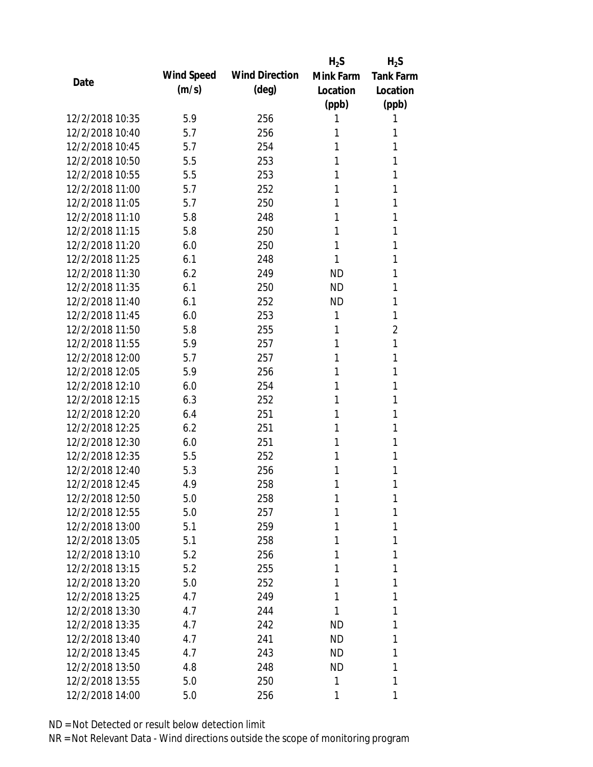|                 |            |                       | $H_2S$    | $H_2S$           |
|-----------------|------------|-----------------------|-----------|------------------|
|                 | Wind Speed | <b>Wind Direction</b> | Mink Farm | <b>Tank Farm</b> |
| Date            | (m/s)      | $(\text{deg})$        | Location  | Location         |
|                 |            |                       | (ppb)     | (ppb)            |
| 12/2/2018 10:35 | 5.9        | 256                   | 1         | 1                |
| 12/2/2018 10:40 | 5.7        | 256                   | 1         | 1                |
| 12/2/2018 10:45 | 5.7        | 254                   | 1         | 1                |
| 12/2/2018 10:50 | 5.5        | 253                   | 1         | 1                |
| 12/2/2018 10:55 | 5.5        | 253                   | 1         | 1                |
| 12/2/2018 11:00 | 5.7        | 252                   | 1         | 1                |
| 12/2/2018 11:05 | 5.7        | 250                   | 1         | 1                |
| 12/2/2018 11:10 | 5.8        | 248                   | 1         | 1                |
| 12/2/2018 11:15 | 5.8        | 250                   | 1         | 1                |
| 12/2/2018 11:20 | 6.0        | 250                   | 1         | 1                |
| 12/2/2018 11:25 | 6.1        | 248                   | 1         | 1                |
| 12/2/2018 11:30 | 6.2        | 249                   | <b>ND</b> | 1                |
| 12/2/2018 11:35 | 6.1        | 250                   | <b>ND</b> | 1                |
| 12/2/2018 11:40 | 6.1        | 252                   | <b>ND</b> | 1                |
| 12/2/2018 11:45 | 6.0        | 253                   | 1         | 1                |
| 12/2/2018 11:50 | 5.8        | 255                   | 1         | 2                |
| 12/2/2018 11:55 | 5.9        | 257                   | 1         | 1                |
| 12/2/2018 12:00 | 5.7        | 257                   | 1         | 1                |
| 12/2/2018 12:05 | 5.9        | 256                   | 1         | 1                |
| 12/2/2018 12:10 | 6.0        | 254                   | 1         | 1                |
| 12/2/2018 12:15 | 6.3        | 252                   | 1         | 1                |
| 12/2/2018 12:20 | 6.4        | 251                   | 1         | 1                |
| 12/2/2018 12:25 | 6.2        | 251                   | 1         | 1                |
| 12/2/2018 12:30 | 6.0        | 251                   | 1         | 1                |
| 12/2/2018 12:35 | 5.5        | 252                   | 1         | 1                |
| 12/2/2018 12:40 | 5.3        | 256                   | 1         | 1                |
| 12/2/2018 12:45 | 4.9        | 258                   | 1         | 1                |
| 12/2/2018 12:50 | 5.0        | 258                   | 1         | 1                |
| 12/2/2018 12:55 | 5.0        | 257                   | 1         | 1                |
| 12/2/2018 13:00 | 5.1        | 259                   | 1         | 1                |
| 12/2/2018 13:05 | 5.1        | 258                   | 1         | 1                |
| 12/2/2018 13:10 | 5.2        | 256                   | 1         | 1                |
| 12/2/2018 13:15 | 5.2        | 255                   | 1         | 1                |
| 12/2/2018 13:20 | 5.0        | 252                   | 1         | 1                |
| 12/2/2018 13:25 | 4.7        | 249                   | 1         | 1                |
| 12/2/2018 13:30 | 4.7        | 244                   | 1         | 1                |
| 12/2/2018 13:35 | 4.7        | 242                   | ND        | 1                |
| 12/2/2018 13:40 | 4.7        | 241                   | ND.       | 1                |
| 12/2/2018 13:45 | 4.7        | 243                   | <b>ND</b> | 1                |
| 12/2/2018 13:50 | 4.8        | 248                   | ND        | 1                |
| 12/2/2018 13:55 | 5.0        | 250                   | 1         | 1                |
| 12/2/2018 14:00 | 5.0        | 256                   | 1         | 1                |
|                 |            |                       |           |                  |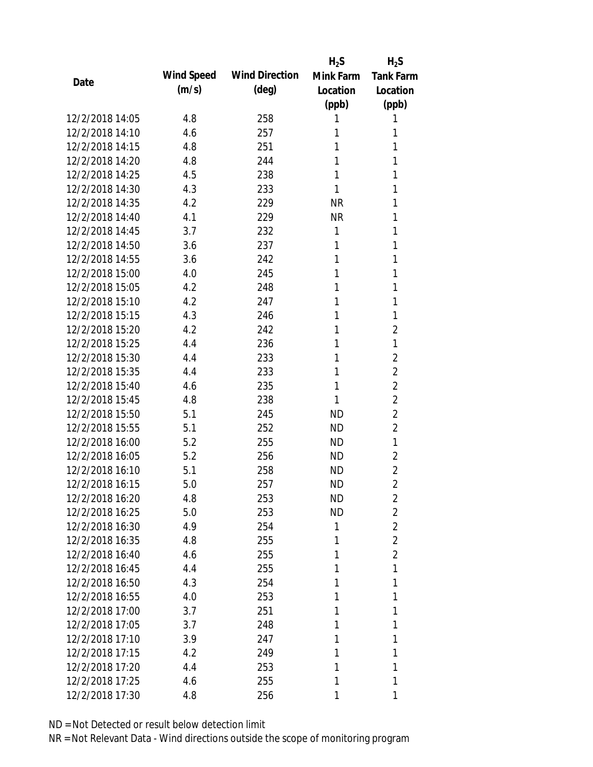|                 |            |                       | $H_2S$    | $H_2S$           |
|-----------------|------------|-----------------------|-----------|------------------|
| Date            | Wind Speed | <b>Wind Direction</b> | Mink Farm | <b>Tank Farm</b> |
|                 | (m/s)      | $(\text{deg})$        | Location  | Location         |
|                 |            |                       | (ppb)     | (ppb)            |
| 12/2/2018 14:05 | 4.8        | 258                   | 1         | 1                |
| 12/2/2018 14:10 | 4.6        | 257                   | 1         | 1                |
| 12/2/2018 14:15 | 4.8        | 251                   | 1         | 1                |
| 12/2/2018 14:20 | 4.8        | 244                   | 1         | 1                |
| 12/2/2018 14:25 | 4.5        | 238                   | 1         | 1                |
| 12/2/2018 14:30 | 4.3        | 233                   | 1         | 1                |
| 12/2/2018 14:35 | 4.2        | 229                   | <b>NR</b> | 1                |
| 12/2/2018 14:40 | 4.1        | 229                   | <b>NR</b> | 1                |
| 12/2/2018 14:45 | 3.7        | 232                   | 1         | 1                |
| 12/2/2018 14:50 | 3.6        | 237                   | 1         | 1                |
| 12/2/2018 14:55 | 3.6        | 242                   | 1         | 1                |
| 12/2/2018 15:00 | 4.0        | 245                   | 1         | 1                |
| 12/2/2018 15:05 | 4.2        | 248                   | 1         | 1                |
| 12/2/2018 15:10 | 4.2        | 247                   | 1         | 1                |
| 12/2/2018 15:15 | 4.3        | 246                   | 1         | 1                |
| 12/2/2018 15:20 | 4.2        | 242                   | 1         | 2                |
| 12/2/2018 15:25 | 4.4        | 236                   | 1         | 1                |
| 12/2/2018 15:30 | 4.4        | 233                   | 1         | 2                |
| 12/2/2018 15:35 | 4.4        | 233                   | 1         | $\overline{2}$   |
| 12/2/2018 15:40 | 4.6        | 235                   | 1         | $\overline{2}$   |
| 12/2/2018 15:45 | 4.8        | 238                   | 1         | $\overline{2}$   |
| 12/2/2018 15:50 | 5.1        | 245                   | <b>ND</b> | $\overline{2}$   |
| 12/2/2018 15:55 | 5.1        | 252                   | <b>ND</b> | $\overline{2}$   |
| 12/2/2018 16:00 | 5.2        | 255                   | <b>ND</b> | 1                |
| 12/2/2018 16:05 | 5.2        | 256                   | ND        | 2                |
| 12/2/2018 16:10 | 5.1        | 258                   | <b>ND</b> | $\overline{2}$   |
| 12/2/2018 16:15 | 5.0        | 257                   | <b>ND</b> | $\overline{2}$   |
| 12/2/2018 16:20 | 4.8        | 253                   | ND        | 2                |
| 12/2/2018 16:25 | 5.0        | 253                   | <b>ND</b> | $\overline{2}$   |
| 12/2/2018 16:30 | 4.9        | 254                   | 1         | $\overline{2}$   |
| 12/2/2018 16:35 | 4.8        | 255                   | 1         | 2                |
| 12/2/2018 16:40 | 4.6        | 255                   | 1         | $\overline{2}$   |
| 12/2/2018 16:45 | 4.4        | 255                   | 1         | 1                |
| 12/2/2018 16:50 | 4.3        | 254                   | 1         | 1                |
| 12/2/2018 16:55 | 4.0        | 253                   | 1         | 1                |
| 12/2/2018 17:00 | 3.7        | 251                   | 1         | 1                |
| 12/2/2018 17:05 | 3.7        | 248                   | 1         | 1                |
| 12/2/2018 17:10 | 3.9        | 247                   | 1         | 1                |
| 12/2/2018 17:15 | 4.2        | 249                   | 1         | 1                |
| 12/2/2018 17:20 | 4.4        | 253                   | 1         | 1                |
| 12/2/2018 17:25 | 4.6        | 255                   | 1         | 1                |
| 12/2/2018 17:30 |            | 256                   |           | 1                |
|                 | 4.8        |                       | 1         |                  |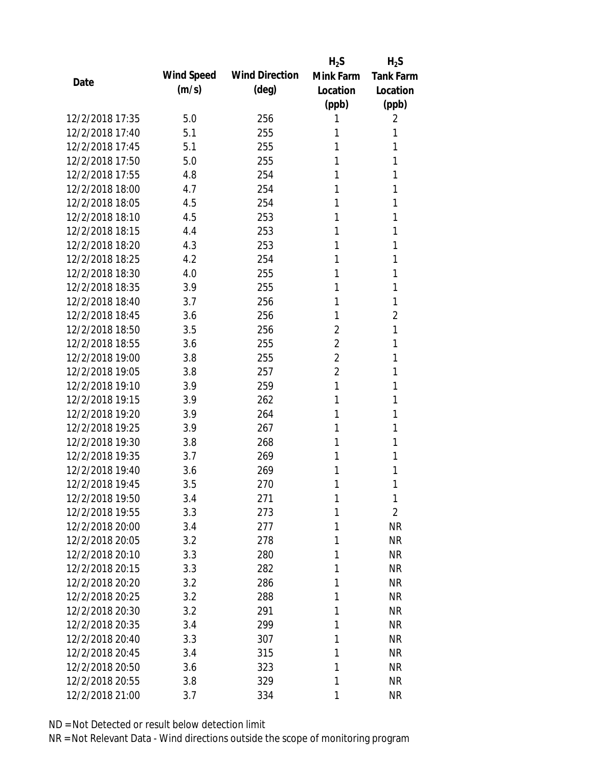|                 |            |                       | $H_2S$         | $H_2S$           |
|-----------------|------------|-----------------------|----------------|------------------|
| Date            | Wind Speed | <b>Wind Direction</b> | Mink Farm      | <b>Tank Farm</b> |
|                 | (m/s)      | $(\text{deg})$        | Location       | Location         |
|                 |            |                       | (ppb)          | (ppb)            |
| 12/2/2018 17:35 | 5.0        | 256                   | 1              | 2                |
| 12/2/2018 17:40 | 5.1        | 255                   | 1              | 1                |
| 12/2/2018 17:45 | 5.1        | 255                   | 1              | 1                |
| 12/2/2018 17:50 | 5.0        | 255                   | 1              | 1                |
| 12/2/2018 17:55 | 4.8        | 254                   | 1              | 1                |
| 12/2/2018 18:00 | 4.7        | 254                   | 1              | 1                |
| 12/2/2018 18:05 | 4.5        | 254                   | 1              | 1                |
| 12/2/2018 18:10 | 4.5        | 253                   | 1              | 1                |
| 12/2/2018 18:15 | 4.4        | 253                   | 1              | 1                |
| 12/2/2018 18:20 | 4.3        | 253                   | 1              | 1                |
| 12/2/2018 18:25 | 4.2        | 254                   | 1              | 1                |
| 12/2/2018 18:30 | 4.0        | 255                   | 1              | 1                |
| 12/2/2018 18:35 | 3.9        | 255                   | 1              | 1                |
| 12/2/2018 18:40 | 3.7        | 256                   | 1              | 1                |
| 12/2/2018 18:45 | 3.6        | 256                   | 1              | 2                |
| 12/2/2018 18:50 | 3.5        | 256                   | 2              | 1                |
| 12/2/2018 18:55 | 3.6        | 255                   | $\overline{2}$ | 1                |
| 12/2/2018 19:00 | 3.8        | 255                   | $\overline{2}$ | 1                |
| 12/2/2018 19:05 | 3.8        | 257                   | $\overline{2}$ | 1                |
| 12/2/2018 19:10 | 3.9        | 259                   | 1              | 1                |
| 12/2/2018 19:15 | 3.9        | 262                   | 1              | 1                |
| 12/2/2018 19:20 | 3.9        | 264                   | 1              | 1                |
| 12/2/2018 19:25 | 3.9        | 267                   | 1              | 1                |
| 12/2/2018 19:30 | 3.8        | 268                   | 1              | 1                |
| 12/2/2018 19:35 | 3.7        | 269                   | 1              | 1                |
| 12/2/2018 19:40 | 3.6        | 269                   | 1              | 1                |
| 12/2/2018 19:45 | 3.5        | 270                   | 1              | 1                |
| 12/2/2018 19:50 | 3.4        | 271                   | $\mathbf{1}$   | 1                |
| 12/2/2018 19:55 | 3.3        | 273                   | 1              | $\overline{2}$   |
| 12/2/2018 20:00 | 3.4        | 277                   | 1              | <b>NR</b>        |
| 12/2/2018 20:05 | 3.2        | 278                   | 1              | <b>NR</b>        |
| 12/2/2018 20:10 | 3.3        | 280                   | 1              | <b>NR</b>        |
| 12/2/2018 20:15 | 3.3        | 282                   | 1              | <b>NR</b>        |
| 12/2/2018 20:20 | 3.2        | 286                   | 1              | <b>NR</b>        |
| 12/2/2018 20:25 | 3.2        | 288                   | 1              | <b>NR</b>        |
| 12/2/2018 20:30 | 3.2        | 291                   | 1              | <b>NR</b>        |
| 12/2/2018 20:35 | 3.4        | 299                   | 1              | <b>NR</b>        |
| 12/2/2018 20:40 | 3.3        | 307                   | 1              | <b>NR</b>        |
| 12/2/2018 20:45 | 3.4        | 315                   | 1              | <b>NR</b>        |
| 12/2/2018 20:50 | 3.6        | 323                   | 1              | <b>NR</b>        |
| 12/2/2018 20:55 | 3.8        | 329                   | 1              | <b>NR</b>        |
| 12/2/2018 21:00 | 3.7        | 334                   | 1              | <b>NR</b>        |
|                 |            |                       |                |                  |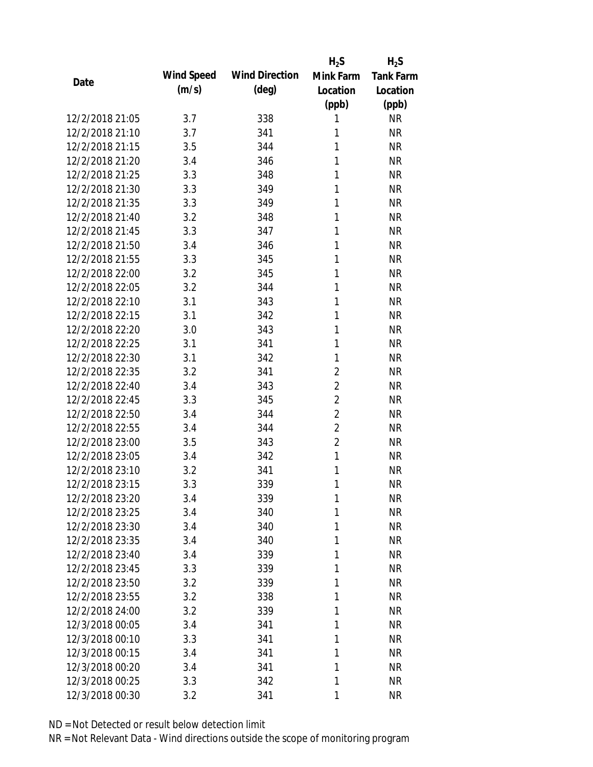|                 |            |                       | $H_2S$         | $H_2S$           |
|-----------------|------------|-----------------------|----------------|------------------|
| Date            | Wind Speed | <b>Wind Direction</b> | Mink Farm      | <b>Tank Farm</b> |
|                 | (m/s)      | $(\text{deg})$        | Location       | Location         |
|                 |            |                       | (ppb)          | (ppb)            |
| 12/2/2018 21:05 | 3.7        | 338                   | 1              | <b>NR</b>        |
| 12/2/2018 21:10 | 3.7        | 341                   | 1              | <b>NR</b>        |
| 12/2/2018 21:15 | 3.5        | 344                   | 1              | <b>NR</b>        |
| 12/2/2018 21:20 | 3.4        | 346                   | 1              | <b>NR</b>        |
| 12/2/2018 21:25 | 3.3        | 348                   | 1              | <b>NR</b>        |
| 12/2/2018 21:30 | 3.3        | 349                   | 1              | <b>NR</b>        |
| 12/2/2018 21:35 | 3.3        | 349                   | 1              | <b>NR</b>        |
| 12/2/2018 21:40 | 3.2        | 348                   | 1              | <b>NR</b>        |
| 12/2/2018 21:45 | 3.3        | 347                   | 1              | <b>NR</b>        |
| 12/2/2018 21:50 | 3.4        | 346                   | 1              | <b>NR</b>        |
| 12/2/2018 21:55 | 3.3        | 345                   | 1              | <b>NR</b>        |
| 12/2/2018 22:00 | 3.2        | 345                   | 1              | <b>NR</b>        |
| 12/2/2018 22:05 | 3.2        | 344                   | 1              | <b>NR</b>        |
| 12/2/2018 22:10 | 3.1        | 343                   | 1              | <b>NR</b>        |
| 12/2/2018 22:15 | 3.1        | 342                   | 1              | <b>NR</b>        |
| 12/2/2018 22:20 | 3.0        | 343                   | 1              | <b>NR</b>        |
| 12/2/2018 22:25 | 3.1        | 341                   | 1              | <b>NR</b>        |
| 12/2/2018 22:30 | 3.1        | 342                   | 1              | <b>NR</b>        |
| 12/2/2018 22:35 | 3.2        | 341                   | $\overline{2}$ | <b>NR</b>        |
| 12/2/2018 22:40 | 3.4        | 343                   | $\overline{2}$ | <b>NR</b>        |
| 12/2/2018 22:45 | 3.3        | 345                   | $\overline{2}$ | <b>NR</b>        |
| 12/2/2018 22:50 | 3.4        | 344                   | $\overline{2}$ | <b>NR</b>        |
| 12/2/2018 22:55 | 3.4        | 344                   | $\overline{2}$ | <b>NR</b>        |
| 12/2/2018 23:00 | 3.5        | 343                   | $\overline{2}$ | <b>NR</b>        |
| 12/2/2018 23:05 | 3.4        | 342                   | $\mathbf{1}$   | <b>NR</b>        |
| 12/2/2018 23:10 | 3.2        | 341                   | 1              | <b>NR</b>        |
| 12/2/2018 23:15 | 3.3        | 339                   | 1              | <b>NR</b>        |
| 12/2/2018 23:20 | 3.4        | 339                   | $\mathbf{1}$   | <b>NR</b>        |
| 12/2/2018 23:25 | 3.4        | 340                   | 1              | <b>NR</b>        |
| 12/2/2018 23:30 | 3.4        | 340                   | 1              | <b>NR</b>        |
| 12/2/2018 23:35 | 3.4        | 340                   | 1              | <b>NR</b>        |
| 12/2/2018 23:40 | 3.4        | 339                   | 1              | <b>NR</b>        |
| 12/2/2018 23:45 | 3.3        | 339                   | 1              | <b>NR</b>        |
| 12/2/2018 23:50 | 3.2        | 339                   | 1              | <b>NR</b>        |
| 12/2/2018 23:55 | 3.2        | 338                   | 1              | <b>NR</b>        |
| 12/2/2018 24:00 | 3.2        | 339                   | 1              | <b>NR</b>        |
| 12/3/2018 00:05 | 3.4        | 341                   | 1              | <b>NR</b>        |
| 12/3/2018 00:10 | 3.3        | 341                   | 1              | <b>NR</b>        |
| 12/3/2018 00:15 | 3.4        | 341                   | 1              | <b>NR</b>        |
| 12/3/2018 00:20 | 3.4        | 341                   | 1              | <b>NR</b>        |
| 12/3/2018 00:25 | 3.3        | 342                   | 1              | <b>NR</b>        |
| 12/3/2018 00:30 | 3.2        | 341                   | 1              | <b>NR</b>        |
|                 |            |                       |                |                  |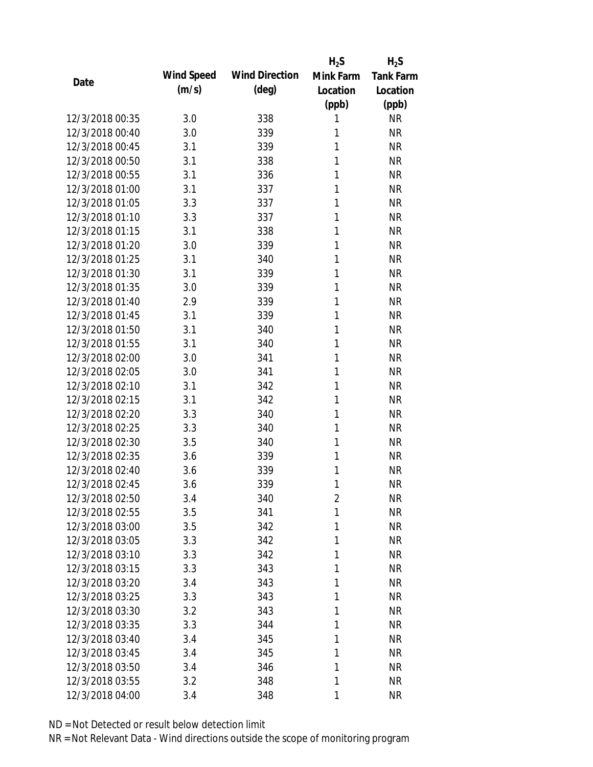|                 |            |                       | $H_2S$         | $H_2S$           |
|-----------------|------------|-----------------------|----------------|------------------|
| Date            | Wind Speed | <b>Wind Direction</b> | Mink Farm      | <b>Tank Farm</b> |
|                 | (m/s)      | $(\text{deg})$        | Location       | Location         |
|                 |            |                       | (ppb)          | (ppb)            |
| 12/3/2018 00:35 | 3.0        | 338                   | 1              | <b>NR</b>        |
| 12/3/2018 00:40 | 3.0        | 339                   | 1              | <b>NR</b>        |
| 12/3/2018 00:45 | 3.1        | 339                   | 1              | <b>NR</b>        |
| 12/3/2018 00:50 | 3.1        | 338                   | 1              | <b>NR</b>        |
| 12/3/2018 00:55 | 3.1        | 336                   | 1              | <b>NR</b>        |
| 12/3/2018 01:00 | 3.1        | 337                   | 1              | <b>NR</b>        |
| 12/3/2018 01:05 | 3.3        | 337                   | 1              | <b>NR</b>        |
| 12/3/2018 01:10 | 3.3        | 337                   | 1              | <b>NR</b>        |
| 12/3/2018 01:15 | 3.1        | 338                   | 1              | <b>NR</b>        |
| 12/3/2018 01:20 | 3.0        | 339                   | 1              | <b>NR</b>        |
| 12/3/2018 01:25 | 3.1        | 340                   | 1              | <b>NR</b>        |
| 12/3/2018 01:30 | 3.1        | 339                   | 1              | <b>NR</b>        |
| 12/3/2018 01:35 | 3.0        | 339                   | 1              | <b>NR</b>        |
| 12/3/2018 01:40 | 2.9        | 339                   | 1              | <b>NR</b>        |
| 12/3/2018 01:45 | 3.1        | 339                   | 1              | <b>NR</b>        |
| 12/3/2018 01:50 | 3.1        | 340                   | 1              | <b>NR</b>        |
| 12/3/2018 01:55 | 3.1        | 340                   | 1              | <b>NR</b>        |
| 12/3/2018 02:00 | 3.0        | 341                   | 1              | <b>NR</b>        |
| 12/3/2018 02:05 | 3.0        | 341                   | 1              | <b>NR</b>        |
| 12/3/2018 02:10 | 3.1        | 342                   | 1              | <b>NR</b>        |
| 12/3/2018 02:15 | 3.1        | 342                   | 1              | <b>NR</b>        |
| 12/3/2018 02:20 | 3.3        | 340                   | 1              | <b>NR</b>        |
| 12/3/2018 02:25 | 3.3        | 340                   | 1              | <b>NR</b>        |
| 12/3/2018 02:30 | 3.5        | 340                   | 1              | <b>NR</b>        |
| 12/3/2018 02:35 | 3.6        | 339                   | 1              | <b>NR</b>        |
| 12/3/2018 02:40 | 3.6        | 339                   | 1              | <b>NR</b>        |
| 12/3/2018 02:45 | 3.6        | 339                   | 1              | <b>NR</b>        |
| 12/3/2018 02:50 | 3.4        | 340                   | $\overline{2}$ | <b>NR</b>        |
| 12/3/2018 02:55 | 3.5        | 341                   | 1              | <b>NR</b>        |
| 12/3/2018 03:00 | 3.5        | 342                   | 1              | <b>NR</b>        |
| 12/3/2018 03:05 | 3.3        | 342                   | 1              | <b>NR</b>        |
| 12/3/2018 03:10 | 3.3        | 342                   | 1              | <b>NR</b>        |
| 12/3/2018 03:15 | 3.3        | 343                   | 1              | <b>NR</b>        |
| 12/3/2018 03:20 | 3.4        | 343                   | 1              | <b>NR</b>        |
| 12/3/2018 03:25 | 3.3        | 343                   | $\mathbf{1}$   | <b>NR</b>        |
| 12/3/2018 03:30 | 3.2        | 343                   | 1              | <b>NR</b>        |
| 12/3/2018 03:35 | 3.3        | 344                   | 1              | <b>NR</b>        |
| 12/3/2018 03:40 | 3.4        | 345                   | 1              | <b>NR</b>        |
| 12/3/2018 03:45 | 3.4        | 345                   | 1              | <b>NR</b>        |
| 12/3/2018 03:50 | 3.4        | 346                   | 1              | <b>NR</b>        |
| 12/3/2018 03:55 | 3.2        | 348                   | 1              | <b>NR</b>        |
| 12/3/2018 04:00 | 3.4        | 348                   | 1              | <b>NR</b>        |
|                 |            |                       |                |                  |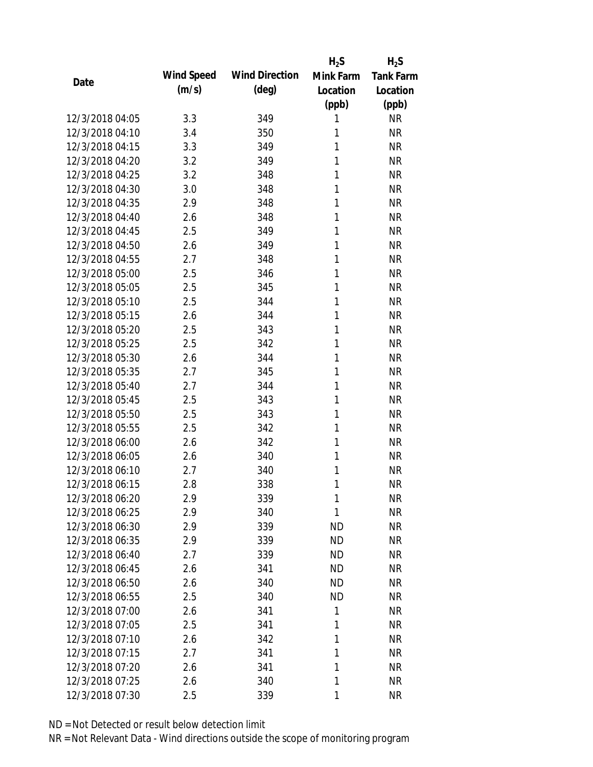|                 |            |                       | $H_2S$    | $H_2S$           |
|-----------------|------------|-----------------------|-----------|------------------|
| Date            | Wind Speed | <b>Wind Direction</b> | Mink Farm | <b>Tank Farm</b> |
|                 | (m/s)      | $(\text{deg})$        | Location  | Location         |
|                 |            |                       | (ppb)     | (ppb)            |
| 12/3/2018 04:05 | 3.3        | 349                   | 1         | <b>NR</b>        |
| 12/3/2018 04:10 | 3.4        | 350                   | 1         | <b>NR</b>        |
| 12/3/2018 04:15 | 3.3        | 349                   | 1         | <b>NR</b>        |
| 12/3/2018 04:20 | 3.2        | 349                   | 1         | <b>NR</b>        |
| 12/3/2018 04:25 | 3.2        | 348                   | 1         | <b>NR</b>        |
| 12/3/2018 04:30 | 3.0        | 348                   | 1         | <b>NR</b>        |
| 12/3/2018 04:35 | 2.9        | 348                   | 1         | <b>NR</b>        |
| 12/3/2018 04:40 | 2.6        | 348                   | 1         | <b>NR</b>        |
| 12/3/2018 04:45 | 2.5        | 349                   | 1         | <b>NR</b>        |
| 12/3/2018 04:50 | 2.6        | 349                   | 1         | <b>NR</b>        |
| 12/3/2018 04:55 | 2.7        | 348                   | 1         | <b>NR</b>        |
| 12/3/2018 05:00 | 2.5        | 346                   | 1         | <b>NR</b>        |
| 12/3/2018 05:05 | 2.5        | 345                   | 1         | <b>NR</b>        |
| 12/3/2018 05:10 | 2.5        | 344                   | 1         | <b>NR</b>        |
| 12/3/2018 05:15 | 2.6        | 344                   | 1         | <b>NR</b>        |
| 12/3/2018 05:20 | 2.5        | 343                   | 1         | <b>NR</b>        |
| 12/3/2018 05:25 | 2.5        | 342                   | 1         | <b>NR</b>        |
| 12/3/2018 05:30 | 2.6        | 344                   | 1         | <b>NR</b>        |
| 12/3/2018 05:35 | 2.7        | 345                   | 1         | <b>NR</b>        |
| 12/3/2018 05:40 | 2.7        | 344                   | 1         | <b>NR</b>        |
| 12/3/2018 05:45 | 2.5        | 343                   | 1         | <b>NR</b>        |
| 12/3/2018 05:50 | 2.5        | 343                   | 1         | <b>NR</b>        |
| 12/3/2018 05:55 | 2.5        | 342                   | 1         | <b>NR</b>        |
| 12/3/2018 06:00 | 2.6        | 342                   | 1         | <b>NR</b>        |
| 12/3/2018 06:05 | 2.6        | 340                   | 1         | <b>NR</b>        |
| 12/3/2018 06:10 | 2.7        | 340                   | 1         | <b>NR</b>        |
| 12/3/2018 06:15 | 2.8        | 338                   | 1         | <b>NR</b>        |
| 12/3/2018 06:20 | 2.9        | 339                   | 1         | <b>NR</b>        |
| 12/3/2018 06:25 | 2.9        | 340                   | 1         | <b>NR</b>        |
| 12/3/2018 06:30 | 2.9        | 339                   | ND        | <b>NR</b>        |
| 12/3/2018 06:35 | 2.9        | 339                   | <b>ND</b> | <b>NR</b>        |
| 12/3/2018 06:40 | 2.7        | 339                   | <b>ND</b> | <b>NR</b>        |
| 12/3/2018 06:45 | 2.6        | 341                   | <b>ND</b> | <b>NR</b>        |
| 12/3/2018 06:50 | 2.6        | 340                   | <b>ND</b> | <b>NR</b>        |
| 12/3/2018 06:55 | 2.5        | 340                   | <b>ND</b> | NR               |
| 12/3/2018 07:00 | 2.6        | 341                   | 1         | <b>NR</b>        |
| 12/3/2018 07:05 | 2.5        | 341                   | 1         | <b>NR</b>        |
| 12/3/2018 07:10 | 2.6        | 342                   | 1         | <b>NR</b>        |
| 12/3/2018 07:15 | 2.7        | 341                   | 1         | <b>NR</b>        |
| 12/3/2018 07:20 | 2.6        | 341                   | 1         | <b>NR</b>        |
| 12/3/2018 07:25 | 2.6        | 340                   | 1         | <b>NR</b>        |
| 12/3/2018 07:30 | 2.5        | 339                   | 1         | <b>NR</b>        |
|                 |            |                       |           |                  |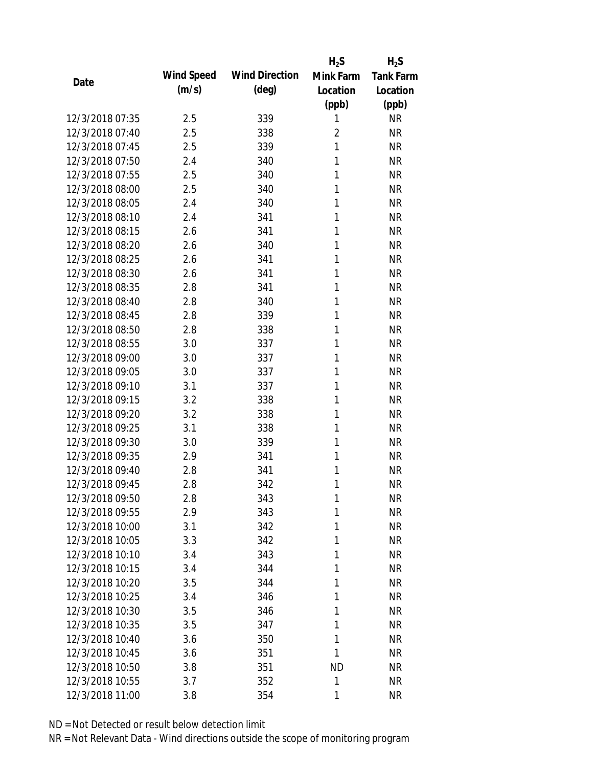|                 |            |                       | $H_2S$         | $H_2S$           |
|-----------------|------------|-----------------------|----------------|------------------|
| Date            | Wind Speed | <b>Wind Direction</b> | Mink Farm      | <b>Tank Farm</b> |
|                 | (m/s)      | $(\text{deg})$        | Location       | Location         |
|                 |            |                       | (ppb)          | (ppb)            |
| 12/3/2018 07:35 | 2.5        | 339                   | 1              | <b>NR</b>        |
| 12/3/2018 07:40 | 2.5        | 338                   | $\overline{2}$ | <b>NR</b>        |
| 12/3/2018 07:45 | 2.5        | 339                   | 1              | <b>NR</b>        |
| 12/3/2018 07:50 | 2.4        | 340                   | 1              | <b>NR</b>        |
| 12/3/2018 07:55 | 2.5        | 340                   | 1              | <b>NR</b>        |
| 12/3/2018 08:00 | 2.5        | 340                   | 1              | <b>NR</b>        |
| 12/3/2018 08:05 | 2.4        | 340                   | 1              | <b>NR</b>        |
| 12/3/2018 08:10 | 2.4        | 341                   | 1              | <b>NR</b>        |
| 12/3/2018 08:15 | 2.6        | 341                   | 1              | <b>NR</b>        |
| 12/3/2018 08:20 | 2.6        | 340                   | 1              | <b>NR</b>        |
| 12/3/2018 08:25 | 2.6        | 341                   | 1              | <b>NR</b>        |
| 12/3/2018 08:30 | 2.6        | 341                   | 1              | <b>NR</b>        |
| 12/3/2018 08:35 | 2.8        | 341                   | 1              | <b>NR</b>        |
| 12/3/2018 08:40 | 2.8        | 340                   | 1              | <b>NR</b>        |
| 12/3/2018 08:45 | 2.8        | 339                   | 1              | <b>NR</b>        |
| 12/3/2018 08:50 | 2.8        | 338                   | 1              | <b>NR</b>        |
| 12/3/2018 08:55 | 3.0        | 337                   | 1              | <b>NR</b>        |
| 12/3/2018 09:00 | 3.0        | 337                   | 1              | <b>NR</b>        |
| 12/3/2018 09:05 | 3.0        | 337                   | 1              | <b>NR</b>        |
| 12/3/2018 09:10 | 3.1        | 337                   | 1              | <b>NR</b>        |
| 12/3/2018 09:15 | 3.2        | 338                   | 1              | <b>NR</b>        |
| 12/3/2018 09:20 | 3.2        | 338                   | 1              | <b>NR</b>        |
| 12/3/2018 09:25 | 3.1        | 338                   | 1              | <b>NR</b>        |
| 12/3/2018 09:30 | 3.0        | 339                   | 1              | <b>NR</b>        |
| 12/3/2018 09:35 | 2.9        | 341                   | 1              | <b>NR</b>        |
| 12/3/2018 09:40 | 2.8        | 341                   | 1              | <b>NR</b>        |
| 12/3/2018 09:45 | 2.8        | 342                   | 1              | <b>NR</b>        |
| 12/3/2018 09:50 | 2.8        | 343                   | 1              | <b>NR</b>        |
| 12/3/2018 09:55 | 2.9        | 343                   | 1              | <b>NR</b>        |
| 12/3/2018 10:00 | 3.1        | 342                   | 1              | <b>NR</b>        |
| 12/3/2018 10:05 | 3.3        | 342                   | 1              | <b>NR</b>        |
| 12/3/2018 10:10 | 3.4        | 343                   | 1              | NR               |
| 12/3/2018 10:15 | 3.4        | 344                   | 1              | <b>NR</b>        |
| 12/3/2018 10:20 | 3.5        | 344                   | 1              | <b>NR</b>        |
| 12/3/2018 10:25 | 3.4        | 346                   | 1              | <b>NR</b>        |
| 12/3/2018 10:30 | 3.5        | 346                   | 1              | <b>NR</b>        |
| 12/3/2018 10:35 | 3.5        | 347                   | 1              | <b>NR</b>        |
| 12/3/2018 10:40 | 3.6        | 350                   | 1              | <b>NR</b>        |
| 12/3/2018 10:45 | 3.6        | 351                   | 1              | <b>NR</b>        |
| 12/3/2018 10:50 | 3.8        | 351                   | ND             | NR               |
| 12/3/2018 10:55 | 3.7        | 352                   | 1              | <b>NR</b>        |
| 12/3/2018 11:00 | 3.8        | 354                   | 1              | <b>NR</b>        |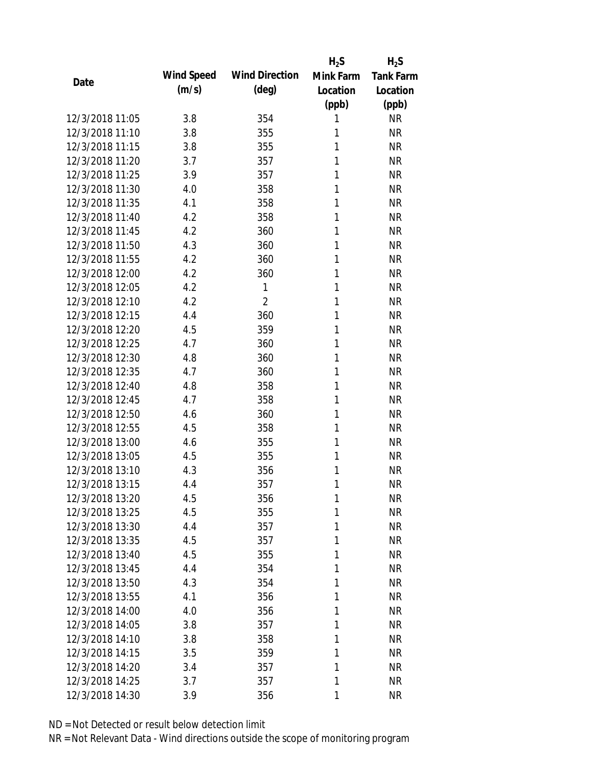|                 |            |                       | $H_2S$    | $H_2S$           |
|-----------------|------------|-----------------------|-----------|------------------|
|                 | Wind Speed | <b>Wind Direction</b> | Mink Farm | <b>Tank Farm</b> |
| Date            | (m/s)      | $(\text{deg})$        | Location  | Location         |
|                 |            |                       | (ppb)     | (ppb)            |
| 12/3/2018 11:05 | 3.8        | 354                   | 1         | <b>NR</b>        |
| 12/3/2018 11:10 | 3.8        | 355                   | 1         | <b>NR</b>        |
| 12/3/2018 11:15 | 3.8        | 355                   | 1         | <b>NR</b>        |
| 12/3/2018 11:20 | 3.7        | 357                   | 1         | <b>NR</b>        |
| 12/3/2018 11:25 | 3.9        | 357                   | 1         | <b>NR</b>        |
| 12/3/2018 11:30 | 4.0        | 358                   | 1         | <b>NR</b>        |
| 12/3/2018 11:35 | 4.1        | 358                   | 1         | <b>NR</b>        |
| 12/3/2018 11:40 | 4.2        | 358                   | 1         | <b>NR</b>        |
| 12/3/2018 11:45 | 4.2        | 360                   | 1         | <b>NR</b>        |
| 12/3/2018 11:50 | 4.3        | 360                   | 1         | <b>NR</b>        |
| 12/3/2018 11:55 | 4.2        | 360                   | 1         | <b>NR</b>        |
| 12/3/2018 12:00 | 4.2        | 360                   | 1         | <b>NR</b>        |
| 12/3/2018 12:05 | 4.2        | 1                     | 1         | <b>NR</b>        |
| 12/3/2018 12:10 | 4.2        | $\overline{2}$        | 1         | <b>NR</b>        |
| 12/3/2018 12:15 | 4.4        | 360                   | 1         | <b>NR</b>        |
| 12/3/2018 12:20 | 4.5        | 359                   | 1         | <b>NR</b>        |
| 12/3/2018 12:25 | 4.7        | 360                   | 1         | <b>NR</b>        |
| 12/3/2018 12:30 | 4.8        | 360                   | 1         | <b>NR</b>        |
| 12/3/2018 12:35 | 4.7        | 360                   | 1         | <b>NR</b>        |
| 12/3/2018 12:40 | 4.8        | 358                   | 1         | <b>NR</b>        |
| 12/3/2018 12:45 | 4.7        | 358                   | 1         | <b>NR</b>        |
| 12/3/2018 12:50 | 4.6        | 360                   | 1         | <b>NR</b>        |
| 12/3/2018 12:55 | 4.5        | 358                   | 1         | <b>NR</b>        |
| 12/3/2018 13:00 | 4.6        | 355                   | 1         | <b>NR</b>        |
| 12/3/2018 13:05 | 4.5        | 355                   | 1         | <b>NR</b>        |
| 12/3/2018 13:10 | 4.3        | 356                   | 1         | <b>NR</b>        |
| 12/3/2018 13:15 | 4.4        | 357                   | 1         | <b>NR</b>        |
| 12/3/2018 13:20 | 4.5        | 356                   | 1         | <b>NR</b>        |
| 12/3/2018 13:25 | 4.5        | 355                   | 1         | <b>NR</b>        |
| 12/3/2018 13:30 | 4.4        | 357                   | 1         | <b>NR</b>        |
| 12/3/2018 13:35 | 4.5        | 357                   | 1         | <b>NR</b>        |
| 12/3/2018 13:40 | 4.5        | 355                   | 1         | <b>NR</b>        |
| 12/3/2018 13:45 | 4.4        | 354                   | 1         | <b>NR</b>        |
| 12/3/2018 13:50 | 4.3        | 354                   | 1         | <b>NR</b>        |
| 12/3/2018 13:55 | 4.1        | 356                   | 1         | <b>NR</b>        |
| 12/3/2018 14:00 | 4.0        | 356                   | 1         | <b>NR</b>        |
| 12/3/2018 14:05 | 3.8        | 357                   | 1         | <b>NR</b>        |
| 12/3/2018 14:10 | 3.8        | 358                   | 1         | <b>NR</b>        |
| 12/3/2018 14:15 | 3.5        | 359                   | 1         | <b>NR</b>        |
| 12/3/2018 14:20 | 3.4        | 357                   | 1         | <b>NR</b>        |
| 12/3/2018 14:25 | 3.7        | 357                   | 1         | <b>NR</b>        |
| 12/3/2018 14:30 | 3.9        | 356                   | 1         | <b>NR</b>        |
|                 |            |                       |           |                  |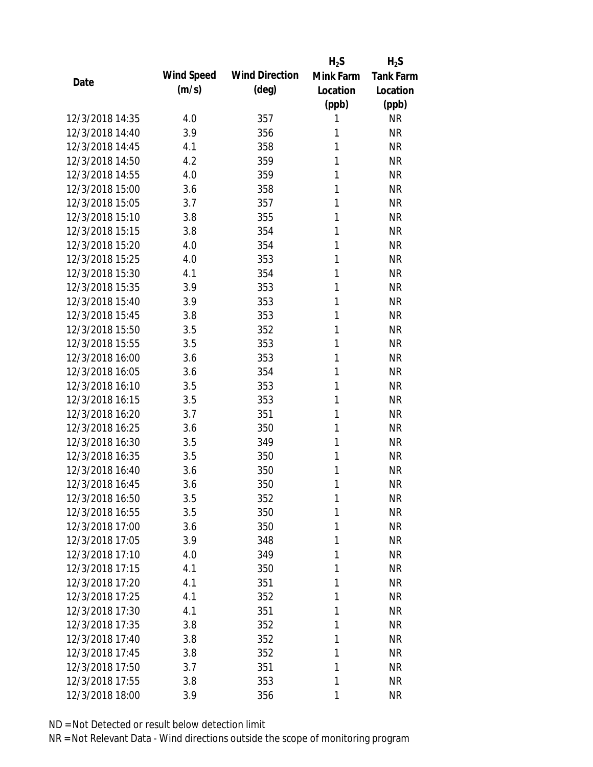|                                    |            |                       | $H_2S$    | $H_2S$           |
|------------------------------------|------------|-----------------------|-----------|------------------|
| Date                               | Wind Speed | <b>Wind Direction</b> | Mink Farm | <b>Tank Farm</b> |
|                                    | (m/s)      | $(\text{deg})$        | Location  | Location         |
|                                    |            |                       | (ppb)     | (ppb)            |
| 12/3/2018 14:35                    | 4.0        | 357                   | 1         | <b>NR</b>        |
| 12/3/2018 14:40                    | 3.9        | 356                   | 1         | <b>NR</b>        |
| 12/3/2018 14:45                    | 4.1        | 358                   | 1         | <b>NR</b>        |
| 12/3/2018 14:50                    | 4.2        | 359                   | 1         | <b>NR</b>        |
| 12/3/2018 14:55                    | 4.0        | 359                   | 1         | <b>NR</b>        |
| 12/3/2018 15:00                    | 3.6        | 358                   | 1         | <b>NR</b>        |
| 12/3/2018 15:05                    | 3.7        | 357                   | 1         | <b>NR</b>        |
| 12/3/2018 15:10                    | 3.8        | 355                   | 1         | <b>NR</b>        |
| 12/3/2018 15:15                    | 3.8        | 354                   | 1         | <b>NR</b>        |
| 12/3/2018 15:20                    | 4.0        | 354                   | 1         | <b>NR</b>        |
| 12/3/2018 15:25                    | 4.0        | 353                   | 1         | <b>NR</b>        |
| 12/3/2018 15:30                    | 4.1        | 354                   | 1         | <b>NR</b>        |
| 12/3/2018 15:35                    | 3.9        | 353                   | 1         | <b>NR</b>        |
| 12/3/2018 15:40                    | 3.9        | 353                   | 1         | <b>NR</b>        |
| 12/3/2018 15:45                    | 3.8        | 353                   | 1         | <b>NR</b>        |
| 12/3/2018 15:50                    | 3.5        | 352                   | 1         | <b>NR</b>        |
| 12/3/2018 15:55                    | 3.5        | 353                   | 1         | <b>NR</b>        |
| 12/3/2018 16:00                    | 3.6        | 353                   | 1         | <b>NR</b>        |
| 12/3/2018 16:05                    | 3.6        | 354                   | 1         | <b>NR</b>        |
| 12/3/2018 16:10                    | 3.5        | 353                   | 1         | <b>NR</b>        |
| 12/3/2018 16:15                    | 3.5        | 353                   | 1         | <b>NR</b>        |
| 12/3/2018 16:20                    | 3.7        | 351                   | 1         | <b>NR</b>        |
| 12/3/2018 16:25                    | 3.6        | 350                   | 1         | <b>NR</b>        |
| 12/3/2018 16:30                    | 3.5        | 349                   | 1         | <b>NR</b>        |
| 12/3/2018 16:35                    | 3.5        | 350                   | 1         | <b>NR</b>        |
| 12/3/2018 16:40                    | 3.6        | 350                   | 1         | <b>NR</b>        |
| 12/3/2018 16:45                    | 3.6        | 350                   | 1         | <b>NR</b>        |
| 12/3/2018 16:50                    | 3.5        | 352                   | 1         | <b>NR</b>        |
| 12/3/2018 16:55                    | 3.5        | 350                   | 1         | <b>NR</b>        |
| 12/3/2018 17:00                    | 3.6        | 350                   | 1         | <b>NR</b>        |
| 12/3/2018 17:05                    | 3.9        | 348                   | 1         | <b>NR</b>        |
| 12/3/2018 17:10                    | 4.0        |                       | 1         | <b>NR</b>        |
| 12/3/2018 17:15                    | 4.1        | 349                   | 1         | <b>NR</b>        |
| 12/3/2018 17:20                    | 4.1        | 350                   | 1         | <b>NR</b>        |
|                                    |            | 351                   |           |                  |
| 12/3/2018 17:25<br>12/3/2018 17:30 | 4.1        | 352                   | 1         | <b>NR</b>        |
|                                    | 4.1        | 351                   | 1         | <b>NR</b>        |
| 12/3/2018 17:35                    | 3.8        | 352                   | 1         | <b>NR</b>        |
| 12/3/2018 17:40                    | 3.8        | 352                   | 1         | <b>NR</b>        |
| 12/3/2018 17:45                    | 3.8        | 352                   | 1         | <b>NR</b>        |
| 12/3/2018 17:50                    | 3.7        | 351                   | 1         | <b>NR</b>        |
| 12/3/2018 17:55                    | 3.8        | 353                   | 1         | <b>NR</b>        |
| 12/3/2018 18:00                    | 3.9        | 356                   | 1         | <b>NR</b>        |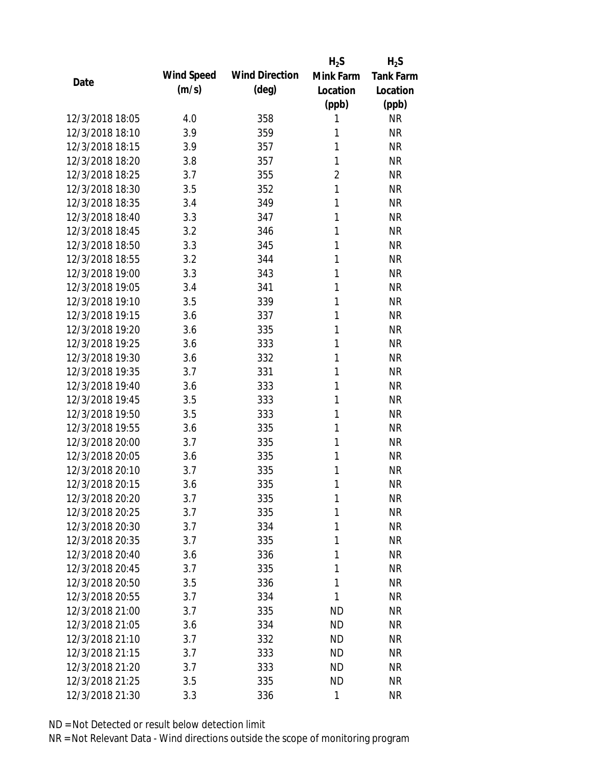|                 |            |                       | $H_2S$         | $H_2S$           |
|-----------------|------------|-----------------------|----------------|------------------|
| Date            | Wind Speed | <b>Wind Direction</b> | Mink Farm      | <b>Tank Farm</b> |
|                 | (m/s)      | $(\text{deg})$        | Location       | Location         |
|                 |            |                       | (ppb)          | (ppb)            |
| 12/3/2018 18:05 | 4.0        | 358                   | 1              | <b>NR</b>        |
| 12/3/2018 18:10 | 3.9        | 359                   | 1              | <b>NR</b>        |
| 12/3/2018 18:15 | 3.9        | 357                   | 1              | <b>NR</b>        |
| 12/3/2018 18:20 | 3.8        | 357                   | 1              | <b>NR</b>        |
| 12/3/2018 18:25 | 3.7        | 355                   | $\overline{2}$ | <b>NR</b>        |
| 12/3/2018 18:30 | 3.5        | 352                   | 1              | <b>NR</b>        |
| 12/3/2018 18:35 | 3.4        | 349                   | 1              | <b>NR</b>        |
| 12/3/2018 18:40 | 3.3        | 347                   | 1              | <b>NR</b>        |
| 12/3/2018 18:45 | 3.2        | 346                   | 1              | <b>NR</b>        |
| 12/3/2018 18:50 | 3.3        | 345                   | 1              | <b>NR</b>        |
| 12/3/2018 18:55 | 3.2        | 344                   | 1              | <b>NR</b>        |
| 12/3/2018 19:00 | 3.3        | 343                   | 1              | <b>NR</b>        |
| 12/3/2018 19:05 | 3.4        | 341                   | 1              | <b>NR</b>        |
| 12/3/2018 19:10 | 3.5        | 339                   | 1              | <b>NR</b>        |
| 12/3/2018 19:15 | 3.6        | 337                   | 1              | <b>NR</b>        |
| 12/3/2018 19:20 | 3.6        | 335                   | 1              | <b>NR</b>        |
| 12/3/2018 19:25 | 3.6        | 333                   | 1              | <b>NR</b>        |
| 12/3/2018 19:30 | 3.6        | 332                   | 1              | <b>NR</b>        |
| 12/3/2018 19:35 | 3.7        | 331                   | 1              | <b>NR</b>        |
| 12/3/2018 19:40 | 3.6        | 333                   | 1              | <b>NR</b>        |
| 12/3/2018 19:45 | 3.5        | 333                   | 1              | <b>NR</b>        |
| 12/3/2018 19:50 | 3.5        | 333                   | 1              | <b>NR</b>        |
| 12/3/2018 19:55 | 3.6        | 335                   | 1              | <b>NR</b>        |
| 12/3/2018 20:00 | 3.7        | 335                   | 1              | <b>NR</b>        |
| 12/3/2018 20:05 | 3.6        | 335                   | 1              | <b>NR</b>        |
| 12/3/2018 20:10 | 3.7        | 335                   | 1              | <b>NR</b>        |
| 12/3/2018 20:15 | 3.6        | 335                   | 1              | <b>NR</b>        |
| 12/3/2018 20:20 | 3.7        | 335                   | 1              | <b>NR</b>        |
| 12/3/2018 20:25 | 3.7        | 335                   | 1              | <b>NR</b>        |
| 12/3/2018 20:30 | 3.7        | 334                   | 1              | <b>NR</b>        |
| 12/3/2018 20:35 | 3.7        | 335                   | 1              | <b>NR</b>        |
| 12/3/2018 20:40 | 3.6        | 336                   | 1              | <b>NR</b>        |
| 12/3/2018 20:45 | 3.7        | 335                   | 1              | <b>NR</b>        |
| 12/3/2018 20:50 | 3.5        | 336                   | 1              | <b>NR</b>        |
| 12/3/2018 20:55 | 3.7        | 334                   | 1              | <b>NR</b>        |
| 12/3/2018 21:00 | 3.7        | 335                   | <b>ND</b>      | <b>NR</b>        |
| 12/3/2018 21:05 | 3.6        | 334                   | <b>ND</b>      | <b>NR</b>        |
| 12/3/2018 21:10 | 3.7        | 332                   | ND             | <b>NR</b>        |
| 12/3/2018 21:15 | 3.7        | 333                   | <b>ND</b>      | <b>NR</b>        |
| 12/3/2018 21:20 | 3.7        | 333                   | ND             | <b>NR</b>        |
| 12/3/2018 21:25 | 3.5        | 335                   | <b>ND</b>      | <b>NR</b>        |
| 12/3/2018 21:30 | 3.3        | 336                   | $\mathbf{1}$   | <b>NR</b>        |
|                 |            |                       |                |                  |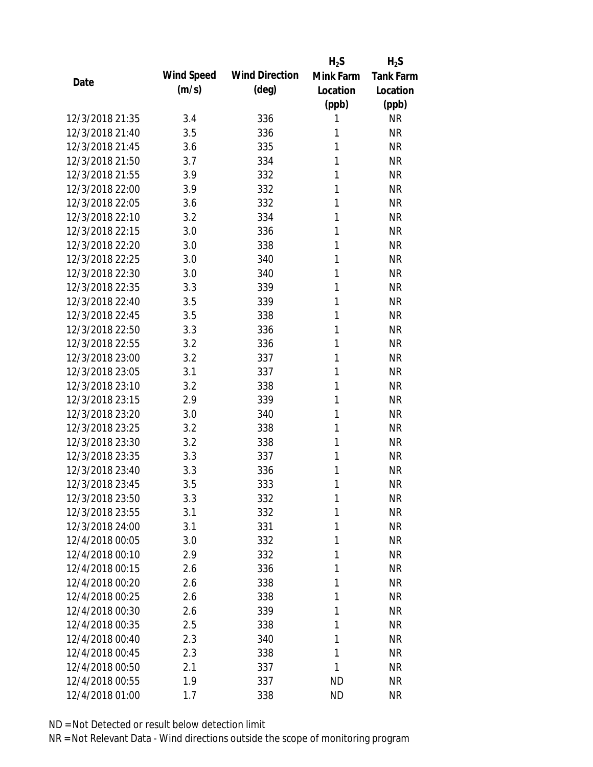|                 |            |                       | $H_2S$    | $H_2S$           |
|-----------------|------------|-----------------------|-----------|------------------|
| Date            | Wind Speed | <b>Wind Direction</b> | Mink Farm | <b>Tank Farm</b> |
|                 | (m/s)      | $(\text{deg})$        | Location  | Location         |
|                 |            |                       | (ppb)     | (ppb)            |
| 12/3/2018 21:35 | 3.4        | 336                   | 1         | <b>NR</b>        |
| 12/3/2018 21:40 | 3.5        | 336                   | 1         | <b>NR</b>        |
| 12/3/2018 21:45 | 3.6        | 335                   | 1         | <b>NR</b>        |
| 12/3/2018 21:50 | 3.7        | 334                   | 1         | <b>NR</b>        |
| 12/3/2018 21:55 | 3.9        | 332                   | 1         | <b>NR</b>        |
| 12/3/2018 22:00 | 3.9        | 332                   | 1         | <b>NR</b>        |
| 12/3/2018 22:05 | 3.6        | 332                   | 1         | <b>NR</b>        |
| 12/3/2018 22:10 | 3.2        | 334                   | 1         | <b>NR</b>        |
| 12/3/2018 22:15 | 3.0        | 336                   | 1         | <b>NR</b>        |
| 12/3/2018 22:20 | 3.0        | 338                   | 1         | <b>NR</b>        |
| 12/3/2018 22:25 | 3.0        | 340                   | 1         | <b>NR</b>        |
| 12/3/2018 22:30 | 3.0        | 340                   | 1         | <b>NR</b>        |
| 12/3/2018 22:35 | 3.3        | 339                   | 1         | <b>NR</b>        |
| 12/3/2018 22:40 | 3.5        | 339                   | 1         | <b>NR</b>        |
| 12/3/2018 22:45 | 3.5        | 338                   | 1         | <b>NR</b>        |
| 12/3/2018 22:50 | 3.3        | 336                   | 1         | <b>NR</b>        |
| 12/3/2018 22:55 | 3.2        | 336                   | 1         | <b>NR</b>        |
| 12/3/2018 23:00 | 3.2        | 337                   | 1         | <b>NR</b>        |
| 12/3/2018 23:05 | 3.1        | 337                   | 1         | <b>NR</b>        |
| 12/3/2018 23:10 | 3.2        | 338                   | 1         | <b>NR</b>        |
| 12/3/2018 23:15 | 2.9        | 339                   | 1         | <b>NR</b>        |
| 12/3/2018 23:20 | 3.0        | 340                   | 1         | <b>NR</b>        |
| 12/3/2018 23:25 | 3.2        | 338                   | 1         | <b>NR</b>        |
| 12/3/2018 23:30 | 3.2        | 338                   | 1         | <b>NR</b>        |
| 12/3/2018 23:35 | 3.3        | 337                   | 1         | <b>NR</b>        |
| 12/3/2018 23:40 | 3.3        | 336                   | 1         | <b>NR</b>        |
| 12/3/2018 23:45 | 3.5        | 333                   | 1         | <b>NR</b>        |
| 12/3/2018 23:50 | 3.3        | 332                   | 1         | <b>NR</b>        |
| 12/3/2018 23:55 | 3.1        | 332                   | 1         | <b>NR</b>        |
| 12/3/2018 24:00 | 3.1        | 331                   | 1         | <b>NR</b>        |
| 12/4/2018 00:05 | 3.0        | 332                   | 1         | <b>NR</b>        |
| 12/4/2018 00:10 | 2.9        | 332                   | 1         | <b>NR</b>        |
| 12/4/2018 00:15 | 2.6        | 336                   | 1         | <b>NR</b>        |
| 12/4/2018 00:20 | 2.6        | 338                   | 1         | <b>NR</b>        |
| 12/4/2018 00:25 | 2.6        | 338                   | 1         | <b>NR</b>        |
| 12/4/2018 00:30 | 2.6        | 339                   | 1         | <b>NR</b>        |
| 12/4/2018 00:35 | 2.5        | 338                   | 1         | <b>NR</b>        |
| 12/4/2018 00:40 | 2.3        | 340                   | 1         | <b>NR</b>        |
| 12/4/2018 00:45 | 2.3        | 338                   | 1         | <b>NR</b>        |
| 12/4/2018 00:50 | 2.1        | 337                   | 1         | <b>NR</b>        |
| 12/4/2018 00:55 | 1.9        | 337                   | <b>ND</b> | <b>NR</b>        |
| 12/4/2018 01:00 | 1.7        | 338                   | <b>ND</b> | <b>NR</b>        |
|                 |            |                       |           |                  |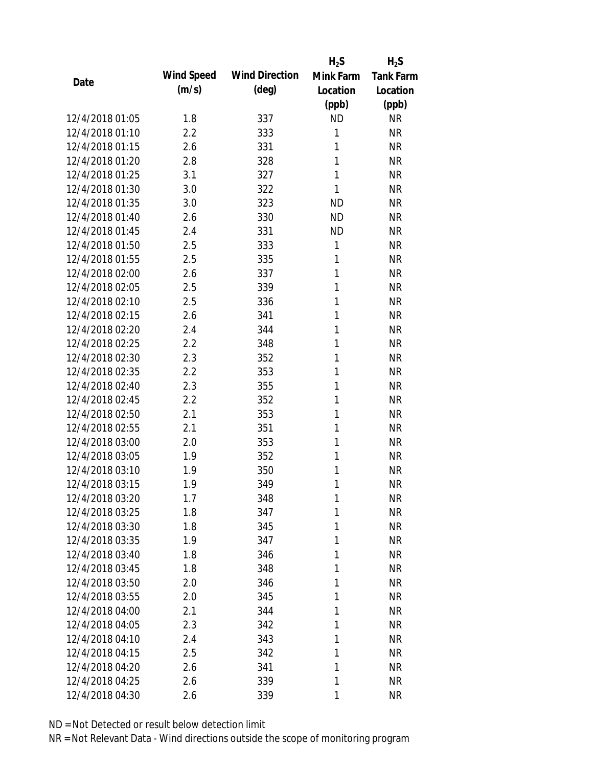|                 |            |                       | $H_2S$       | $H_2S$           |
|-----------------|------------|-----------------------|--------------|------------------|
|                 | Wind Speed | <b>Wind Direction</b> | Mink Farm    | <b>Tank Farm</b> |
| Date            | (m/s)      | $(\text{deg})$        | Location     | Location         |
|                 |            |                       | (ppb)        | (ppb)            |
| 12/4/2018 01:05 | 1.8        | 337                   | <b>ND</b>    | <b>NR</b>        |
| 12/4/2018 01:10 | 2.2        | 333                   | 1            | <b>NR</b>        |
| 12/4/2018 01:15 | 2.6        | 331                   | 1            | <b>NR</b>        |
| 12/4/2018 01:20 | 2.8        | 328                   | 1            | <b>NR</b>        |
| 12/4/2018 01:25 | 3.1        | 327                   | 1            | <b>NR</b>        |
| 12/4/2018 01:30 | 3.0        | 322                   | 1            | <b>NR</b>        |
| 12/4/2018 01:35 | 3.0        | 323                   | <b>ND</b>    | <b>NR</b>        |
| 12/4/2018 01:40 | 2.6        | 330                   | <b>ND</b>    | <b>NR</b>        |
| 12/4/2018 01:45 | 2.4        | 331                   | <b>ND</b>    | <b>NR</b>        |
| 12/4/2018 01:50 | 2.5        | 333                   | $\mathbf{1}$ | <b>NR</b>        |
| 12/4/2018 01:55 | 2.5        | 335                   | 1            | <b>NR</b>        |
| 12/4/2018 02:00 | 2.6        | 337                   | 1            | <b>NR</b>        |
| 12/4/2018 02:05 | 2.5        | 339                   | 1            | <b>NR</b>        |
| 12/4/2018 02:10 | 2.5        | 336                   | 1            | <b>NR</b>        |
| 12/4/2018 02:15 | 2.6        | 341                   | 1            | <b>NR</b>        |
| 12/4/2018 02:20 | 2.4        | 344                   | 1            | <b>NR</b>        |
| 12/4/2018 02:25 | 2.2        | 348                   | 1            | <b>NR</b>        |
| 12/4/2018 02:30 | 2.3        | 352                   | 1            | <b>NR</b>        |
| 12/4/2018 02:35 | 2.2        | 353                   | 1            | <b>NR</b>        |
| 12/4/2018 02:40 | 2.3        | 355                   | 1            | <b>NR</b>        |
| 12/4/2018 02:45 | 2.2        | 352                   | 1            | <b>NR</b>        |
| 12/4/2018 02:50 | 2.1        | 353                   | 1            | <b>NR</b>        |
| 12/4/2018 02:55 | 2.1        | 351                   | 1            | <b>NR</b>        |
| 12/4/2018 03:00 | 2.0        | 353                   | 1            | <b>NR</b>        |
| 12/4/2018 03:05 | 1.9        | 352                   | 1            | <b>NR</b>        |
| 12/4/2018 03:10 | 1.9        | 350                   | 1            | <b>NR</b>        |
| 12/4/2018 03:15 | 1.9        | 349                   | 1            | <b>NR</b>        |
| 12/4/2018 03:20 | 1.7        | 348                   | 1            | <b>NR</b>        |
| 12/4/2018 03:25 | 1.8        | 347                   | 1            | <b>NR</b>        |
| 12/4/2018 03:30 | 1.8        | 345                   | 1            | <b>NR</b>        |
| 12/4/2018 03:35 | 1.9        | 347                   | 1            | <b>NR</b>        |
| 12/4/2018 03:40 | 1.8        | 346                   | 1            | <b>NR</b>        |
| 12/4/2018 03:45 | 1.8        | 348                   | 1            | <b>NR</b>        |
| 12/4/2018 03:50 | 2.0        | 346                   | 1            | <b>NR</b>        |
| 12/4/2018 03:55 | 2.0        | 345                   | 1            | <b>NR</b>        |
| 12/4/2018 04:00 | 2.1        | 344                   | 1            | <b>NR</b>        |
| 12/4/2018 04:05 | 2.3        | 342                   | 1            | <b>NR</b>        |
| 12/4/2018 04:10 | 2.4        | 343                   | 1            | <b>NR</b>        |
| 12/4/2018 04:15 | 2.5        | 342                   | 1            | <b>NR</b>        |
| 12/4/2018 04:20 | 2.6        | 341                   | 1            | <b>NR</b>        |
| 12/4/2018 04:25 | 2.6        | 339                   | 1            | <b>NR</b>        |
| 12/4/2018 04:30 | 2.6        | 339                   | 1            | <b>NR</b>        |
|                 |            |                       |              |                  |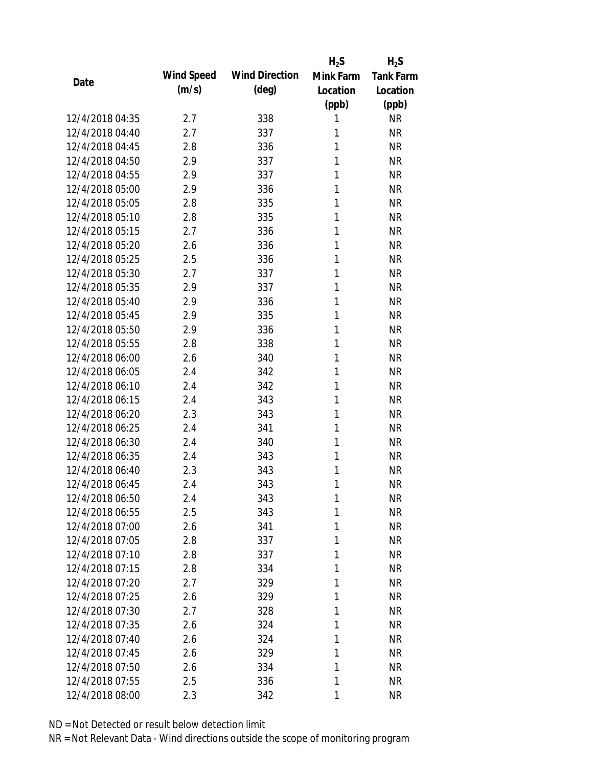|                 |            |                       | $H_2S$    | $H_2S$           |
|-----------------|------------|-----------------------|-----------|------------------|
|                 | Wind Speed | <b>Wind Direction</b> | Mink Farm | <b>Tank Farm</b> |
| Date            | (m/s)      | $(\text{deg})$        | Location  | Location         |
|                 |            |                       | (ppb)     | (ppb)            |
| 12/4/2018 04:35 | 2.7        | 338                   | 1         | <b>NR</b>        |
| 12/4/2018 04:40 | 2.7        | 337                   | 1         | <b>NR</b>        |
| 12/4/2018 04:45 | 2.8        | 336                   | 1         | <b>NR</b>        |
| 12/4/2018 04:50 | 2.9        | 337                   | 1         | <b>NR</b>        |
| 12/4/2018 04:55 | 2.9        | 337                   | 1         | <b>NR</b>        |
| 12/4/2018 05:00 | 2.9        | 336                   | 1         | <b>NR</b>        |
| 12/4/2018 05:05 | 2.8        | 335                   | 1         | <b>NR</b>        |
| 12/4/2018 05:10 | 2.8        | 335                   | 1         | <b>NR</b>        |
| 12/4/2018 05:15 | 2.7        | 336                   | 1         | <b>NR</b>        |
| 12/4/2018 05:20 | 2.6        | 336                   | 1         | <b>NR</b>        |
| 12/4/2018 05:25 | 2.5        | 336                   | 1         | <b>NR</b>        |
| 12/4/2018 05:30 | 2.7        | 337                   | 1         | <b>NR</b>        |
| 12/4/2018 05:35 | 2.9        | 337                   | 1         | <b>NR</b>        |
| 12/4/2018 05:40 | 2.9        | 336                   | 1         | <b>NR</b>        |
| 12/4/2018 05:45 | 2.9        | 335                   | 1         | <b>NR</b>        |
| 12/4/2018 05:50 | 2.9        | 336                   | 1         | <b>NR</b>        |
| 12/4/2018 05:55 | 2.8        | 338                   | 1         | <b>NR</b>        |
| 12/4/2018 06:00 | 2.6        | 340                   | 1         | <b>NR</b>        |
| 12/4/2018 06:05 | 2.4        | 342                   | 1         | <b>NR</b>        |
| 12/4/2018 06:10 | 2.4        | 342                   | 1         | <b>NR</b>        |
| 12/4/2018 06:15 | 2.4        | 343                   | 1         | <b>NR</b>        |
| 12/4/2018 06:20 | 2.3        | 343                   | 1         | <b>NR</b>        |
| 12/4/2018 06:25 | 2.4        | 341                   | 1         | <b>NR</b>        |
| 12/4/2018 06:30 | 2.4        | 340                   | 1         | <b>NR</b>        |
| 12/4/2018 06:35 | 2.4        | 343                   | 1         | <b>NR</b>        |
| 12/4/2018 06:40 | 2.3        | 343                   | 1         | <b>NR</b>        |
| 12/4/2018 06:45 | 2.4        | 343                   | 1         | <b>NR</b>        |
| 12/4/2018 06:50 | 2.4        | 343                   | 1         | <b>NR</b>        |
| 12/4/2018 06:55 | 2.5        | 343                   | 1         | <b>NR</b>        |
| 12/4/2018 07:00 | 2.6        | 341                   | 1         | <b>NR</b>        |
| 12/4/2018 07:05 | 2.8        | 337                   | 1         | <b>NR</b>        |
| 12/4/2018 07:10 | 2.8        | 337                   | 1         | <b>NR</b>        |
| 12/4/2018 07:15 | 2.8        | 334                   | 1         | <b>NR</b>        |
| 12/4/2018 07:20 | 2.7        | 329                   | 1         | <b>NR</b>        |
| 12/4/2018 07:25 | 2.6        | 329                   | 1         | <b>NR</b>        |
| 12/4/2018 07:30 | 2.7        | 328                   | 1         | <b>NR</b>        |
| 12/4/2018 07:35 | 2.6        | 324                   | 1         | <b>NR</b>        |
| 12/4/2018 07:40 | 2.6        | 324                   | 1         | <b>NR</b>        |
| 12/4/2018 07:45 | 2.6        | 329                   | 1         | <b>NR</b>        |
| 12/4/2018 07:50 | 2.6        | 334                   | 1         | <b>NR</b>        |
| 12/4/2018 07:55 | 2.5        | 336                   | 1         | <b>NR</b>        |
| 12/4/2018 08:00 | 2.3        | 342                   | 1         | <b>NR</b>        |
|                 |            |                       |           |                  |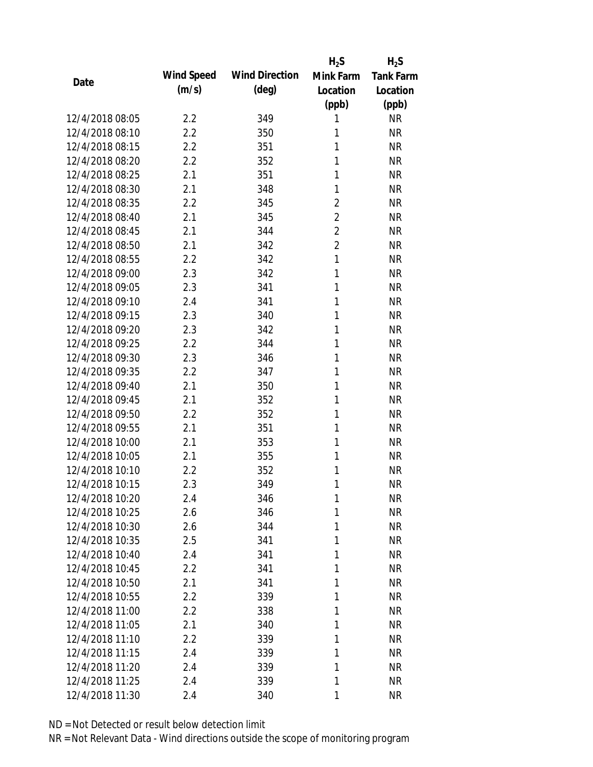|                 |            |                       | $H_2S$         | $H_2S$           |
|-----------------|------------|-----------------------|----------------|------------------|
| Date            | Wind Speed | <b>Wind Direction</b> | Mink Farm      | <b>Tank Farm</b> |
|                 | (m/s)      | $(\text{deg})$        | Location       | Location         |
|                 |            |                       | (ppb)          | (ppb)            |
| 12/4/2018 08:05 | 2.2        | 349                   | 1              | <b>NR</b>        |
| 12/4/2018 08:10 | 2.2        | 350                   | 1              | <b>NR</b>        |
| 12/4/2018 08:15 | 2.2        | 351                   | 1              | <b>NR</b>        |
| 12/4/2018 08:20 | 2.2        | 352                   | 1              | <b>NR</b>        |
| 12/4/2018 08:25 | 2.1        | 351                   | 1              | <b>NR</b>        |
| 12/4/2018 08:30 | 2.1        | 348                   | 1              | <b>NR</b>        |
| 12/4/2018 08:35 | 2.2        | 345                   | 2              | <b>NR</b>        |
| 12/4/2018 08:40 | 2.1        | 345                   | $\overline{2}$ | <b>NR</b>        |
| 12/4/2018 08:45 | 2.1        | 344                   | $\overline{2}$ | <b>NR</b>        |
| 12/4/2018 08:50 | 2.1        | 342                   | $\overline{2}$ | <b>NR</b>        |
| 12/4/2018 08:55 | 2.2        | 342                   | 1              | <b>NR</b>        |
| 12/4/2018 09:00 | 2.3        | 342                   | 1              | <b>NR</b>        |
| 12/4/2018 09:05 | 2.3        | 341                   | 1              | <b>NR</b>        |
| 12/4/2018 09:10 | 2.4        | 341                   | 1              | <b>NR</b>        |
| 12/4/2018 09:15 | 2.3        | 340                   | 1              | <b>NR</b>        |
| 12/4/2018 09:20 | 2.3        | 342                   | 1              | <b>NR</b>        |
| 12/4/2018 09:25 | 2.2        | 344                   | 1              | <b>NR</b>        |
| 12/4/2018 09:30 | 2.3        | 346                   | 1              | <b>NR</b>        |
| 12/4/2018 09:35 | 2.2        | 347                   | 1              | <b>NR</b>        |
| 12/4/2018 09:40 | 2.1        | 350                   | 1              | <b>NR</b>        |
| 12/4/2018 09:45 | 2.1        | 352                   | 1              | <b>NR</b>        |
| 12/4/2018 09:50 | 2.2        | 352                   | 1              | <b>NR</b>        |
| 12/4/2018 09:55 | 2.1        | 351                   | 1              | <b>NR</b>        |
| 12/4/2018 10:00 | 2.1        | 353                   | 1              | <b>NR</b>        |
| 12/4/2018 10:05 | 2.1        | 355                   | 1              | <b>NR</b>        |
| 12/4/2018 10:10 | 2.2        | 352                   | 1              | <b>NR</b>        |
| 12/4/2018 10:15 | 2.3        | 349                   | 1              | <b>NR</b>        |
| 12/4/2018 10:20 | 2.4        | 346                   | 1              | <b>NR</b>        |
| 12/4/2018 10:25 | 2.6        | 346                   | 1              | <b>NR</b>        |
| 12/4/2018 10:30 | 2.6        | 344                   | 1              | <b>NR</b>        |
| 12/4/2018 10:35 | 2.5        | 341                   | 1              | <b>NR</b>        |
| 12/4/2018 10:40 | 2.4        | 341                   | 1              | <b>NR</b>        |
| 12/4/2018 10:45 | 2.2        | 341                   | 1              | <b>NR</b>        |
| 12/4/2018 10:50 | 2.1        | 341                   | 1              | <b>NR</b>        |
| 12/4/2018 10:55 | 2.2        | 339                   | 1              | <b>NR</b>        |
| 12/4/2018 11:00 | 2.2        | 338                   | 1              | <b>NR</b>        |
| 12/4/2018 11:05 | 2.1        | 340                   | 1              | <b>NR</b>        |
| 12/4/2018 11:10 | 2.2        | 339                   | 1              | <b>NR</b>        |
| 12/4/2018 11:15 | 2.4        | 339                   | 1              | <b>NR</b>        |
| 12/4/2018 11:20 | 2.4        | 339                   | 1              | <b>NR</b>        |
| 12/4/2018 11:25 | 2.4        | 339                   | 1              | <b>NR</b>        |
| 12/4/2018 11:30 | 2.4        | 340                   | 1              | <b>NR</b>        |
|                 |            |                       |                |                  |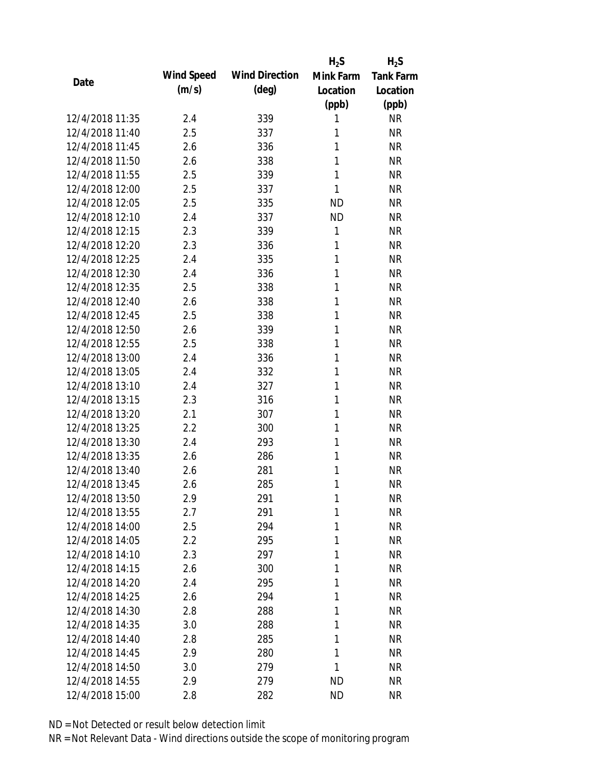|                 |            |                       | $H_2S$       | $H_2S$           |
|-----------------|------------|-----------------------|--------------|------------------|
| Date            | Wind Speed | <b>Wind Direction</b> | Mink Farm    | <b>Tank Farm</b> |
|                 | (m/s)      | $(\text{deg})$        | Location     | Location         |
|                 |            |                       | (ppb)        | (ppb)            |
| 12/4/2018 11:35 | 2.4        | 339                   | 1            | <b>NR</b>        |
| 12/4/2018 11:40 | 2.5        | 337                   | 1            | <b>NR</b>        |
| 12/4/2018 11:45 | 2.6        | 336                   | 1            | <b>NR</b>        |
| 12/4/2018 11:50 | 2.6        | 338                   | 1            | <b>NR</b>        |
| 12/4/2018 11:55 | 2.5        | 339                   | 1            | <b>NR</b>        |
| 12/4/2018 12:00 | 2.5        | 337                   | 1            | <b>NR</b>        |
| 12/4/2018 12:05 | 2.5        | 335                   | <b>ND</b>    | <b>NR</b>        |
| 12/4/2018 12:10 | 2.4        | 337                   | <b>ND</b>    | <b>NR</b>        |
| 12/4/2018 12:15 | 2.3        | 339                   | $\mathbf{1}$ | <b>NR</b>        |
| 12/4/2018 12:20 | 2.3        | 336                   | 1            | <b>NR</b>        |
| 12/4/2018 12:25 | 2.4        | 335                   | 1            | <b>NR</b>        |
| 12/4/2018 12:30 | 2.4        | 336                   | 1            | <b>NR</b>        |
| 12/4/2018 12:35 | 2.5        | 338                   | 1            | <b>NR</b>        |
| 12/4/2018 12:40 | 2.6        | 338                   | 1            | <b>NR</b>        |
| 12/4/2018 12:45 | 2.5        | 338                   | 1            | <b>NR</b>        |
| 12/4/2018 12:50 | 2.6        | 339                   | 1            | <b>NR</b>        |
| 12/4/2018 12:55 | 2.5        | 338                   | 1            | <b>NR</b>        |
| 12/4/2018 13:00 | 2.4        | 336                   | 1            | <b>NR</b>        |
| 12/4/2018 13:05 | 2.4        | 332                   | 1            | <b>NR</b>        |
| 12/4/2018 13:10 | 2.4        | 327                   | 1            | <b>NR</b>        |
| 12/4/2018 13:15 | 2.3        | 316                   | 1            | <b>NR</b>        |
| 12/4/2018 13:20 | 2.1        | 307                   | 1            | <b>NR</b>        |
| 12/4/2018 13:25 | 2.2        | 300                   | 1            | <b>NR</b>        |
| 12/4/2018 13:30 | 2.4        | 293                   | 1            | <b>NR</b>        |
| 12/4/2018 13:35 | 2.6        | 286                   | 1            | <b>NR</b>        |
| 12/4/2018 13:40 | 2.6        | 281                   | 1            | <b>NR</b>        |
| 12/4/2018 13:45 | 2.6        | 285                   | 1            | <b>NR</b>        |
| 12/4/2018 13:50 | 2.9        | 291                   | 1            | <b>NR</b>        |
| 12/4/2018 13:55 | 2.7        | 291                   | 1            | <b>NR</b>        |
| 12/4/2018 14:00 | 2.5        | 294                   | 1            | <b>NR</b>        |
| 12/4/2018 14:05 | 2.2        | 295                   | 1            | <b>NR</b>        |
| 12/4/2018 14:10 | 2.3        | 297                   | 1            | <b>NR</b>        |
| 12/4/2018 14:15 | 2.6        | 300                   | 1            | <b>NR</b>        |
| 12/4/2018 14:20 | 2.4        | 295                   | 1            | <b>NR</b>        |
| 12/4/2018 14:25 | 2.6        | 294                   | $\mathbf{1}$ | <b>NR</b>        |
| 12/4/2018 14:30 | 2.8        |                       | 1            | <b>NR</b>        |
|                 |            | 288                   | 1            |                  |
| 12/4/2018 14:35 | 3.0        | 288                   |              | <b>NR</b>        |
| 12/4/2018 14:40 | 2.8        | 285                   | 1            | <b>NR</b>        |
| 12/4/2018 14:45 | 2.9        | 280                   | 1            | <b>NR</b>        |
| 12/4/2018 14:50 | 3.0        | 279                   | 1            | <b>NR</b>        |
| 12/4/2018 14:55 | 2.9        | 279                   | <b>ND</b>    | <b>NR</b>        |
| 12/4/2018 15:00 | 2.8        | 282                   | <b>ND</b>    | <b>NR</b>        |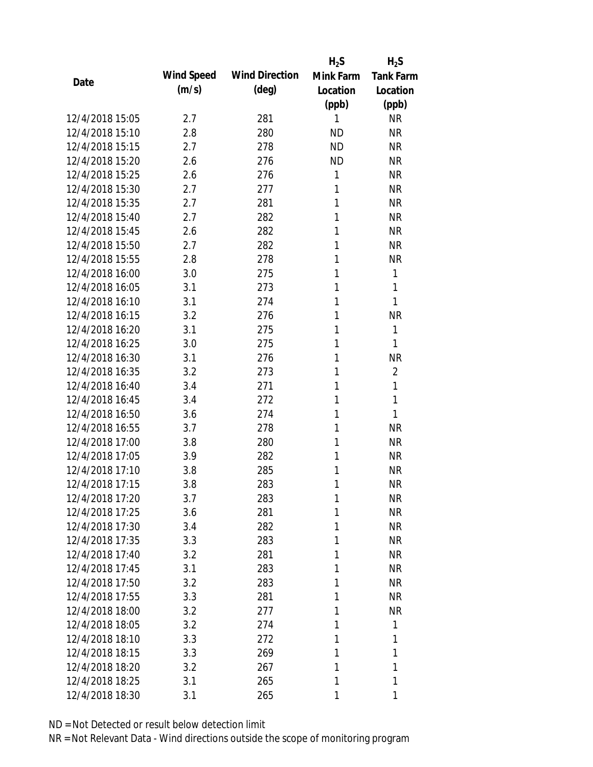|                 |            |                       | $H_2S$    | $H_2S$           |
|-----------------|------------|-----------------------|-----------|------------------|
| Date            | Wind Speed | <b>Wind Direction</b> | Mink Farm | <b>Tank Farm</b> |
|                 | (m/s)      | $(\text{deg})$        | Location  | Location         |
|                 |            |                       | (ppb)     | (ppb)            |
| 12/4/2018 15:05 | 2.7        | 281                   | 1         | <b>NR</b>        |
| 12/4/2018 15:10 | 2.8        | 280                   | <b>ND</b> | <b>NR</b>        |
| 12/4/2018 15:15 | 2.7        | 278                   | <b>ND</b> | <b>NR</b>        |
| 12/4/2018 15:20 | 2.6        | 276                   | <b>ND</b> | <b>NR</b>        |
| 12/4/2018 15:25 | 2.6        | 276                   | 1         | <b>NR</b>        |
| 12/4/2018 15:30 | 2.7        | 277                   | 1         | <b>NR</b>        |
| 12/4/2018 15:35 | 2.7        | 281                   | 1         | <b>NR</b>        |
| 12/4/2018 15:40 | 2.7        | 282                   | 1         | <b>NR</b>        |
| 12/4/2018 15:45 | 2.6        | 282                   | 1         | <b>NR</b>        |
| 12/4/2018 15:50 | 2.7        | 282                   | 1         | <b>NR</b>        |
| 12/4/2018 15:55 | 2.8        | 278                   | 1         | <b>NR</b>        |
| 12/4/2018 16:00 | 3.0        | 275                   | 1         | 1                |
| 12/4/2018 16:05 | 3.1        | 273                   | 1         | 1                |
| 12/4/2018 16:10 | 3.1        | 274                   | 1         | 1                |
| 12/4/2018 16:15 | 3.2        | 276                   | 1         | <b>NR</b>        |
| 12/4/2018 16:20 | 3.1        | 275                   | 1         | 1                |
| 12/4/2018 16:25 | 3.0        | 275                   | 1         | 1                |
| 12/4/2018 16:30 | 3.1        | 276                   | 1         | <b>NR</b>        |
| 12/4/2018 16:35 | 3.2        | 273                   | 1         | $\overline{2}$   |
| 12/4/2018 16:40 | 3.4        | 271                   | 1         | 1                |
| 12/4/2018 16:45 | 3.4        | 272                   | 1         | 1                |
| 12/4/2018 16:50 | 3.6        | 274                   | 1         | 1                |
| 12/4/2018 16:55 | 3.7        | 278                   | 1         | <b>NR</b>        |
| 12/4/2018 17:00 | 3.8        | 280                   | 1         | <b>NR</b>        |
| 12/4/2018 17:05 | 3.9        | 282                   | 1         | <b>NR</b>        |
| 12/4/2018 17:10 | 3.8        | 285                   | 1         | <b>NR</b>        |
| 12/4/2018 17:15 | 3.8        | 283                   | 1         | <b>NR</b>        |
| 12/4/2018 17:20 | 3.7        | 283                   | 1         | <b>NR</b>        |
| 12/4/2018 17:25 | 3.6        | 281                   | 1         | <b>NR</b>        |
| 12/4/2018 17:30 | 3.4        | 282                   | 1         | <b>NR</b>        |
| 12/4/2018 17:35 | 3.3        | 283                   | 1         | <b>NR</b>        |
| 12/4/2018 17:40 | 3.2        | 281                   | 1         | NR               |
| 12/4/2018 17:45 | 3.1        | 283                   | 1         | <b>NR</b>        |
| 12/4/2018 17:50 | 3.2        | 283                   | 1         | NR               |
| 12/4/2018 17:55 | 3.3        | 281                   | 1         | <b>NR</b>        |
| 12/4/2018 18:00 | 3.2        | 277                   | 1         | <b>NR</b>        |
| 12/4/2018 18:05 | 3.2        | 274                   | 1         | 1                |
| 12/4/2018 18:10 | 3.3        | 272                   | 1         | 1                |
| 12/4/2018 18:15 | 3.3        | 269                   | 1         | 1                |
| 12/4/2018 18:20 | 3.2        | 267                   | 1         | 1                |
| 12/4/2018 18:25 | 3.1        | 265                   | 1         | 1                |
| 12/4/2018 18:30 | 3.1        | 265                   | 1         | 1                |
|                 |            |                       |           |                  |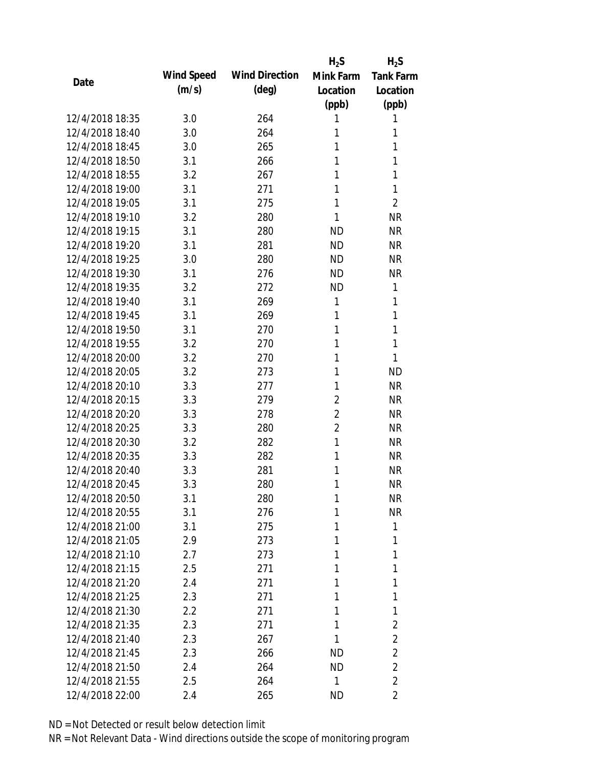|                 |            |                       | $H_2S$         | $H_2S$           |
|-----------------|------------|-----------------------|----------------|------------------|
| Date            | Wind Speed | <b>Wind Direction</b> | Mink Farm      | <b>Tank Farm</b> |
|                 | (m/s)      | $(\text{deg})$        | Location       | Location         |
|                 |            |                       | (ppb)          | (ppb)            |
| 12/4/2018 18:35 | 3.0        | 264                   | 1              | 1                |
| 12/4/2018 18:40 | 3.0        | 264                   | 1              | 1                |
| 12/4/2018 18:45 | 3.0        | 265                   | 1              | 1                |
| 12/4/2018 18:50 | 3.1        | 266                   | 1              | 1                |
| 12/4/2018 18:55 | 3.2        | 267                   | 1              | 1                |
| 12/4/2018 19:00 | 3.1        | 271                   | 1              | 1                |
| 12/4/2018 19:05 | 3.1        | 275                   | 1              | $\overline{2}$   |
| 12/4/2018 19:10 | 3.2        | 280                   | 1              | <b>NR</b>        |
| 12/4/2018 19:15 | 3.1        | 280                   | <b>ND</b>      | <b>NR</b>        |
| 12/4/2018 19:20 | 3.1        | 281                   | <b>ND</b>      | <b>NR</b>        |
| 12/4/2018 19:25 | 3.0        | 280                   | ND.            | <b>NR</b>        |
| 12/4/2018 19:30 | 3.1        | 276                   | <b>ND</b>      | <b>NR</b>        |
| 12/4/2018 19:35 | 3.2        | 272                   | <b>ND</b>      | 1                |
| 12/4/2018 19:40 | 3.1        | 269                   | $\mathbf{1}$   | 1                |
| 12/4/2018 19:45 | 3.1        | 269                   | 1              | 1                |
| 12/4/2018 19:50 | 3.1        | 270                   | 1              | 1                |
| 12/4/2018 19:55 | 3.2        | 270                   | 1              | 1                |
| 12/4/2018 20:00 | 3.2        | 270                   | 1              | 1                |
| 12/4/2018 20:05 | 3.2        | 273                   | 1              | <b>ND</b>        |
| 12/4/2018 20:10 | 3.3        | 277                   | 1              | <b>NR</b>        |
| 12/4/2018 20:15 | 3.3        | 279                   | $\overline{2}$ | <b>NR</b>        |
| 12/4/2018 20:20 | 3.3        | 278                   | $\overline{2}$ | <b>NR</b>        |
| 12/4/2018 20:25 | 3.3        | 280                   | $\overline{2}$ | <b>NR</b>        |
| 12/4/2018 20:30 | 3.2        | 282                   | 1              | <b>NR</b>        |
| 12/4/2018 20:35 | 3.3        | 282                   | 1              | <b>NR</b>        |
| 12/4/2018 20:40 | 3.3        | 281                   | 1              | <b>NR</b>        |
| 12/4/2018 20:45 | 3.3        | 280                   | 1              | <b>NR</b>        |
| 12/4/2018 20:50 | 3.1        | 280                   | $\mathbf{1}$   | <b>NR</b>        |
| 12/4/2018 20:55 | 3.1        | 276                   | 1              | <b>NR</b>        |
| 12/4/2018 21:00 | 3.1        | 275                   | 1              | 1                |
| 12/4/2018 21:05 | 2.9        | 273                   | 1              | 1                |
| 12/4/2018 21:10 | 2.7        | 273                   | 1              | 1                |
| 12/4/2018 21:15 | 2.5        | 271                   | 1              | 1                |
| 12/4/2018 21:20 | 2.4        | 271                   | 1              | 1                |
| 12/4/2018 21:25 | 2.3        | 271                   | 1              | 1                |
| 12/4/2018 21:30 | 2.2        | 271                   | 1              | 1                |
| 12/4/2018 21:35 | 2.3        | 271                   | 1              | $\overline{2}$   |
| 12/4/2018 21:40 | 2.3        | 267                   | 1              | $\overline{2}$   |
| 12/4/2018 21:45 | 2.3        | 266                   | <b>ND</b>      | $\overline{2}$   |
| 12/4/2018 21:50 | 2.4        | 264                   | ND             | $\overline{2}$   |
| 12/4/2018 21:55 | 2.5        | 264                   | $\mathbf{1}$   | $\overline{2}$   |
| 12/4/2018 22:00 | 2.4        | 265                   | <b>ND</b>      | 2                |
|                 |            |                       |                |                  |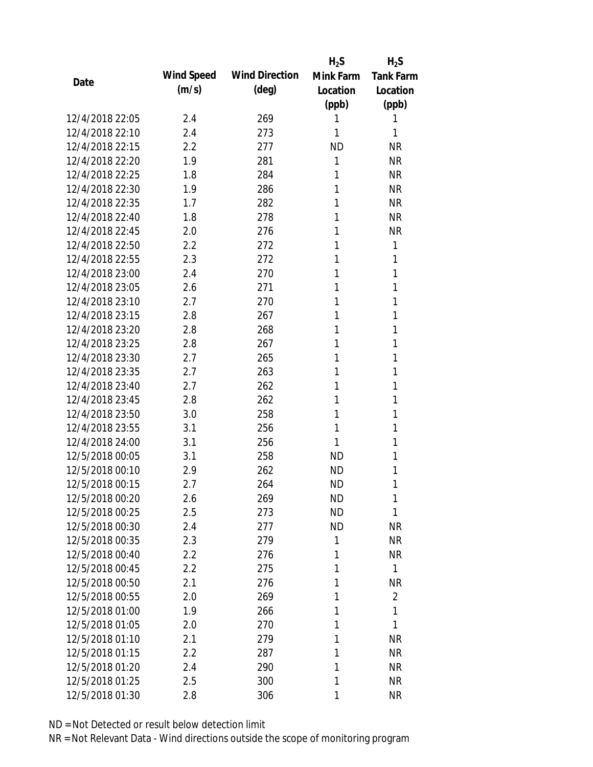|                 |            |                       | $H_2S$    | $H_2S$           |
|-----------------|------------|-----------------------|-----------|------------------|
| Date            | Wind Speed | <b>Wind Direction</b> | Mink Farm | <b>Tank Farm</b> |
|                 | (m/s)      | $(\text{deg})$        | Location  | Location         |
|                 |            |                       | (ppb)     | (ppb)            |
| 12/4/2018 22:05 | 2.4        | 269                   | 1         | 1                |
| 12/4/2018 22:10 | 2.4        | 273                   | 1         | 1                |
| 12/4/2018 22:15 | 2.2        | 277                   | <b>ND</b> | <b>NR</b>        |
| 12/4/2018 22:20 | 1.9        | 281                   | 1         | <b>NR</b>        |
| 12/4/2018 22:25 | 1.8        | 284                   | 1         | <b>NR</b>        |
| 12/4/2018 22:30 | 1.9        | 286                   | 1         | <b>NR</b>        |
| 12/4/2018 22:35 | 1.7        | 282                   | 1         | <b>NR</b>        |
| 12/4/2018 22:40 | 1.8        | 278                   | 1         | <b>NR</b>        |
| 12/4/2018 22:45 | 2.0        | 276                   | 1         | <b>NR</b>        |
| 12/4/2018 22:50 | 2.2        | 272                   | 1         | 1                |
| 12/4/2018 22:55 | 2.3        | 272                   | 1         | 1                |
| 12/4/2018 23:00 | 2.4        | 270                   | 1         | 1                |
| 12/4/2018 23:05 | 2.6        | 271                   | 1         | 1                |
| 12/4/2018 23:10 | 2.7        | 270                   | 1         | 1                |
| 12/4/2018 23:15 | 2.8        | 267                   | 1         | 1                |
| 12/4/2018 23:20 | 2.8        | 268                   | 1         | 1                |
| 12/4/2018 23:25 | 2.8        | 267                   | 1         | 1                |
| 12/4/2018 23:30 | 2.7        | 265                   | 1         | 1                |
| 12/4/2018 23:35 | 2.7        | 263                   | 1         | 1                |
| 12/4/2018 23:40 | 2.7        | 262                   | 1         | 1                |
| 12/4/2018 23:45 | 2.8        | 262                   | 1         | 1                |
| 12/4/2018 23:50 | 3.0        | 258                   | 1         | 1                |
| 12/4/2018 23:55 | 3.1        | 256                   | 1         | 1                |
| 12/4/2018 24:00 | 3.1        | 256                   | 1         | 1                |
| 12/5/2018 00:05 | 3.1        | 258                   | <b>ND</b> | 1                |
| 12/5/2018 00:10 | 2.9        | 262                   | <b>ND</b> | 1                |
| 12/5/2018 00:15 | 2.7        | 264                   | <b>ND</b> | 1                |
| 12/5/2018 00:20 | 2.6        | 269                   | <b>ND</b> | 1                |
| 12/5/2018 00:25 | 2.5        | 273                   | <b>ND</b> | 1                |
| 12/5/2018 00:30 | 2.4        | 277                   | <b>ND</b> | <b>NR</b>        |
| 12/5/2018 00:35 | 2.3        | 279                   | 1         | <b>NR</b>        |
| 12/5/2018 00:40 | 2.2        | 276                   | 1         | NR               |
| 12/5/2018 00:45 | 2.2        | 275                   | 1         | $\mathbf{1}$     |
| 12/5/2018 00:50 | 2.1        | 276                   | 1         | <b>NR</b>        |
| 12/5/2018 00:55 | 2.0        | 269                   | 1         | $\overline{2}$   |
| 12/5/2018 01:00 | 1.9        | 266                   | 1         | 1                |
| 12/5/2018 01:05 | 2.0        | 270                   | 1         | 1                |
| 12/5/2018 01:10 | 2.1        | 279                   | 1         | <b>NR</b>        |
| 12/5/2018 01:15 | 2.2        | 287                   | 1         | NR               |
| 12/5/2018 01:20 |            |                       | 1         | <b>NR</b>        |
|                 | 2.4        | 290                   |           |                  |
| 12/5/2018 01:25 | 2.5        | 300                   | 1         | <b>NR</b>        |
| 12/5/2018 01:30 | 2.8        | 306                   | 1         | <b>NR</b>        |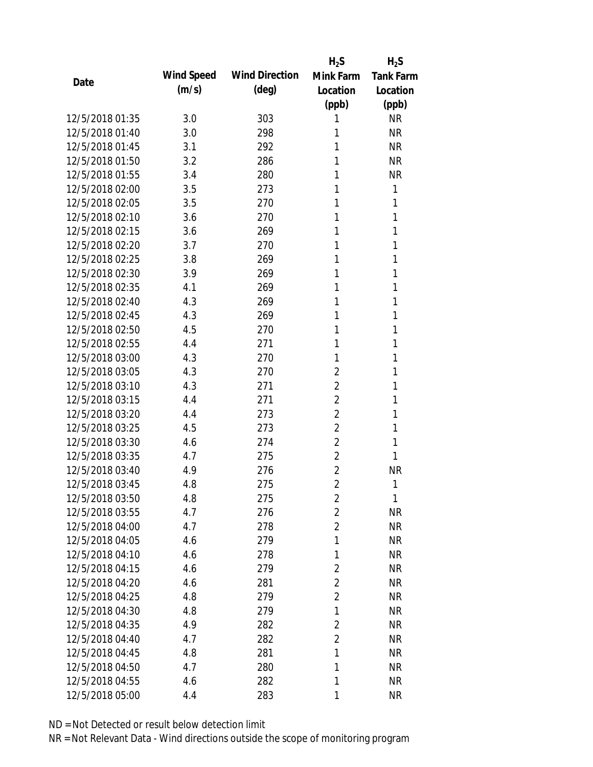|                 |            |                       | $H_2S$         | $H_2S$           |
|-----------------|------------|-----------------------|----------------|------------------|
| Date            | Wind Speed | <b>Wind Direction</b> | Mink Farm      | <b>Tank Farm</b> |
|                 | (m/s)      | $(\text{deg})$        | Location       | Location         |
|                 |            |                       | (ppb)          | (ppb)            |
| 12/5/2018 01:35 | 3.0        | 303                   | 1              | <b>NR</b>        |
| 12/5/2018 01:40 | 3.0        | 298                   | 1              | <b>NR</b>        |
| 12/5/2018 01:45 | 3.1        | 292                   | 1              | <b>NR</b>        |
| 12/5/2018 01:50 | 3.2        | 286                   | 1              | <b>NR</b>        |
| 12/5/2018 01:55 | 3.4        | 280                   | 1              | <b>NR</b>        |
| 12/5/2018 02:00 | 3.5        | 273                   | 1              | 1                |
| 12/5/2018 02:05 | 3.5        | 270                   | 1              | 1                |
| 12/5/2018 02:10 | 3.6        | 270                   | 1              | 1                |
| 12/5/2018 02:15 | 3.6        | 269                   | 1              | 1                |
| 12/5/2018 02:20 | 3.7        | 270                   | 1              | 1                |
| 12/5/2018 02:25 | 3.8        | 269                   | 1              | 1                |
| 12/5/2018 02:30 | 3.9        | 269                   | 1              | 1                |
| 12/5/2018 02:35 | 4.1        | 269                   | 1              | 1                |
| 12/5/2018 02:40 | 4.3        | 269                   | 1              | 1                |
| 12/5/2018 02:45 | 4.3        | 269                   | 1              | 1                |
| 12/5/2018 02:50 | 4.5        | 270                   | 1              | 1                |
| 12/5/2018 02:55 | 4.4        | 271                   | 1              | 1                |
| 12/5/2018 03:00 | 4.3        | 270                   | 1              | 1                |
| 12/5/2018 03:05 | 4.3        | 270                   | $\overline{2}$ | 1                |
| 12/5/2018 03:10 | 4.3        | 271                   | 2              | 1                |
| 12/5/2018 03:15 | 4.4        | 271                   | $\overline{2}$ | 1                |
| 12/5/2018 03:20 | 4.4        | 273                   | $\overline{2}$ | 1                |
| 12/5/2018 03:25 | 4.5        | 273                   | 2              | 1                |
| 12/5/2018 03:30 | 4.6        | 274                   | $\overline{2}$ | 1                |
| 12/5/2018 03:35 | 4.7        | 275                   | $\overline{2}$ | 1                |
| 12/5/2018 03:40 | 4.9        | 276                   | 2              | <b>NR</b>        |
| 12/5/2018 03:45 | 4.8        | 275                   | $\overline{2}$ | 1                |
| 12/5/2018 03:50 | 4.8        | 275                   | $\overline{2}$ | 1                |
| 12/5/2018 03:55 | 4.7        | 276                   | $\overline{2}$ | <b>NR</b>        |
| 12/5/2018 04:00 | 4.7        | 278                   | $\overline{2}$ | <b>NR</b>        |
| 12/5/2018 04:05 | 4.6        | 279                   | 1              | <b>NR</b>        |
| 12/5/2018 04:10 | 4.6        | 278                   | 1              | NR               |
| 12/5/2018 04:15 | 4.6        | 279                   | 2              | NR               |
| 12/5/2018 04:20 | 4.6        | 281                   | $\overline{2}$ | NR               |
| 12/5/2018 04:25 | 4.8        | 279                   | $\overline{2}$ | <b>NR</b>        |
| 12/5/2018 04:30 | 4.8        | 279                   | 1              | <b>NR</b>        |
| 12/5/2018 04:35 | 4.9        | 282                   | $\overline{2}$ | <b>NR</b>        |
| 12/5/2018 04:40 | 4.7        | 282                   | $\overline{2}$ | <b>NR</b>        |
| 12/5/2018 04:45 | 4.8        | 281                   | 1              | <b>NR</b>        |
| 12/5/2018 04:50 | 4.7        | 280                   | 1              | NR               |
| 12/5/2018 04:55 | 4.6        | 282                   | 1              | <b>NR</b>        |
| 12/5/2018 05:00 | 4.4        | 283                   | 1              | <b>NR</b>        |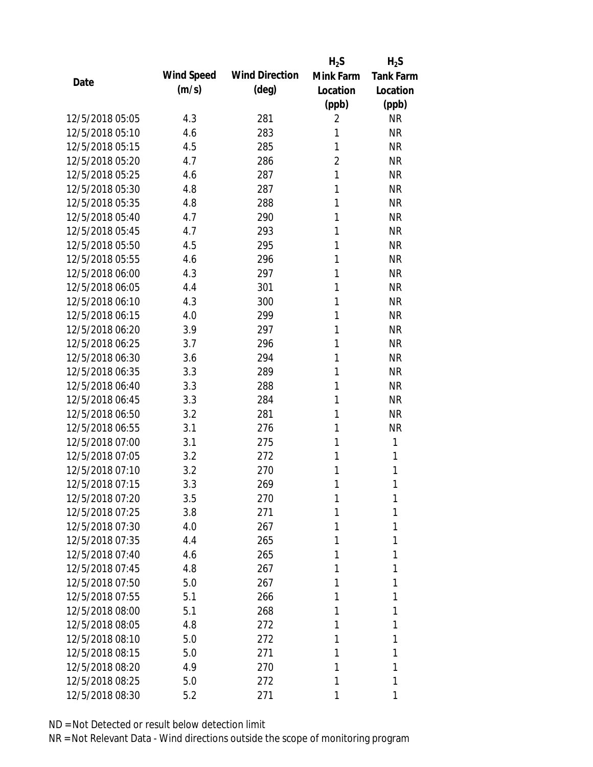|                 |            |                       | $H_2S$         | $H_2S$           |
|-----------------|------------|-----------------------|----------------|------------------|
| Date            | Wind Speed | <b>Wind Direction</b> | Mink Farm      | <b>Tank Farm</b> |
|                 | (m/s)      | $(\text{deg})$        | Location       | Location         |
|                 |            |                       | (ppb)          | (ppb)            |
| 12/5/2018 05:05 | 4.3        | 281                   | 2              | <b>NR</b>        |
| 12/5/2018 05:10 | 4.6        | 283                   | 1              | <b>NR</b>        |
| 12/5/2018 05:15 | 4.5        | 285                   | 1              | <b>NR</b>        |
| 12/5/2018 05:20 | 4.7        | 286                   | $\overline{2}$ | <b>NR</b>        |
| 12/5/2018 05:25 | 4.6        | 287                   | 1              | <b>NR</b>        |
| 12/5/2018 05:30 | 4.8        | 287                   | 1              | <b>NR</b>        |
| 12/5/2018 05:35 | 4.8        | 288                   | 1              | <b>NR</b>        |
| 12/5/2018 05:40 | 4.7        | 290                   | 1              | <b>NR</b>        |
| 12/5/2018 05:45 | 4.7        | 293                   | 1              | <b>NR</b>        |
| 12/5/2018 05:50 | 4.5        | 295                   | 1              | <b>NR</b>        |
| 12/5/2018 05:55 | 4.6        | 296                   | 1              | <b>NR</b>        |
| 12/5/2018 06:00 | 4.3        | 297                   | 1              | <b>NR</b>        |
| 12/5/2018 06:05 | 4.4        | 301                   | 1              | <b>NR</b>        |
| 12/5/2018 06:10 | 4.3        | 300                   | 1              | <b>NR</b>        |
| 12/5/2018 06:15 | 4.0        | 299                   | 1              | <b>NR</b>        |
| 12/5/2018 06:20 | 3.9        | 297                   | 1              | <b>NR</b>        |
| 12/5/2018 06:25 | 3.7        | 296                   | 1              | <b>NR</b>        |
| 12/5/2018 06:30 | 3.6        | 294                   | 1              | <b>NR</b>        |
| 12/5/2018 06:35 | 3.3        | 289                   | 1              | <b>NR</b>        |
| 12/5/2018 06:40 | 3.3        | 288                   | 1              | <b>NR</b>        |
| 12/5/2018 06:45 | 3.3        | 284                   | 1              | <b>NR</b>        |
| 12/5/2018 06:50 | 3.2        | 281                   | 1              | <b>NR</b>        |
| 12/5/2018 06:55 | 3.1        | 276                   | 1              | <b>NR</b>        |
| 12/5/2018 07:00 | 3.1        | 275                   | 1              | 1                |
| 12/5/2018 07:05 | 3.2        | 272                   | 1              | 1                |
| 12/5/2018 07:10 | 3.2        | 270                   | 1              | 1                |
| 12/5/2018 07:15 | 3.3        | 269                   | 1              | 1                |
| 12/5/2018 07:20 | 3.5        | 270                   | 1              | 1                |
| 12/5/2018 07:25 | 3.8        | 271                   | 1              | 1                |
| 12/5/2018 07:30 | 4.0        | 267                   | 1              | 1                |
| 12/5/2018 07:35 | 4.4        | 265                   | 1              | 1                |
| 12/5/2018 07:40 | 4.6        | 265                   | 1              | 1                |
| 12/5/2018 07:45 | 4.8        | 267                   | 1              | 1                |
| 12/5/2018 07:50 | 5.0        | 267                   | 1              | 1                |
| 12/5/2018 07:55 | 5.1        | 266                   | 1              | 1                |
| 12/5/2018 08:00 | 5.1        | 268                   | 1              | 1                |
| 12/5/2018 08:05 | 4.8        | 272                   | 1              | 1                |
| 12/5/2018 08:10 | 5.0        | 272                   | 1              | 1                |
| 12/5/2018 08:15 | 5.0        | 271                   | 1              | 1                |
| 12/5/2018 08:20 | 4.9        | 270                   | 1              | 1                |
| 12/5/2018 08:25 | 5.0        | 272                   | 1              | 1                |
| 12/5/2018 08:30 | 5.2        | 271                   | 1              | 1                |
|                 |            |                       |                |                  |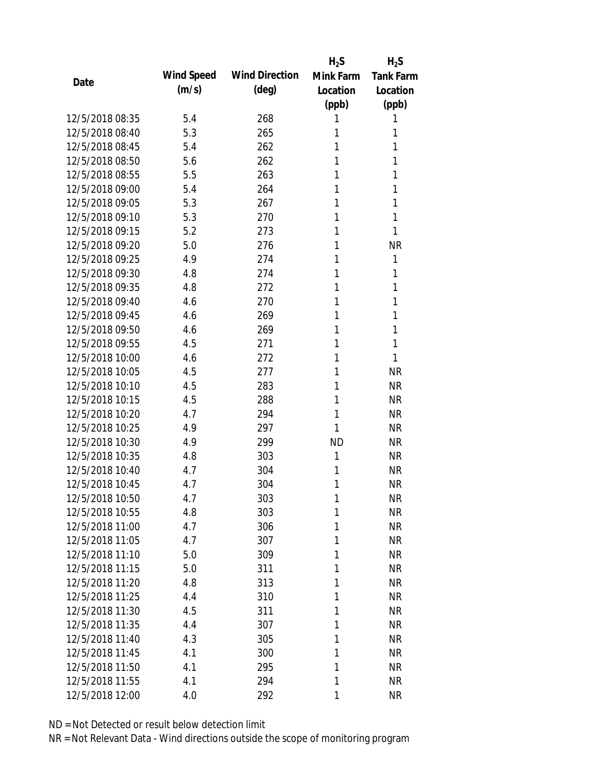|                 |            |                       | $H_2S$       | $H_2S$           |
|-----------------|------------|-----------------------|--------------|------------------|
| Date            | Wind Speed | <b>Wind Direction</b> | Mink Farm    | <b>Tank Farm</b> |
|                 | (m/s)      | $(\text{deg})$        | Location     | Location         |
|                 |            |                       | (ppb)        | (ppb)            |
| 12/5/2018 08:35 | 5.4        | 268                   | 1            | 1                |
| 12/5/2018 08:40 | 5.3        | 265                   | 1            | 1                |
| 12/5/2018 08:45 | 5.4        | 262                   | 1            | 1                |
| 12/5/2018 08:50 | 5.6        | 262                   | 1            | 1                |
| 12/5/2018 08:55 | 5.5        | 263                   | 1            | 1                |
| 12/5/2018 09:00 | 5.4        | 264                   | 1            | 1                |
| 12/5/2018 09:05 | 5.3        | 267                   | 1            | 1                |
| 12/5/2018 09:10 | 5.3        | 270                   | 1            | 1                |
| 12/5/2018 09:15 | 5.2        | 273                   | 1            | 1                |
| 12/5/2018 09:20 | 5.0        | 276                   | 1            | <b>NR</b>        |
| 12/5/2018 09:25 | 4.9        | 274                   | 1            | 1                |
| 12/5/2018 09:30 | 4.8        | 274                   | 1            | 1                |
| 12/5/2018 09:35 | 4.8        | 272                   | 1            | 1                |
| 12/5/2018 09:40 | 4.6        | 270                   | 1            | 1                |
| 12/5/2018 09:45 | 4.6        | 269                   | 1            | 1                |
| 12/5/2018 09:50 | 4.6        | 269                   | 1            | 1                |
| 12/5/2018 09:55 | 4.5        | 271                   | 1            | 1                |
| 12/5/2018 10:00 | 4.6        | 272                   | 1            | 1                |
| 12/5/2018 10:05 | 4.5        | 277                   | 1            | <b>NR</b>        |
| 12/5/2018 10:10 | 4.5        | 283                   | 1            | <b>NR</b>        |
| 12/5/2018 10:15 | 4.5        | 288                   | 1            | <b>NR</b>        |
| 12/5/2018 10:20 | 4.7        | 294                   | 1            | <b>NR</b>        |
| 12/5/2018 10:25 | 4.9        | 297                   | 1            | <b>NR</b>        |
| 12/5/2018 10:30 | 4.9        | 299                   | <b>ND</b>    | <b>NR</b>        |
| 12/5/2018 10:35 | 4.8        | 303                   | $\mathbf{1}$ | <b>NR</b>        |
| 12/5/2018 10:40 | 4.7        | 304                   | 1            | <b>NR</b>        |
| 12/5/2018 10:45 | 4.7        | 304                   | 1            | <b>NR</b>        |
| 12/5/2018 10:50 | 4.7        | 303                   | $\mathbf{1}$ | <b>NR</b>        |
| 12/5/2018 10:55 | 4.8        | 303                   | 1            | <b>NR</b>        |
| 12/5/2018 11:00 | 4.7        | 306                   | 1            | <b>NR</b>        |
| 12/5/2018 11:05 | 4.7        | 307                   | 1            | <b>NR</b>        |
| 12/5/2018 11:10 | 5.0        | 309                   | 1            | <b>NR</b>        |
| 12/5/2018 11:15 | 5.0        | 311                   | 1            | <b>NR</b>        |
| 12/5/2018 11:20 | 4.8        | 313                   | 1            | <b>NR</b>        |
| 12/5/2018 11:25 | 4.4        | 310                   | 1            | <b>NR</b>        |
| 12/5/2018 11:30 | 4.5        | 311                   | 1            | <b>NR</b>        |
| 12/5/2018 11:35 | 4.4        | 307                   | 1            | <b>NR</b>        |
| 12/5/2018 11:40 | 4.3        | 305                   | 1            | <b>NR</b>        |
| 12/5/2018 11:45 | 4.1        | 300                   | 1            | <b>NR</b>        |
| 12/5/2018 11:50 | 4.1        | 295                   | 1            | <b>NR</b>        |
| 12/5/2018 11:55 | 4.1        | 294                   | 1            | <b>NR</b>        |
| 12/5/2018 12:00 | 4.0        | 292                   | 1            | <b>NR</b>        |
|                 |            |                       |              |                  |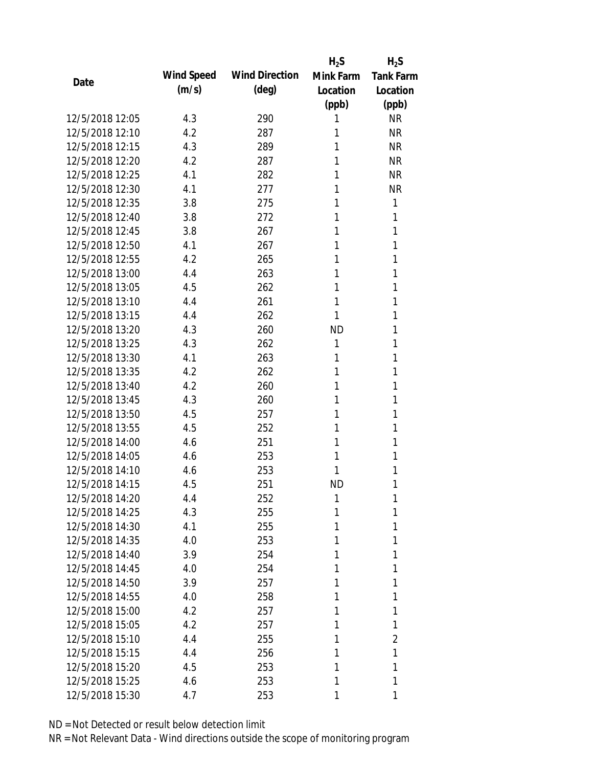|                 |            |                       | $H_2S$    | $H_2S$           |
|-----------------|------------|-----------------------|-----------|------------------|
| Date            | Wind Speed | <b>Wind Direction</b> | Mink Farm | <b>Tank Farm</b> |
|                 | (m/s)      | (deg)                 | Location  | Location         |
|                 |            |                       | (ppb)     | (ppb)            |
| 12/5/2018 12:05 | 4.3        | 290                   | 1         | <b>NR</b>        |
| 12/5/2018 12:10 | 4.2        | 287                   | 1         | <b>NR</b>        |
| 12/5/2018 12:15 | 4.3        | 289                   | 1         | <b>NR</b>        |
| 12/5/2018 12:20 | 4.2        | 287                   | 1         | <b>NR</b>        |
| 12/5/2018 12:25 | 4.1        | 282                   | 1         | <b>NR</b>        |
| 12/5/2018 12:30 | 4.1        | 277                   | 1         | <b>NR</b>        |
| 12/5/2018 12:35 | 3.8        | 275                   | 1         | 1                |
| 12/5/2018 12:40 | 3.8        | 272                   | 1         | 1                |
| 12/5/2018 12:45 | 3.8        | 267                   | 1         | 1                |
| 12/5/2018 12:50 | 4.1        | 267                   | 1         | 1                |
| 12/5/2018 12:55 | 4.2        | 265                   | 1         | 1                |
| 12/5/2018 13:00 | 4.4        | 263                   | 1         | 1                |
| 12/5/2018 13:05 | 4.5        | 262                   | 1         | 1                |
| 12/5/2018 13:10 | 4.4        | 261                   | 1         | 1                |
| 12/5/2018 13:15 | 4.4        | 262                   | 1         | 1                |
| 12/5/2018 13:20 | 4.3        | 260                   | <b>ND</b> | 1                |
| 12/5/2018 13:25 | 4.3        | 262                   | 1         | 1                |
| 12/5/2018 13:30 | 4.1        | 263                   | 1         | 1                |
| 12/5/2018 13:35 | 4.2        | 262                   | 1         | 1                |
| 12/5/2018 13:40 | 4.2        | 260                   | 1         | 1                |
| 12/5/2018 13:45 | 4.3        | 260                   | 1         | 1                |
| 12/5/2018 13:50 | 4.5        | 257                   | 1         | 1                |
| 12/5/2018 13:55 | 4.5        | 252                   | 1         | 1                |
| 12/5/2018 14:00 | 4.6        | 251                   | 1         | 1                |
| 12/5/2018 14:05 | 4.6        | 253                   | 1         | 1                |
| 12/5/2018 14:10 | 4.6        | 253                   | 1         | 1                |
| 12/5/2018 14:15 | 4.5        | 251                   | <b>ND</b> | 1                |
| 12/5/2018 14:20 | 4.4        | 252                   | 1         | 1                |
| 12/5/2018 14:25 | 4.3        | 255                   | 1         | 1                |
| 12/5/2018 14:30 | 4.1        | 255                   | 1         | 1                |
| 12/5/2018 14:35 | 4.0        | 253                   | 1         | 1                |
| 12/5/2018 14:40 | 3.9        | 254                   | 1         | 1                |
| 12/5/2018 14:45 | 4.0        | 254                   | 1         | 1                |
| 12/5/2018 14:50 | 3.9        | 257                   | 1         | 1                |
| 12/5/2018 14:55 | 4.0        | 258                   | 1         | 1                |
| 12/5/2018 15:00 | 4.2        | 257                   | 1         | 1                |
| 12/5/2018 15:05 | 4.2        | 257                   | 1         | 1                |
| 12/5/2018 15:10 | 4.4        | 255                   | 1         | 2                |
| 12/5/2018 15:15 | 4.4        | 256                   | 1         | 1                |
| 12/5/2018 15:20 | 4.5        | 253                   | 1         | 1                |
| 12/5/2018 15:25 | 4.6        | 253                   | 1         | 1                |
| 12/5/2018 15:30 | 4.7        | 253                   | 1         | 1                |
|                 |            |                       |           |                  |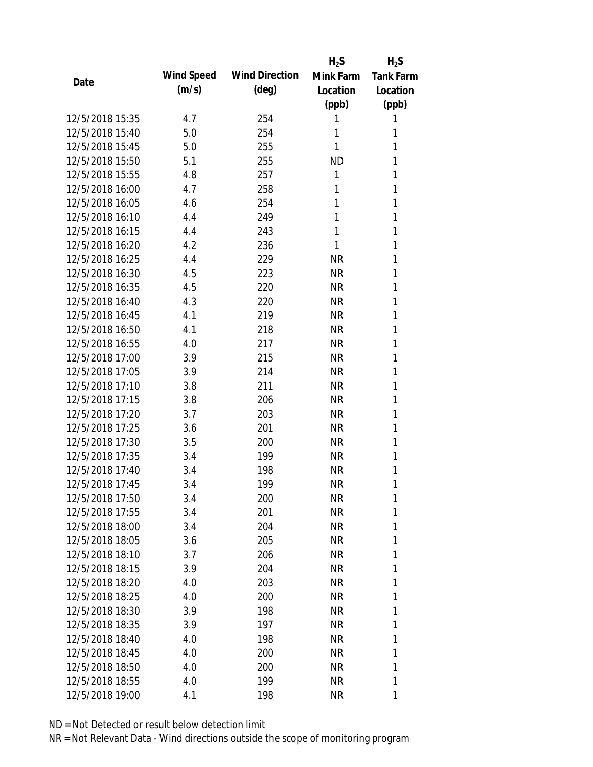|                 |            |                       | $H_2S$    | $H_2S$           |
|-----------------|------------|-----------------------|-----------|------------------|
| Date            | Wind Speed | <b>Wind Direction</b> | Mink Farm | <b>Tank Farm</b> |
|                 | (m/s)      | $(\text{deg})$        | Location  | Location         |
|                 |            |                       | (ppb)     | (ppb)            |
| 12/5/2018 15:35 | 4.7        | 254                   | 1         | 1                |
| 12/5/2018 15:40 | 5.0        | 254                   | 1         | 1                |
| 12/5/2018 15:45 | 5.0        | 255                   | 1         | 1                |
| 12/5/2018 15:50 | 5.1        | 255                   | <b>ND</b> | 1                |
| 12/5/2018 15:55 | 4.8        | 257                   | 1         | 1                |
| 12/5/2018 16:00 | 4.7        | 258                   | 1         | 1                |
| 12/5/2018 16:05 | 4.6        | 254                   | 1         | 1                |
| 12/5/2018 16:10 | 4.4        | 249                   | 1         | 1                |
| 12/5/2018 16:15 | 4.4        | 243                   | 1         | 1                |
| 12/5/2018 16:20 | 4.2        | 236                   | 1         | 1                |
| 12/5/2018 16:25 | 4.4        | 229                   | <b>NR</b> | 1                |
| 12/5/2018 16:30 | 4.5        | 223                   | <b>NR</b> | 1                |
| 12/5/2018 16:35 | 4.5        | 220                   | <b>NR</b> | 1                |
| 12/5/2018 16:40 | 4.3        | 220                   | <b>NR</b> | 1                |
| 12/5/2018 16:45 | 4.1        | 219                   | <b>NR</b> | 1                |
| 12/5/2018 16:50 | 4.1        | 218                   | <b>NR</b> | 1                |
| 12/5/2018 16:55 | 4.0        | 217                   | <b>NR</b> | 1                |
| 12/5/2018 17:00 | 3.9        | 215                   | <b>NR</b> | 1                |
| 12/5/2018 17:05 | 3.9        | 214                   | <b>NR</b> | 1                |
| 12/5/2018 17:10 | 3.8        | 211                   | <b>NR</b> | 1                |
| 12/5/2018 17:15 | 3.8        | 206                   | <b>NR</b> | 1                |
| 12/5/2018 17:20 | 3.7        | 203                   | <b>NR</b> | 1                |
| 12/5/2018 17:25 | 3.6        | 201                   | <b>NR</b> | 1                |
| 12/5/2018 17:30 | 3.5        | 200                   | <b>NR</b> | 1                |
| 12/5/2018 17:35 | 3.4        | 199                   | <b>NR</b> | 1                |
| 12/5/2018 17:40 | 3.4        | 198                   | <b>NR</b> | 1                |
| 12/5/2018 17:45 | 3.4        | 199                   | <b>NR</b> | 1                |
| 12/5/2018 17:50 | 3.4        | 200                   | <b>NR</b> | 1                |
| 12/5/2018 17:55 | 3.4        | 201                   | <b>NR</b> | 1                |
| 12/5/2018 18:00 | 3.4        | 204                   | NR        | 1                |
| 12/5/2018 18:05 | 3.6        | 205                   | NR        | 1                |
| 12/5/2018 18:10 | 3.7        | 206                   | <b>NR</b> | 1                |
| 12/5/2018 18:15 | 3.9        | 204                   | NR        | 1                |
| 12/5/2018 18:20 | 4.0        | 203                   | <b>NR</b> | 1                |
| 12/5/2018 18:25 | 4.0        | 200                   | <b>NR</b> | 1                |
| 12/5/2018 18:30 | 3.9        | 198                   | NR        | 1                |
| 12/5/2018 18:35 | 3.9        | 197                   | NR        | 1                |
| 12/5/2018 18:40 | 4.0        | 198                   | NR        | 1                |
| 12/5/2018 18:45 | 4.0        | 200                   | NR        | 1                |
| 12/5/2018 18:50 | 4.0        | 200                   | <b>NR</b> | 1                |
| 12/5/2018 18:55 | 4.0        | 199                   | <b>NR</b> | 1                |
| 12/5/2018 19:00 | 4.1        | 198                   | <b>NR</b> | 1                |
|                 |            |                       |           |                  |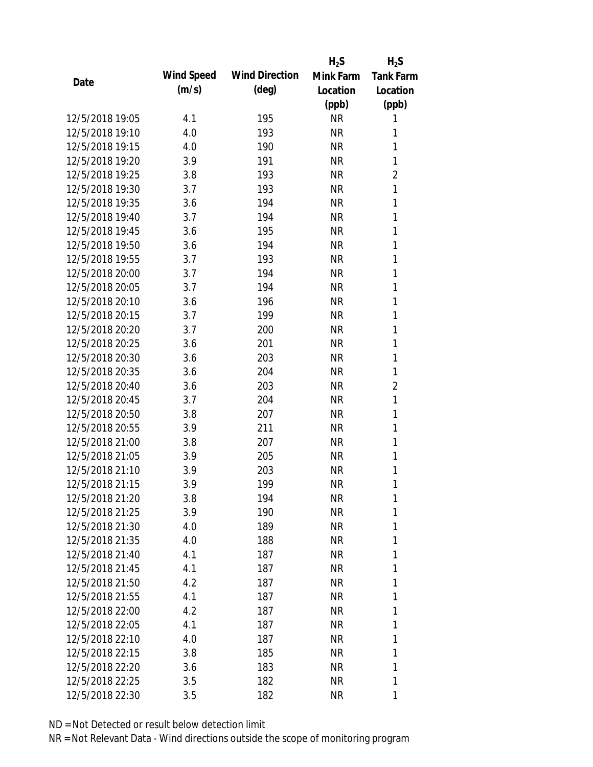|                 |            |                       | $H_2S$    | $H_2S$           |
|-----------------|------------|-----------------------|-----------|------------------|
|                 | Wind Speed | <b>Wind Direction</b> | Mink Farm | <b>Tank Farm</b> |
| Date            | (m/s)      | $(\text{deg})$        | Location  | Location         |
|                 |            |                       | (ppb)     | (ppb)            |
| 12/5/2018 19:05 | 4.1        | 195                   | <b>NR</b> | 1                |
| 12/5/2018 19:10 | 4.0        | 193                   | <b>NR</b> | 1                |
| 12/5/2018 19:15 | 4.0        | 190                   | <b>NR</b> | 1                |
| 12/5/2018 19:20 | 3.9        | 191                   | <b>NR</b> | 1                |
| 12/5/2018 19:25 | 3.8        | 193                   | <b>NR</b> | $\overline{2}$   |
| 12/5/2018 19:30 | 3.7        | 193                   | <b>NR</b> | 1                |
| 12/5/2018 19:35 | 3.6        | 194                   | <b>NR</b> | 1                |
| 12/5/2018 19:40 | 3.7        | 194                   | <b>NR</b> | 1                |
| 12/5/2018 19:45 | 3.6        | 195                   | <b>NR</b> | 1                |
| 12/5/2018 19:50 | 3.6        | 194                   | <b>NR</b> | 1                |
| 12/5/2018 19:55 | 3.7        | 193                   | <b>NR</b> | 1                |
| 12/5/2018 20:00 | 3.7        | 194                   | <b>NR</b> | 1                |
| 12/5/2018 20:05 | 3.7        | 194                   | <b>NR</b> | 1                |
| 12/5/2018 20:10 | 3.6        | 196                   | <b>NR</b> | 1                |
| 12/5/2018 20:15 | 3.7        | 199                   | <b>NR</b> | 1                |
| 12/5/2018 20:20 | 3.7        | 200                   | <b>NR</b> | 1                |
| 12/5/2018 20:25 | 3.6        | 201                   | <b>NR</b> | 1                |
| 12/5/2018 20:30 | 3.6        | 203                   | <b>NR</b> | $\mathbf{1}$     |
| 12/5/2018 20:35 | 3.6        | 204                   | <b>NR</b> | 1                |
| 12/5/2018 20:40 | 3.6        | 203                   | <b>NR</b> | $\overline{2}$   |
| 12/5/2018 20:45 | 3.7        | 204                   | <b>NR</b> | 1                |
| 12/5/2018 20:50 | 3.8        | 207                   | <b>NR</b> | 1                |
| 12/5/2018 20:55 | 3.9        | 211                   | <b>NR</b> | 1                |
| 12/5/2018 21:00 | 3.8        | 207                   | <b>NR</b> | 1                |
| 12/5/2018 21:05 | 3.9        | 205                   | <b>NR</b> | 1                |
| 12/5/2018 21:10 | 3.9        | 203                   | <b>NR</b> | 1                |
| 12/5/2018 21:15 | 3.9        | 199                   | <b>NR</b> | 1                |
| 12/5/2018 21:20 | 3.8        | 194                   | <b>NR</b> | 1                |
| 12/5/2018 21:25 | 3.9        | 190                   | <b>NR</b> | 1                |
| 12/5/2018 21:30 | 4.0        | 189                   | NR        | 1                |
| 12/5/2018 21:35 | 4.0        | 188                   | NR        | 1                |
| 12/5/2018 21:40 | 4.1        | 187                   | <b>NR</b> | 1                |
| 12/5/2018 21:45 | 4.1        | 187                   | NR        | 1                |
| 12/5/2018 21:50 | 4.2        | 187                   | <b>NR</b> | 1                |
| 12/5/2018 21:55 | 4.1        | 187                   | <b>NR</b> | 1                |
| 12/5/2018 22:00 | 4.2        | 187                   | NR        | 1                |
| 12/5/2018 22:05 | 4.1        | 187                   | NR        | 1                |
| 12/5/2018 22:10 | 4.0        | 187                   | NR        | 1                |
| 12/5/2018 22:15 | 3.8        | 185                   | NR        | 1                |
| 12/5/2018 22:20 | 3.6        | 183                   | <b>NR</b> | 1                |
| 12/5/2018 22:25 | 3.5        | 182                   | <b>NR</b> | 1                |
| 12/5/2018 22:30 | 3.5        | 182                   | <b>NR</b> | 1                |
|                 |            |                       |           |                  |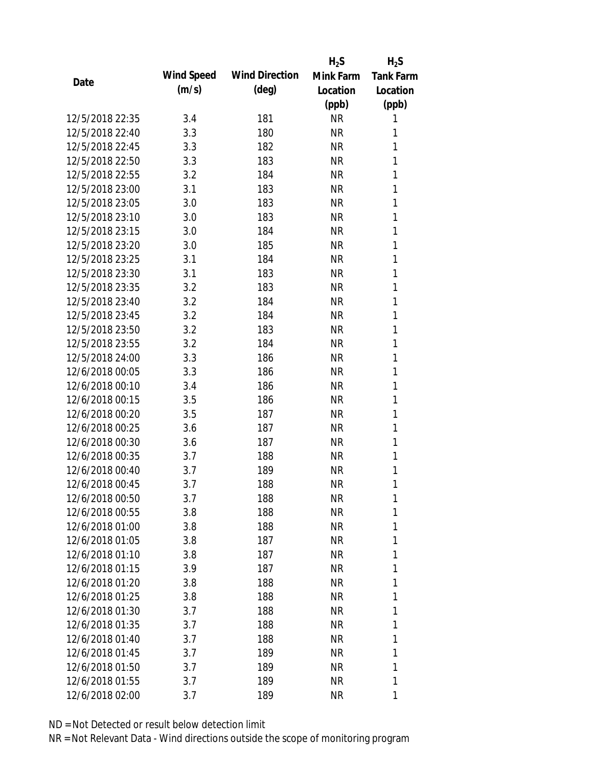|                 |            |                       | $H_2S$    | $H_2S$           |
|-----------------|------------|-----------------------|-----------|------------------|
| Date            | Wind Speed | <b>Wind Direction</b> | Mink Farm | <b>Tank Farm</b> |
|                 | (m/s)      | $(\text{deg})$        | Location  | Location         |
|                 |            |                       | (ppb)     | (ppb)            |
| 12/5/2018 22:35 | 3.4        | 181                   | <b>NR</b> | 1                |
| 12/5/2018 22:40 | 3.3        | 180                   | <b>NR</b> | 1                |
| 12/5/2018 22:45 | 3.3        | 182                   | <b>NR</b> | 1                |
| 12/5/2018 22:50 | 3.3        | 183                   | <b>NR</b> | 1                |
| 12/5/2018 22:55 | 3.2        | 184                   | <b>NR</b> | 1                |
| 12/5/2018 23:00 | 3.1        | 183                   | <b>NR</b> | 1                |
| 12/5/2018 23:05 | 3.0        | 183                   | <b>NR</b> | 1                |
| 12/5/2018 23:10 | 3.0        | 183                   | <b>NR</b> | 1                |
| 12/5/2018 23:15 | 3.0        | 184                   | <b>NR</b> | 1                |
| 12/5/2018 23:20 | 3.0        | 185                   | <b>NR</b> | 1                |
| 12/5/2018 23:25 | 3.1        | 184                   | <b>NR</b> | 1                |
| 12/5/2018 23:30 | 3.1        | 183                   | <b>NR</b> | 1                |
| 12/5/2018 23:35 | 3.2        | 183                   | <b>NR</b> | 1                |
| 12/5/2018 23:40 | 3.2        | 184                   | <b>NR</b> | 1                |
| 12/5/2018 23:45 | 3.2        | 184                   | <b>NR</b> | 1                |
| 12/5/2018 23:50 | 3.2        | 183                   | <b>NR</b> | 1                |
| 12/5/2018 23:55 | 3.2        | 184                   | <b>NR</b> | 1                |
| 12/5/2018 24:00 | 3.3        | 186                   | <b>NR</b> | 1                |
| 12/6/2018 00:05 | 3.3        | 186                   | <b>NR</b> | 1                |
| 12/6/2018 00:10 | 3.4        | 186                   | <b>NR</b> | 1                |
| 12/6/2018 00:15 | 3.5        | 186                   | <b>NR</b> | 1                |
| 12/6/2018 00:20 | 3.5        | 187                   | <b>NR</b> | 1                |
| 12/6/2018 00:25 | 3.6        | 187                   | <b>NR</b> | 1                |
| 12/6/2018 00:30 | 3.6        | 187                   | <b>NR</b> | 1                |
| 12/6/2018 00:35 | 3.7        | 188                   | <b>NR</b> | 1                |
| 12/6/2018 00:40 | 3.7        | 189                   | <b>NR</b> | 1                |
| 12/6/2018 00:45 | 3.7        | 188                   | <b>NR</b> | 1                |
| 12/6/2018 00:50 | 3.7        | 188                   | <b>NR</b> | 1                |
| 12/6/2018 00:55 | 3.8        | 188                   | <b>NR</b> | 1                |
| 12/6/2018 01:00 | 3.8        | 188                   | NR        | 1                |
| 12/6/2018 01:05 | 3.8        | 187                   | NR        | 1                |
| 12/6/2018 01:10 | 3.8        | 187                   | NR        | 1                |
| 12/6/2018 01:15 | 3.9        | 187                   | NR        | 1                |
| 12/6/2018 01:20 | 3.8        | 188                   | <b>NR</b> | 1                |
| 12/6/2018 01:25 | 3.8        | 188                   | NR        | 1                |
| 12/6/2018 01:30 | 3.7        | 188                   | NR        | 1                |
| 12/6/2018 01:35 | 3.7        | 188                   | NR        | 1                |
| 12/6/2018 01:40 | 3.7        | 188                   | NR        | 1                |
| 12/6/2018 01:45 | 3.7        | 189                   | NR        | 1                |
| 12/6/2018 01:50 | 3.7        | 189                   | <b>NR</b> | 1                |
| 12/6/2018 01:55 | 3.7        | 189                   | <b>NR</b> | 1                |
| 12/6/2018 02:00 | 3.7        | 189                   | <b>NR</b> | 1                |
|                 |            |                       |           |                  |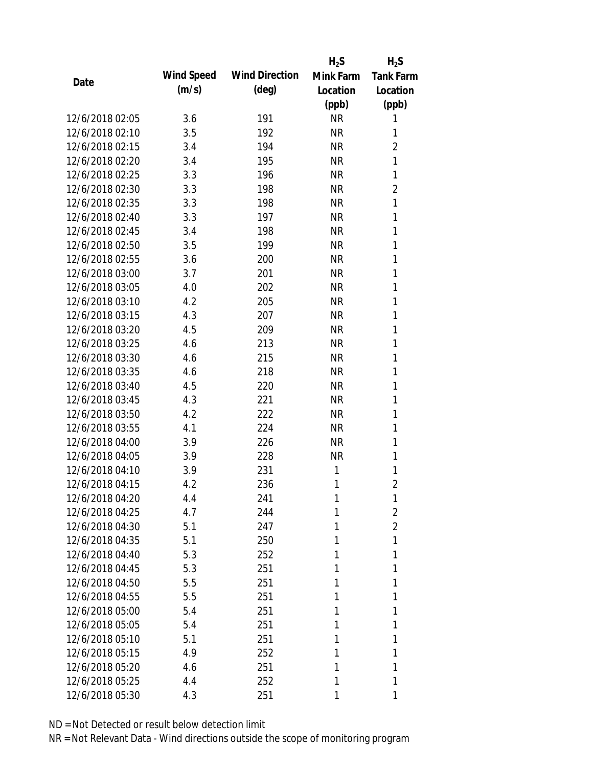|                 |            |                       | $H_2S$    | $H_2S$           |
|-----------------|------------|-----------------------|-----------|------------------|
| Date            | Wind Speed | <b>Wind Direction</b> | Mink Farm | <b>Tank Farm</b> |
|                 | (m/s)      | $(\text{deg})$        | Location  | Location         |
|                 |            |                       | (ppb)     | (ppb)            |
| 12/6/2018 02:05 | 3.6        | 191                   | <b>NR</b> | 1                |
| 12/6/2018 02:10 | 3.5        | 192                   | <b>NR</b> | 1                |
| 12/6/2018 02:15 | 3.4        | 194                   | <b>NR</b> | $\overline{2}$   |
| 12/6/2018 02:20 | 3.4        | 195                   | <b>NR</b> | 1                |
| 12/6/2018 02:25 | 3.3        | 196                   | <b>NR</b> | 1                |
| 12/6/2018 02:30 | 3.3        | 198                   | <b>NR</b> | $\overline{2}$   |
| 12/6/2018 02:35 | 3.3        | 198                   | <b>NR</b> | 1                |
| 12/6/2018 02:40 | 3.3        | 197                   | <b>NR</b> | 1                |
| 12/6/2018 02:45 | 3.4        | 198                   | <b>NR</b> | 1                |
| 12/6/2018 02:50 | 3.5        | 199                   | <b>NR</b> | 1                |
| 12/6/2018 02:55 | 3.6        | 200                   | <b>NR</b> | 1                |
| 12/6/2018 03:00 | 3.7        | 201                   | <b>NR</b> | 1                |
| 12/6/2018 03:05 | 4.0        | 202                   | <b>NR</b> | 1                |
| 12/6/2018 03:10 | 4.2        | 205                   | <b>NR</b> | 1                |
| 12/6/2018 03:15 | 4.3        | 207                   | <b>NR</b> | 1                |
| 12/6/2018 03:20 | 4.5        | 209                   | <b>NR</b> | 1                |
| 12/6/2018 03:25 | 4.6        | 213                   | <b>NR</b> | 1                |
| 12/6/2018 03:30 | 4.6        | 215                   | <b>NR</b> | 1                |
| 12/6/2018 03:35 | 4.6        | 218                   | <b>NR</b> | 1                |
| 12/6/2018 03:40 | 4.5        | 220                   | <b>NR</b> | 1                |
| 12/6/2018 03:45 | 4.3        | 221                   | <b>NR</b> | 1                |
| 12/6/2018 03:50 | 4.2        | 222                   | <b>NR</b> | 1                |
| 12/6/2018 03:55 | 4.1        | 224                   | <b>NR</b> | 1                |
| 12/6/2018 04:00 | 3.9        | 226                   | <b>NR</b> | 1                |
| 12/6/2018 04:05 | 3.9        | 228                   | <b>NR</b> | 1                |
| 12/6/2018 04:10 | 3.9        | 231                   | 1         | 1                |
| 12/6/2018 04:15 | 4.2        | 236                   | 1         | $\overline{2}$   |
| 12/6/2018 04:20 | 4.4        | 241                   | 1         | 1                |
| 12/6/2018 04:25 | 4.7        | 244                   | 1         | 2                |
| 12/6/2018 04:30 | 5.1        | 247                   | 1         | $\overline{2}$   |
| 12/6/2018 04:35 | 5.1        | 250                   | 1         | 1                |
| 12/6/2018 04:40 | 5.3        | 252                   | 1         | 1                |
| 12/6/2018 04:45 | 5.3        | 251                   | 1         | 1                |
| 12/6/2018 04:50 | 5.5        | 251                   | 1         | 1                |
| 12/6/2018 04:55 | 5.5        | 251                   | 1         | 1                |
| 12/6/2018 05:00 | 5.4        | 251                   | 1         | 1                |
| 12/6/2018 05:05 | 5.4        | 251                   | 1         | 1                |
| 12/6/2018 05:10 | 5.1        | 251                   | 1         | 1                |
| 12/6/2018 05:15 | 4.9        | 252                   | 1         | 1                |
| 12/6/2018 05:20 | 4.6        | 251                   | 1         | 1                |
| 12/6/2018 05:25 | 4.4        | 252                   | 1         | 1                |
| 12/6/2018 05:30 | 4.3        | 251                   | 1         | 1                |
|                 |            |                       |           |                  |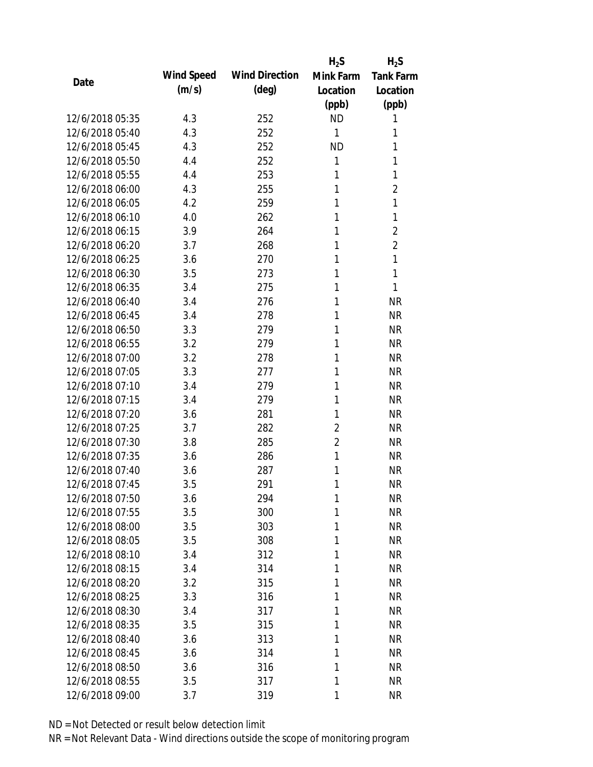|                 |            |                       | $H_2S$         | $H_2S$           |
|-----------------|------------|-----------------------|----------------|------------------|
| Date            | Wind Speed | <b>Wind Direction</b> | Mink Farm      | <b>Tank Farm</b> |
|                 | (m/s)      | $(\text{deg})$        | Location       | Location         |
|                 |            |                       | (ppb)          | (ppb)            |
| 12/6/2018 05:35 | 4.3        | 252                   | <b>ND</b>      | 1                |
| 12/6/2018 05:40 | 4.3        | 252                   | $\mathbf{1}$   | 1                |
| 12/6/2018 05:45 | 4.3        | 252                   | <b>ND</b>      | 1                |
| 12/6/2018 05:50 | 4.4        | 252                   | $\mathbf{1}$   | 1                |
| 12/6/2018 05:55 | 4.4        | 253                   | 1              | 1                |
| 12/6/2018 06:00 | 4.3        | 255                   | 1              | $\overline{2}$   |
| 12/6/2018 06:05 | 4.2        | 259                   | 1              | 1                |
| 12/6/2018 06:10 | 4.0        | 262                   | 1              | 1                |
| 12/6/2018 06:15 | 3.9        | 264                   | 1              | $\overline{2}$   |
| 12/6/2018 06:20 | 3.7        | 268                   | 1              | $\overline{2}$   |
| 12/6/2018 06:25 | 3.6        | 270                   | 1              | 1                |
| 12/6/2018 06:30 | 3.5        | 273                   | 1              | 1                |
| 12/6/2018 06:35 | 3.4        | 275                   | 1              | 1                |
| 12/6/2018 06:40 | 3.4        | 276                   | 1              | <b>NR</b>        |
| 12/6/2018 06:45 | 3.4        | 278                   | 1              | <b>NR</b>        |
| 12/6/2018 06:50 | 3.3        | 279                   | 1              | <b>NR</b>        |
| 12/6/2018 06:55 | 3.2        | 279                   | 1              | <b>NR</b>        |
| 12/6/2018 07:00 | 3.2        | 278                   | 1              | <b>NR</b>        |
| 12/6/2018 07:05 | 3.3        | 277                   | 1              | <b>NR</b>        |
| 12/6/2018 07:10 | 3.4        | 279                   | 1              | <b>NR</b>        |
| 12/6/2018 07:15 | 3.4        | 279                   | 1              | <b>NR</b>        |
| 12/6/2018 07:20 | 3.6        | 281                   | 1              | <b>NR</b>        |
| 12/6/2018 07:25 | 3.7        | 282                   | $\overline{2}$ | <b>NR</b>        |
| 12/6/2018 07:30 | 3.8        | 285                   | $\overline{2}$ | <b>NR</b>        |
| 12/6/2018 07:35 | 3.6        | 286                   | 1              | <b>NR</b>        |
| 12/6/2018 07:40 | 3.6        | 287                   | 1              | <b>NR</b>        |
| 12/6/2018 07:45 | 3.5        | 291                   | 1              | <b>NR</b>        |
| 12/6/2018 07:50 | 3.6        | 294                   | 1              | <b>NR</b>        |
| 12/6/2018 07:55 | 3.5        | 300                   | 1              | <b>NR</b>        |
| 12/6/2018 08:00 | 3.5        | 303                   | 1              | <b>NR</b>        |
| 12/6/2018 08:05 | 3.5        | 308                   | 1              | <b>NR</b>        |
| 12/6/2018 08:10 | 3.4        | 312                   | 1              | <b>NR</b>        |
| 12/6/2018 08:15 | 3.4        | 314                   | 1              | <b>NR</b>        |
| 12/6/2018 08:20 | 3.2        | 315                   | 1              | <b>NR</b>        |
| 12/6/2018 08:25 | 3.3        | 316                   | 1              | <b>NR</b>        |
| 12/6/2018 08:30 | 3.4        | 317                   | 1              | <b>NR</b>        |
| 12/6/2018 08:35 | 3.5        | 315                   | 1              | <b>NR</b>        |
| 12/6/2018 08:40 | 3.6        | 313                   | 1              | <b>NR</b>        |
| 12/6/2018 08:45 | 3.6        | 314                   | 1              | <b>NR</b>        |
| 12/6/2018 08:50 | 3.6        | 316                   | 1              | <b>NR</b>        |
| 12/6/2018 08:55 | 3.5        | 317                   | 1              | <b>NR</b>        |
| 12/6/2018 09:00 | 3.7        | 319                   | 1              | <b>NR</b>        |
|                 |            |                       |                |                  |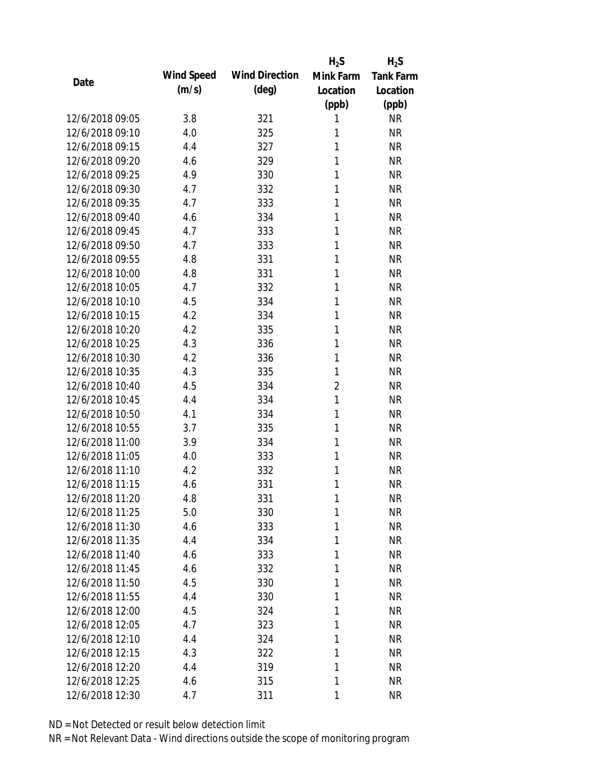|                 |            |                       | $H_2S$         | $H_2S$           |
|-----------------|------------|-----------------------|----------------|------------------|
| Date            | Wind Speed | <b>Wind Direction</b> | Mink Farm      | <b>Tank Farm</b> |
|                 | (m/s)      | $(\text{deg})$        | Location       | Location         |
|                 |            |                       | (ppb)          | (ppb)            |
| 12/6/2018 09:05 | 3.8        | 321                   | 1              | <b>NR</b>        |
| 12/6/2018 09:10 | 4.0        | 325                   | 1              | <b>NR</b>        |
| 12/6/2018 09:15 | 4.4        | 327                   | 1              | <b>NR</b>        |
| 12/6/2018 09:20 | 4.6        | 329                   | 1              | <b>NR</b>        |
| 12/6/2018 09:25 | 4.9        | 330                   | 1              | <b>NR</b>        |
| 12/6/2018 09:30 | 4.7        | 332                   | 1              | <b>NR</b>        |
| 12/6/2018 09:35 | 4.7        | 333                   | 1              | <b>NR</b>        |
| 12/6/2018 09:40 | 4.6        | 334                   | 1              | <b>NR</b>        |
| 12/6/2018 09:45 | 4.7        | 333                   | 1              | <b>NR</b>        |
| 12/6/2018 09:50 | 4.7        | 333                   | 1              | <b>NR</b>        |
| 12/6/2018 09:55 | 4.8        | 331                   | 1              | <b>NR</b>        |
| 12/6/2018 10:00 | 4.8        | 331                   | 1              | <b>NR</b>        |
| 12/6/2018 10:05 | 4.7        | 332                   | 1              | <b>NR</b>        |
| 12/6/2018 10:10 | 4.5        | 334                   | 1              | <b>NR</b>        |
| 12/6/2018 10:15 | 4.2        | 334                   | 1              | <b>NR</b>        |
| 12/6/2018 10:20 | 4.2        | 335                   | 1              | <b>NR</b>        |
| 12/6/2018 10:25 | 4.3        | 336                   | 1              | <b>NR</b>        |
| 12/6/2018 10:30 | 4.2        | 336                   | 1              | <b>NR</b>        |
| 12/6/2018 10:35 | 4.3        | 335                   | 1              | <b>NR</b>        |
| 12/6/2018 10:40 | 4.5        | 334                   | $\overline{2}$ | <b>NR</b>        |
| 12/6/2018 10:45 | 4.4        | 334                   | 1              | <b>NR</b>        |
| 12/6/2018 10:50 | 4.1        | 334                   | 1              | <b>NR</b>        |
| 12/6/2018 10:55 | 3.7        | 335                   | 1              | <b>NR</b>        |
| 12/6/2018 11:00 | 3.9        | 334                   | 1              | <b>NR</b>        |
| 12/6/2018 11:05 | 4.0        | 333                   | 1              | <b>NR</b>        |
| 12/6/2018 11:10 | 4.2        | 332                   | 1              | <b>NR</b>        |
| 12/6/2018 11:15 | 4.6        | 331                   | 1              | <b>NR</b>        |
| 12/6/2018 11:20 | 4.8        | 331                   | 1              | <b>NR</b>        |
| 12/6/2018 11:25 | 5.0        | 330                   | 1              | <b>NR</b>        |
| 12/6/2018 11:30 | 4.6        | 333                   | 1              | <b>NR</b>        |
| 12/6/2018 11:35 | 4.4        | 334                   | 1              | <b>NR</b>        |
| 12/6/2018 11:40 | 4.6        | 333                   | 1              | <b>NR</b>        |
| 12/6/2018 11:45 | 4.6        | 332                   | 1              | <b>NR</b>        |
| 12/6/2018 11:50 | 4.5        | 330                   | 1              | <b>NR</b>        |
| 12/6/2018 11:55 | 4.4        | 330                   | 1              | <b>NR</b>        |
| 12/6/2018 12:00 | 4.5        | 324                   | 1              | <b>NR</b>        |
| 12/6/2018 12:05 | 4.7        | 323                   | 1              | <b>NR</b>        |
| 12/6/2018 12:10 | 4.4        | 324                   | 1              | <b>NR</b>        |
| 12/6/2018 12:15 | 4.3        | 322                   | 1              | <b>NR</b>        |
| 12/6/2018 12:20 | 4.4        | 319                   | 1              | <b>NR</b>        |
| 12/6/2018 12:25 | 4.6        | 315                   | 1              | <b>NR</b>        |
| 12/6/2018 12:30 | 4.7        | 311                   | 1              | <b>NR</b>        |
|                 |            |                       |                |                  |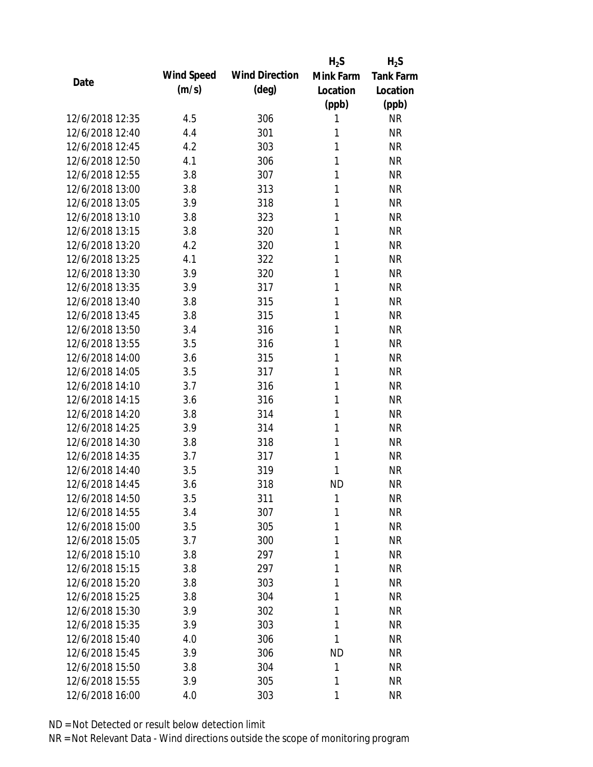|                 |            |                       | $H_2S$    | $H_2S$           |
|-----------------|------------|-----------------------|-----------|------------------|
| Date            | Wind Speed | <b>Wind Direction</b> | Mink Farm | <b>Tank Farm</b> |
|                 | (m/s)      | $(\text{deg})$        | Location  | Location         |
|                 |            |                       | (ppb)     | (ppb)            |
| 12/6/2018 12:35 | 4.5        | 306                   | 1         | <b>NR</b>        |
| 12/6/2018 12:40 | 4.4        | 301                   | 1         | <b>NR</b>        |
| 12/6/2018 12:45 | 4.2        | 303                   | 1         | <b>NR</b>        |
| 12/6/2018 12:50 | 4.1        | 306                   | 1         | <b>NR</b>        |
| 12/6/2018 12:55 | 3.8        | 307                   | 1         | <b>NR</b>        |
| 12/6/2018 13:00 | 3.8        | 313                   | 1         | <b>NR</b>        |
| 12/6/2018 13:05 | 3.9        | 318                   | 1         | <b>NR</b>        |
| 12/6/2018 13:10 | 3.8        | 323                   | 1         | <b>NR</b>        |
| 12/6/2018 13:15 | 3.8        | 320                   | 1         | <b>NR</b>        |
| 12/6/2018 13:20 | 4.2        | 320                   | 1         | <b>NR</b>        |
| 12/6/2018 13:25 | 4.1        | 322                   | 1         | <b>NR</b>        |
| 12/6/2018 13:30 | 3.9        | 320                   | 1         | <b>NR</b>        |
| 12/6/2018 13:35 | 3.9        | 317                   | 1         | <b>NR</b>        |
| 12/6/2018 13:40 | 3.8        | 315                   | 1         | <b>NR</b>        |
| 12/6/2018 13:45 | 3.8        | 315                   | 1         | <b>NR</b>        |
| 12/6/2018 13:50 | 3.4        | 316                   | 1         | <b>NR</b>        |
| 12/6/2018 13:55 | 3.5        | 316                   | 1         | <b>NR</b>        |
| 12/6/2018 14:00 | 3.6        | 315                   | 1         | <b>NR</b>        |
| 12/6/2018 14:05 | 3.5        | 317                   | 1         | <b>NR</b>        |
| 12/6/2018 14:10 | 3.7        | 316                   | 1         | <b>NR</b>        |
| 12/6/2018 14:15 | 3.6        | 316                   | 1         | <b>NR</b>        |
| 12/6/2018 14:20 | 3.8        | 314                   | 1         | <b>NR</b>        |
| 12/6/2018 14:25 | 3.9        | 314                   | 1         | <b>NR</b>        |
| 12/6/2018 14:30 | 3.8        | 318                   | 1         | <b>NR</b>        |
| 12/6/2018 14:35 | 3.7        | 317                   | 1         | <b>NR</b>        |
| 12/6/2018 14:40 | 3.5        | 319                   | 1         | <b>NR</b>        |
| 12/6/2018 14:45 | 3.6        | 318                   | <b>ND</b> | <b>NR</b>        |
| 12/6/2018 14:50 | 3.5        | 311                   | 1         | <b>NR</b>        |
| 12/6/2018 14:55 | 3.4        | 307                   | 1         | <b>NR</b>        |
| 12/6/2018 15:00 | 3.5        | 305                   | 1         | <b>NR</b>        |
| 12/6/2018 15:05 | 3.7        | 300                   | 1         | <b>NR</b>        |
| 12/6/2018 15:10 | 3.8        | 297                   | 1         | <b>NR</b>        |
| 12/6/2018 15:15 | 3.8        | 297                   | 1         | <b>NR</b>        |
| 12/6/2018 15:20 | 3.8        | 303                   | 1         | <b>NR</b>        |
| 12/6/2018 15:25 | 3.8        | 304                   | 1         | NR               |
| 12/6/2018 15:30 | 3.9        | 302                   | 1         | <b>NR</b>        |
| 12/6/2018 15:35 | 3.9        | 303                   | 1         | <b>NR</b>        |
| 12/6/2018 15:40 | 4.0        | 306                   | 1         | <b>NR</b>        |
| 12/6/2018 15:45 | 3.9        | 306                   | <b>ND</b> | NR               |
| 12/6/2018 15:50 | 3.8        | 304                   | 1         | NR               |
| 12/6/2018 15:55 | 3.9        | 305                   | 1         | <b>NR</b>        |
| 12/6/2018 16:00 | 4.0        | 303                   | 1         | <b>NR</b>        |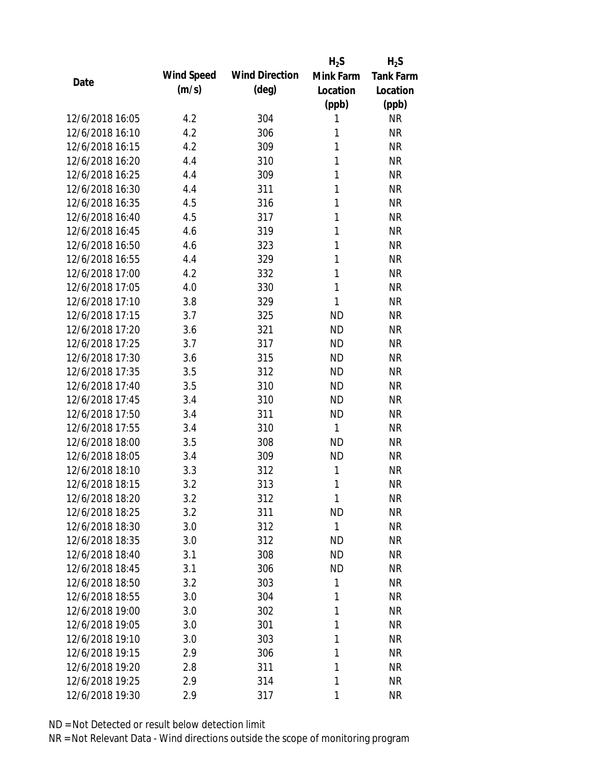|                 |            |                       | $H_2S$       | $H_2S$           |
|-----------------|------------|-----------------------|--------------|------------------|
| Date            | Wind Speed | <b>Wind Direction</b> | Mink Farm    | <b>Tank Farm</b> |
|                 | (m/s)      | $(\text{deg})$        | Location     | Location         |
|                 |            |                       | (ppb)        | (ppb)            |
| 12/6/2018 16:05 | 4.2        | 304                   | 1            | <b>NR</b>        |
| 12/6/2018 16:10 | 4.2        | 306                   | 1            | <b>NR</b>        |
| 12/6/2018 16:15 | 4.2        | 309                   | 1            | <b>NR</b>        |
| 12/6/2018 16:20 | 4.4        | 310                   | 1            | <b>NR</b>        |
| 12/6/2018 16:25 | 4.4        | 309                   | 1            | <b>NR</b>        |
| 12/6/2018 16:30 | 4.4        | 311                   | 1            | <b>NR</b>        |
| 12/6/2018 16:35 | 4.5        | 316                   | 1            | <b>NR</b>        |
| 12/6/2018 16:40 | 4.5        | 317                   | 1            | <b>NR</b>        |
| 12/6/2018 16:45 | 4.6        | 319                   | 1            | <b>NR</b>        |
| 12/6/2018 16:50 | 4.6        | 323                   | 1            | <b>NR</b>        |
| 12/6/2018 16:55 | 4.4        | 329                   | 1            | <b>NR</b>        |
| 12/6/2018 17:00 | 4.2        | 332                   | 1            | <b>NR</b>        |
| 12/6/2018 17:05 | 4.0        | 330                   | $\mathbf{1}$ | <b>NR</b>        |
| 12/6/2018 17:10 | 3.8        | 329                   | 1            | <b>NR</b>        |
| 12/6/2018 17:15 | 3.7        | 325                   | <b>ND</b>    | <b>NR</b>        |
| 12/6/2018 17:20 | 3.6        | 321                   | <b>ND</b>    | <b>NR</b>        |
| 12/6/2018 17:25 | 3.7        | 317                   | <b>ND</b>    | <b>NR</b>        |
| 12/6/2018 17:30 | 3.6        | 315                   | <b>ND</b>    | <b>NR</b>        |
| 12/6/2018 17:35 | 3.5        | 312                   | <b>ND</b>    | <b>NR</b>        |
| 12/6/2018 17:40 | 3.5        | 310                   | <b>ND</b>    | <b>NR</b>        |
| 12/6/2018 17:45 | 3.4        | 310                   | <b>ND</b>    | <b>NR</b>        |
| 12/6/2018 17:50 | 3.4        | 311                   | <b>ND</b>    | <b>NR</b>        |
| 12/6/2018 17:55 | 3.4        | 310                   | 1            | <b>NR</b>        |
| 12/6/2018 18:00 | 3.5        | 308                   | <b>ND</b>    | <b>NR</b>        |
| 12/6/2018 18:05 | 3.4        | 309                   | <b>ND</b>    | <b>NR</b>        |
| 12/6/2018 18:10 | 3.3        | 312                   | 1            | <b>NR</b>        |
| 12/6/2018 18:15 | 3.2        | 313                   | 1            | <b>NR</b>        |
| 12/6/2018 18:20 | 3.2        | 312                   | 1            | <b>NR</b>        |
| 12/6/2018 18:25 | 3.2        | 311                   | <b>ND</b>    | <b>NR</b>        |
| 12/6/2018 18:30 | 3.0        | 312                   | $\mathbf{1}$ | <b>NR</b>        |
| 12/6/2018 18:35 | 3.0        | 312                   | <b>ND</b>    | <b>NR</b>        |
| 12/6/2018 18:40 | 3.1        | 308                   | <b>ND</b>    | <b>NR</b>        |
| 12/6/2018 18:45 | 3.1        | 306                   | <b>ND</b>    | <b>NR</b>        |
| 12/6/2018 18:50 | 3.2        | 303                   | 1            | <b>NR</b>        |
| 12/6/2018 18:55 | 3.0        | 304                   | 1            | NR               |
| 12/6/2018 19:00 |            |                       | 1            |                  |
| 12/6/2018 19:05 | 3.0        | 302                   | 1            | <b>NR</b>        |
|                 | 3.0        | 301                   |              | NR               |
| 12/6/2018 19:10 | 3.0        | 303                   | 1            | <b>NR</b>        |
| 12/6/2018 19:15 | 2.9        | 306                   | 1            | <b>NR</b>        |
| 12/6/2018 19:20 | 2.8        | 311                   | 1            | NR               |
| 12/6/2018 19:25 | 2.9        | 314                   | 1            | <b>NR</b>        |
| 12/6/2018 19:30 | 2.9        | 317                   | 1            | <b>NR</b>        |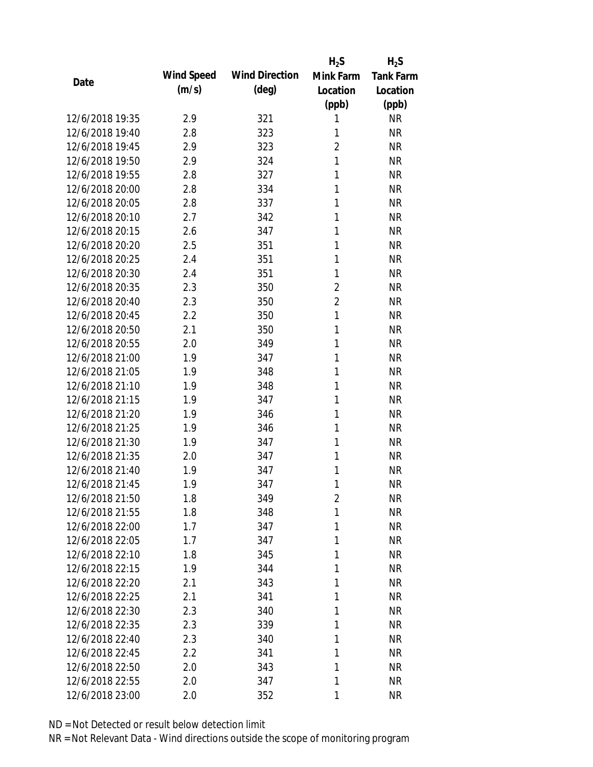|                 |            |                       | $H_2S$         | $H_2S$           |
|-----------------|------------|-----------------------|----------------|------------------|
| Date            | Wind Speed | <b>Wind Direction</b> | Mink Farm      | <b>Tank Farm</b> |
|                 | (m/s)      | $(\text{deg})$        | Location       | Location         |
|                 |            |                       | (ppb)          | (ppb)            |
| 12/6/2018 19:35 | 2.9        | 321                   | 1              | <b>NR</b>        |
| 12/6/2018 19:40 | 2.8        | 323                   | 1              | <b>NR</b>        |
| 12/6/2018 19:45 | 2.9        | 323                   | $\overline{2}$ | <b>NR</b>        |
| 12/6/2018 19:50 | 2.9        | 324                   | 1              | <b>NR</b>        |
| 12/6/2018 19:55 | 2.8        | 327                   | 1              | <b>NR</b>        |
| 12/6/2018 20:00 | 2.8        | 334                   | 1              | <b>NR</b>        |
| 12/6/2018 20:05 | 2.8        | 337                   | 1              | <b>NR</b>        |
| 12/6/2018 20:10 | 2.7        | 342                   | 1              | <b>NR</b>        |
| 12/6/2018 20:15 | 2.6        | 347                   | 1              | <b>NR</b>        |
| 12/6/2018 20:20 | 2.5        | 351                   | 1              | <b>NR</b>        |
| 12/6/2018 20:25 | 2.4        | 351                   | 1              | <b>NR</b>        |
| 12/6/2018 20:30 | 2.4        | 351                   | 1              | <b>NR</b>        |
| 12/6/2018 20:35 | 2.3        | 350                   | $\overline{2}$ | <b>NR</b>        |
| 12/6/2018 20:40 | 2.3        | 350                   | $\overline{2}$ | <b>NR</b>        |
| 12/6/2018 20:45 | 2.2        | 350                   | $\mathbf{1}$   | <b>NR</b>        |
| 12/6/2018 20:50 | 2.1        | 350                   | 1              | <b>NR</b>        |
| 12/6/2018 20:55 | 2.0        | 349                   | 1              | <b>NR</b>        |
| 12/6/2018 21:00 | 1.9        | 347                   | 1              | <b>NR</b>        |
| 12/6/2018 21:05 | 1.9        | 348                   | 1              | <b>NR</b>        |
| 12/6/2018 21:10 | 1.9        | 348                   | 1              | <b>NR</b>        |
| 12/6/2018 21:15 | 1.9        | 347                   | 1              | <b>NR</b>        |
| 12/6/2018 21:20 | 1.9        | 346                   | 1              | <b>NR</b>        |
| 12/6/2018 21:25 | 1.9        | 346                   | 1              | <b>NR</b>        |
| 12/6/2018 21:30 | 1.9        | 347                   | 1              | <b>NR</b>        |
| 12/6/2018 21:35 | 2.0        | 347                   | 1              | <b>NR</b>        |
| 12/6/2018 21:40 | 1.9        | 347                   | 1              | <b>NR</b>        |
| 12/6/2018 21:45 | 1.9        | 347                   | 1              | <b>NR</b>        |
| 12/6/2018 21:50 | 1.8        | 349                   | $\overline{2}$ | <b>NR</b>        |
| 12/6/2018 21:55 | 1.8        | 348                   | 1              | <b>NR</b>        |
| 12/6/2018 22:00 | 1.7        | 347                   | 1              | <b>NR</b>        |
| 12/6/2018 22:05 | 1.7        | 347                   | 1              | <b>NR</b>        |
| 12/6/2018 22:10 | 1.8        | 345                   | 1              | <b>NR</b>        |
| 12/6/2018 22:15 | 1.9        | 344                   | 1              | <b>NR</b>        |
| 12/6/2018 22:20 | 2.1        | 343                   | 1              | <b>NR</b>        |
| 12/6/2018 22:25 | 2.1        | 341                   | 1              | <b>NR</b>        |
| 12/6/2018 22:30 | 2.3        | 340                   | 1              | <b>NR</b>        |
| 12/6/2018 22:35 | 2.3        | 339                   | 1              | <b>NR</b>        |
| 12/6/2018 22:40 | 2.3        | 340                   | 1              | <b>NR</b>        |
| 12/6/2018 22:45 | 2.2        | 341                   | 1              | <b>NR</b>        |
| 12/6/2018 22:50 | 2.0        | 343                   | 1              | <b>NR</b>        |
| 12/6/2018 22:55 | 2.0        | 347                   | 1              | <b>NR</b>        |
| 12/6/2018 23:00 | 2.0        | 352                   | 1              | <b>NR</b>        |
|                 |            |                       |                |                  |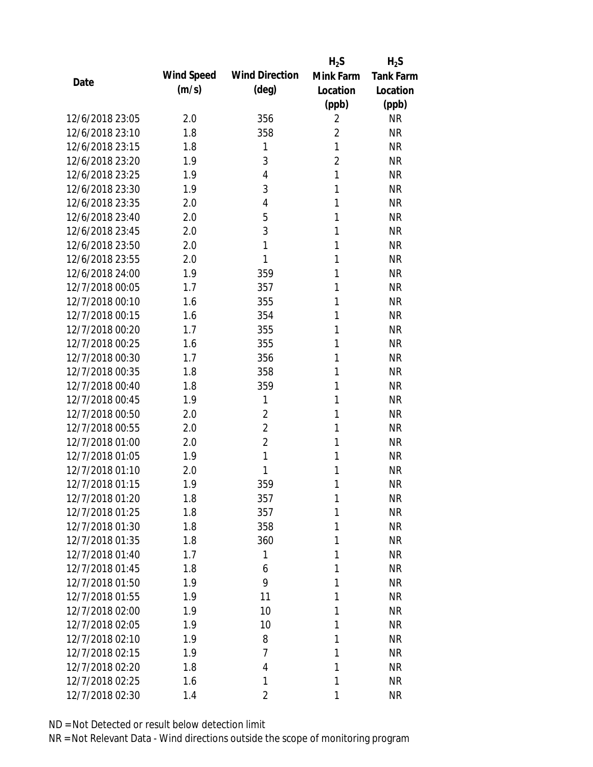|                 |            |                       | $H_2S$         | $H_2S$           |
|-----------------|------------|-----------------------|----------------|------------------|
| Date            | Wind Speed | <b>Wind Direction</b> | Mink Farm      | <b>Tank Farm</b> |
|                 | (m/s)      | $(\text{deg})$        | Location       | Location         |
|                 |            |                       | (ppb)          | (ppb)            |
| 12/6/2018 23:05 | 2.0        | 356                   | $\overline{2}$ | <b>NR</b>        |
| 12/6/2018 23:10 | 1.8        | 358                   | $\overline{2}$ | <b>NR</b>        |
| 12/6/2018 23:15 | 1.8        | 1                     | 1              | <b>NR</b>        |
| 12/6/2018 23:20 | 1.9        | 3                     | $\overline{2}$ | <b>NR</b>        |
| 12/6/2018 23:25 | 1.9        | 4                     | 1              | <b>NR</b>        |
| 12/6/2018 23:30 | 1.9        | 3                     | 1              | <b>NR</b>        |
| 12/6/2018 23:35 | 2.0        | 4                     | 1              | <b>NR</b>        |
| 12/6/2018 23:40 | 2.0        | 5                     | 1              | <b>NR</b>        |
| 12/6/2018 23:45 | 2.0        | 3                     | 1              | <b>NR</b>        |
| 12/6/2018 23:50 | 2.0        | 1                     | 1              | <b>NR</b>        |
| 12/6/2018 23:55 | 2.0        | 1                     | 1              | <b>NR</b>        |
| 12/6/2018 24:00 | 1.9        | 359                   | 1              | <b>NR</b>        |
| 12/7/2018 00:05 | 1.7        | 357                   | 1              | <b>NR</b>        |
| 12/7/2018 00:10 | 1.6        | 355                   | 1              | <b>NR</b>        |
| 12/7/2018 00:15 | 1.6        | 354                   | 1              | <b>NR</b>        |
| 12/7/2018 00:20 | 1.7        | 355                   | 1              | <b>NR</b>        |
| 12/7/2018 00:25 | 1.6        | 355                   | 1              | <b>NR</b>        |
| 12/7/2018 00:30 | 1.7        | 356                   | 1              | <b>NR</b>        |
| 12/7/2018 00:35 | 1.8        | 358                   | 1              | <b>NR</b>        |
| 12/7/2018 00:40 | 1.8        | 359                   | 1              | <b>NR</b>        |
| 12/7/2018 00:45 | 1.9        | 1                     | 1              | <b>NR</b>        |
| 12/7/2018 00:50 | 2.0        | $\overline{2}$        | 1              | <b>NR</b>        |
| 12/7/2018 00:55 | 2.0        | $\overline{2}$        | 1              | <b>NR</b>        |
| 12/7/2018 01:00 | 2.0        | $\overline{2}$        | 1              | <b>NR</b>        |
| 12/7/2018 01:05 | 1.9        | 1                     | 1              | <b>NR</b>        |
| 12/7/2018 01:10 | 2.0        | 1                     | 1              | <b>NR</b>        |
| 12/7/2018 01:15 | 1.9        | 359                   | 1              | <b>NR</b>        |
| 12/7/2018 01:20 | 1.8        | 357                   | $\mathbf{1}$   | <b>NR</b>        |
| 12/7/2018 01:25 | 1.8        | 357                   | 1              | <b>NR</b>        |
| 12/7/2018 01:30 | 1.8        | 358                   | 1              | <b>NR</b>        |
| 12/7/2018 01:35 | 1.8        | 360                   | 1              | <b>NR</b>        |
| 12/7/2018 01:40 | 1.7        | 1                     | 1              | <b>NR</b>        |
| 12/7/2018 01:45 | 1.8        | 6                     | 1              | <b>NR</b>        |
| 12/7/2018 01:50 | 1.9        | 9                     | 1              | <b>NR</b>        |
| 12/7/2018 01:55 | 1.9        | 11                    | 1              | <b>NR</b>        |
| 12/7/2018 02:00 | 1.9        | 10                    | 1              | <b>NR</b>        |
| 12/7/2018 02:05 | 1.9        | 10                    | 1              | <b>NR</b>        |
| 12/7/2018 02:10 | 1.9        | 8                     | 1              | <b>NR</b>        |
| 12/7/2018 02:15 | 1.9        | $\overline{7}$        | 1              | <b>NR</b>        |
| 12/7/2018 02:20 | 1.8        | 4                     | 1              | <b>NR</b>        |
| 12/7/2018 02:25 | 1.6        | 1                     | 1              | <b>NR</b>        |
| 12/7/2018 02:30 | 1.4        | $\overline{2}$        | 1              | <b>NR</b>        |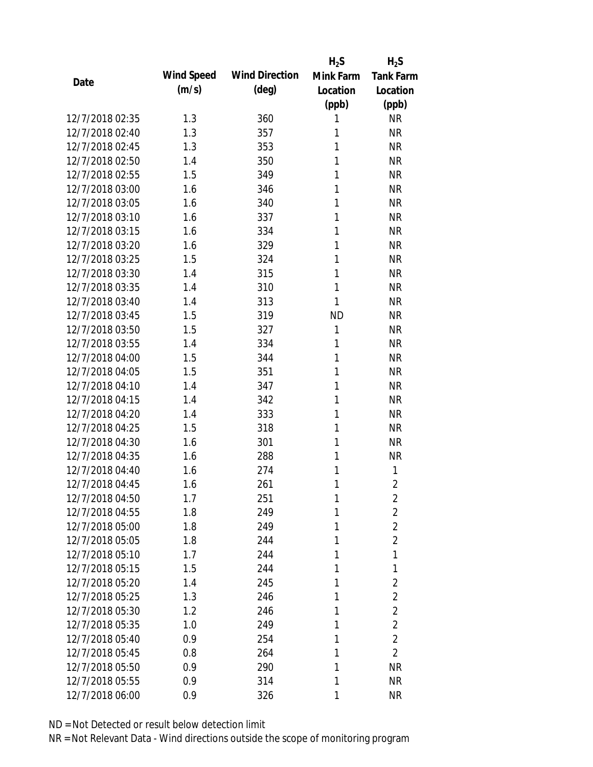|                 |            |                       | $H_2S$       | $H_2S$           |
|-----------------|------------|-----------------------|--------------|------------------|
| Date            | Wind Speed | <b>Wind Direction</b> | Mink Farm    | <b>Tank Farm</b> |
|                 | (m/s)      | $(\text{deg})$        | Location     | Location         |
|                 |            |                       | (ppb)        | (ppb)            |
| 12/7/2018 02:35 | 1.3        | 360                   | 1            | <b>NR</b>        |
| 12/7/2018 02:40 | 1.3        | 357                   | 1            | <b>NR</b>        |
| 12/7/2018 02:45 | 1.3        | 353                   | 1            | <b>NR</b>        |
| 12/7/2018 02:50 | 1.4        | 350                   | 1            | <b>NR</b>        |
| 12/7/2018 02:55 | 1.5        | 349                   | 1            | <b>NR</b>        |
| 12/7/2018 03:00 | 1.6        | 346                   | 1            | <b>NR</b>        |
| 12/7/2018 03:05 | 1.6        | 340                   | 1            | <b>NR</b>        |
| 12/7/2018 03:10 | 1.6        | 337                   | 1            | <b>NR</b>        |
| 12/7/2018 03:15 | 1.6        | 334                   | 1            | <b>NR</b>        |
| 12/7/2018 03:20 | 1.6        | 329                   | 1            | <b>NR</b>        |
| 12/7/2018 03:25 | 1.5        | 324                   | 1            | <b>NR</b>        |
| 12/7/2018 03:30 | 1.4        | 315                   | 1            | <b>NR</b>        |
| 12/7/2018 03:35 | 1.4        | 310                   | 1            | <b>NR</b>        |
| 12/7/2018 03:40 | 1.4        | 313                   | 1            | <b>NR</b>        |
| 12/7/2018 03:45 | 1.5        | 319                   | <b>ND</b>    | <b>NR</b>        |
| 12/7/2018 03:50 | 1.5        | 327                   | $\mathbf{1}$ | <b>NR</b>        |
| 12/7/2018 03:55 | 1.4        | 334                   | $\mathbf{1}$ | <b>NR</b>        |
| 12/7/2018 04:00 | 1.5        | 344                   | 1            | <b>NR</b>        |
| 12/7/2018 04:05 | 1.5        | 351                   | 1            | <b>NR</b>        |
| 12/7/2018 04:10 | 1.4        | 347                   | 1            | <b>NR</b>        |
| 12/7/2018 04:15 | 1.4        | 342                   | 1            | <b>NR</b>        |
| 12/7/2018 04:20 | 1.4        | 333                   | 1            | <b>NR</b>        |
| 12/7/2018 04:25 | 1.5        | 318                   | 1            | <b>NR</b>        |
| 12/7/2018 04:30 | 1.6        | 301                   | 1            | <b>NR</b>        |
| 12/7/2018 04:35 | 1.6        | 288                   | 1            | <b>NR</b>        |
| 12/7/2018 04:40 | 1.6        | 274                   | 1            | 1                |
| 12/7/2018 04:45 | 1.6        | 261                   | 1            | $\overline{2}$   |
| 12/7/2018 04:50 | 1.7        | 251                   | $\mathbf{1}$ | $\overline{2}$   |
| 12/7/2018 04:55 | 1.8        | 249                   | 1            | $\overline{2}$   |
| 12/7/2018 05:00 | 1.8        | 249                   | 1            | $\overline{2}$   |
| 12/7/2018 05:05 | 1.8        | 244                   | 1            | $\overline{2}$   |
| 12/7/2018 05:10 | 1.7        | 244                   | 1            | 1                |
| 12/7/2018 05:15 | 1.5        | 244                   | 1            | 1                |
| 12/7/2018 05:20 | 1.4        | 245                   | 1            | $\overline{2}$   |
| 12/7/2018 05:25 | 1.3        | 246                   | 1            | $\overline{2}$   |
| 12/7/2018 05:30 | 1.2        | 246                   | 1            | $\overline{2}$   |
| 12/7/2018 05:35 | 1.0        | 249                   | 1            | $\overline{2}$   |
| 12/7/2018 05:40 | 0.9        | 254                   | 1            | $\overline{2}$   |
| 12/7/2018 05:45 | 0.8        | 264                   | 1            | $\overline{2}$   |
| 12/7/2018 05:50 | 0.9        | 290                   | 1            | <b>NR</b>        |
| 12/7/2018 05:55 | 0.9        | 314                   | 1            | <b>NR</b>        |
| 12/7/2018 06:00 | 0.9        | 326                   | 1            | <b>NR</b>        |
|                 |            |                       |              |                  |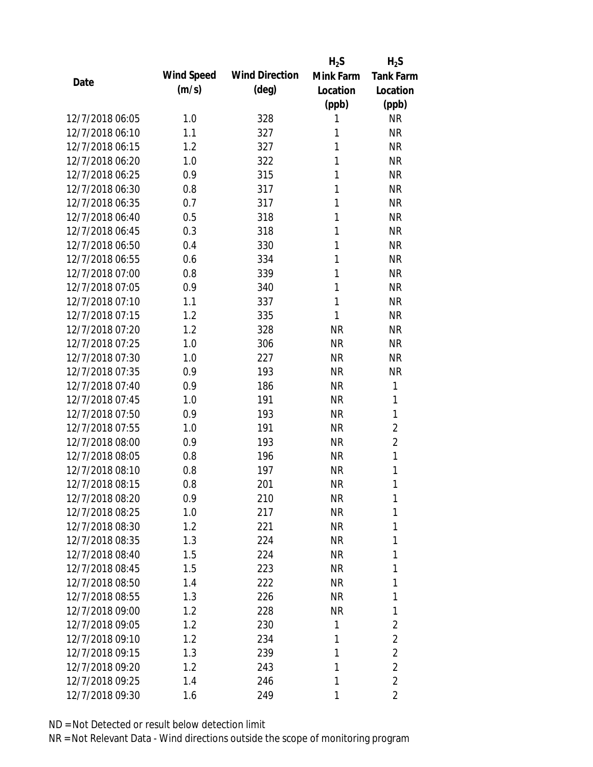|                 |            |                       | $H_2S$    | $H_2S$           |
|-----------------|------------|-----------------------|-----------|------------------|
| Date            | Wind Speed | <b>Wind Direction</b> | Mink Farm | <b>Tank Farm</b> |
|                 | (m/s)      | $(\text{deg})$        | Location  | Location         |
|                 |            |                       | (ppb)     | (ppb)            |
| 12/7/2018 06:05 | 1.0        | 328                   | 1         | <b>NR</b>        |
| 12/7/2018 06:10 | 1.1        | 327                   | 1         | <b>NR</b>        |
| 12/7/2018 06:15 | 1.2        | 327                   | 1         | <b>NR</b>        |
| 12/7/2018 06:20 | 1.0        | 322                   | 1         | <b>NR</b>        |
| 12/7/2018 06:25 | 0.9        | 315                   | 1         | <b>NR</b>        |
| 12/7/2018 06:30 | 0.8        | 317                   | 1         | <b>NR</b>        |
| 12/7/2018 06:35 | 0.7        | 317                   | 1         | <b>NR</b>        |
| 12/7/2018 06:40 | 0.5        | 318                   | 1         | <b>NR</b>        |
| 12/7/2018 06:45 | 0.3        | 318                   | 1         | <b>NR</b>        |
| 12/7/2018 06:50 | 0.4        | 330                   | 1         | <b>NR</b>        |
| 12/7/2018 06:55 | 0.6        | 334                   | 1         | <b>NR</b>        |
| 12/7/2018 07:00 | 0.8        | 339                   | 1         | <b>NR</b>        |
| 12/7/2018 07:05 | 0.9        | 340                   | 1         | <b>NR</b>        |
| 12/7/2018 07:10 | 1.1        | 337                   | 1         | <b>NR</b>        |
| 12/7/2018 07:15 | 1.2        | 335                   | 1         | <b>NR</b>        |
| 12/7/2018 07:20 | 1.2        | 328                   | <b>NR</b> | <b>NR</b>        |
| 12/7/2018 07:25 | 1.0        | 306                   | <b>NR</b> | <b>NR</b>        |
| 12/7/2018 07:30 | 1.0        | 227                   | <b>NR</b> | <b>NR</b>        |
| 12/7/2018 07:35 | 0.9        | 193                   | <b>NR</b> | <b>NR</b>        |
| 12/7/2018 07:40 | 0.9        | 186                   | <b>NR</b> | 1                |
| 12/7/2018 07:45 | 1.0        | 191                   | <b>NR</b> | 1                |
| 12/7/2018 07:50 | 0.9        | 193                   | <b>NR</b> | 1                |
| 12/7/2018 07:55 | 1.0        | 191                   | <b>NR</b> | 2                |
| 12/7/2018 08:00 | 0.9        | 193                   | <b>NR</b> | $\overline{2}$   |
| 12/7/2018 08:05 | 0.8        | 196                   | <b>NR</b> | 1                |
| 12/7/2018 08:10 | 0.8        | 197                   | <b>NR</b> | 1                |
| 12/7/2018 08:15 | 0.8        | 201                   | <b>NR</b> | 1                |
| 12/7/2018 08:20 | 0.9        | 210                   | <b>NR</b> | 1                |
| 12/7/2018 08:25 | 1.0        | 217                   | <b>NR</b> | 1                |
| 12/7/2018 08:30 | 1.2        | 221                   | <b>NR</b> | 1                |
| 12/7/2018 08:35 | 1.3        | 224                   | NR        | 1                |
| 12/7/2018 08:40 | 1.5        | 224                   | <b>NR</b> | 1                |
| 12/7/2018 08:45 | 1.5        | 223                   | NR        | 1                |
| 12/7/2018 08:50 | 1.4        | 222                   | <b>NR</b> | 1                |
| 12/7/2018 08:55 | 1.3        | 226                   | <b>NR</b> | 1                |
| 12/7/2018 09:00 | 1.2        | 228                   | <b>NR</b> | 1                |
| 12/7/2018 09:05 | 1.2        | 230                   | 1         | 2                |
| 12/7/2018 09:10 | 1.2        | 234                   | 1         | $\overline{2}$   |
| 12/7/2018 09:15 | 1.3        | 239                   | 1         | $\overline{2}$   |
| 12/7/2018 09:20 | 1.2        | 243                   | 1         | $\overline{2}$   |
| 12/7/2018 09:25 | 1.4        | 246                   | 1         | $\overline{2}$   |
| 12/7/2018 09:30 | 1.6        | 249                   | 1         | 2                |
|                 |            |                       |           |                  |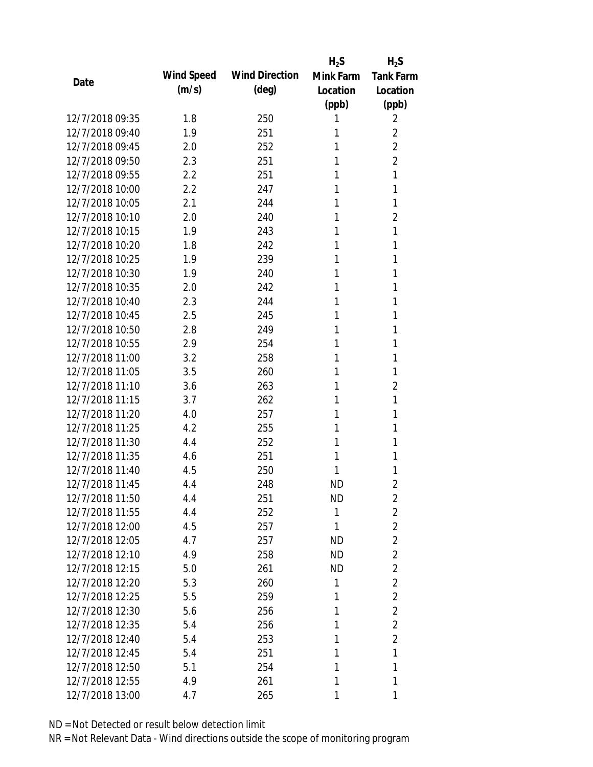|                 |            |                       | $H_2S$    | $H_2S$           |
|-----------------|------------|-----------------------|-----------|------------------|
| Date            | Wind Speed | <b>Wind Direction</b> | Mink Farm | <b>Tank Farm</b> |
|                 | (m/s)      | $(\text{deg})$        | Location  | Location         |
|                 |            |                       | (ppb)     | (ppb)            |
| 12/7/2018 09:35 | 1.8        | 250                   | 1         | 2                |
| 12/7/2018 09:40 | 1.9        | 251                   | 1         | $\overline{2}$   |
| 12/7/2018 09:45 | 2.0        | 252                   | 1         | $\overline{2}$   |
| 12/7/2018 09:50 | 2.3        | 251                   | 1         | $\overline{2}$   |
| 12/7/2018 09:55 | 2.2        | 251                   | 1         | 1                |
| 12/7/2018 10:00 | 2.2        | 247                   | 1         | 1                |
| 12/7/2018 10:05 | 2.1        | 244                   | 1         | 1                |
| 12/7/2018 10:10 | 2.0        | 240                   | 1         | $\overline{2}$   |
| 12/7/2018 10:15 | 1.9        | 243                   | 1         | 1                |
| 12/7/2018 10:20 | 1.8        | 242                   | 1         | 1                |
| 12/7/2018 10:25 | 1.9        | 239                   | 1         | 1                |
| 12/7/2018 10:30 | 1.9        | 240                   | 1         | 1                |
| 12/7/2018 10:35 | 2.0        | 242                   | 1         | 1                |
| 12/7/2018 10:40 | 2.3        | 244                   | 1         | 1                |
| 12/7/2018 10:45 | 2.5        | 245                   | 1         | 1                |
| 12/7/2018 10:50 | 2.8        | 249                   | 1         | 1                |
| 12/7/2018 10:55 | 2.9        | 254                   | 1         | 1                |
| 12/7/2018 11:00 | 3.2        | 258                   | 1         | 1                |
| 12/7/2018 11:05 | 3.5        | 260                   | 1         | 1                |
| 12/7/2018 11:10 | 3.6        | 263                   | 1         | $\overline{2}$   |
| 12/7/2018 11:15 | 3.7        | 262                   | 1         | 1                |
| 12/7/2018 11:20 | 4.0        | 257                   | 1         | 1                |
| 12/7/2018 11:25 | 4.2        | 255                   | 1         | 1                |
| 12/7/2018 11:30 | 4.4        | 252                   | 1         | 1                |
| 12/7/2018 11:35 | 4.6        | 251                   | 1         | 1                |
| 12/7/2018 11:40 | 4.5        | 250                   | 1         | 1                |
| 12/7/2018 11:45 | 4.4        | 248                   | <b>ND</b> | $\overline{2}$   |
| 12/7/2018 11:50 | 4.4        | 251                   | ND        | 2                |
| 12/7/2018 11:55 | 4.4        | 252                   | 1         | $\overline{2}$   |
| 12/7/2018 12:00 | 4.5        | 257                   | 1         | $\overline{2}$   |
| 12/7/2018 12:05 | 4.7        | 257                   | <b>ND</b> | $\overline{2}$   |
| 12/7/2018 12:10 | 4.9        | 258                   | <b>ND</b> | $\overline{2}$   |
| 12/7/2018 12:15 | 5.0        | 261                   | ND        | $\overline{2}$   |
| 12/7/2018 12:20 | 5.3        | 260                   | 1         | $\overline{2}$   |
| 12/7/2018 12:25 | 5.5        | 259                   | 1         | $\overline{2}$   |
| 12/7/2018 12:30 | 5.6        | 256                   | 1         | $\overline{2}$   |
| 12/7/2018 12:35 | 5.4        | 256                   | 1         | $\overline{2}$   |
| 12/7/2018 12:40 | 5.4        | 253                   | 1         | $\overline{2}$   |
| 12/7/2018 12:45 | 5.4        | 251                   | 1         | 1                |
| 12/7/2018 12:50 | 5.1        | 254                   | 1         | 1                |
| 12/7/2018 12:55 | 4.9        | 261                   | 1         | 1                |
| 12/7/2018 13:00 | 4.7        | 265                   | 1         | 1                |
|                 |            |                       |           |                  |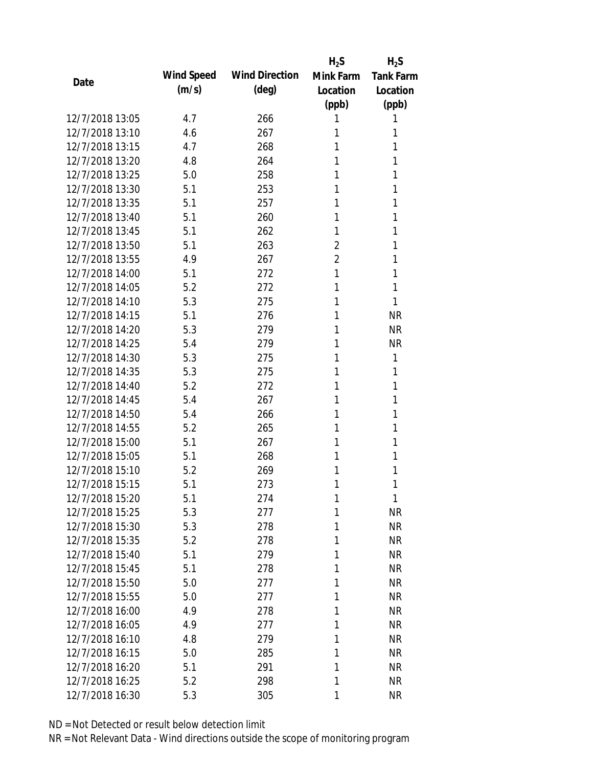|                 |            |                       | $H_2S$         | $H_2S$           |
|-----------------|------------|-----------------------|----------------|------------------|
|                 | Wind Speed | <b>Wind Direction</b> | Mink Farm      | <b>Tank Farm</b> |
| Date            | (m/s)      | $(\text{deg})$        | Location       | Location         |
|                 |            |                       | (ppb)          | (ppb)            |
| 12/7/2018 13:05 | 4.7        | 266                   | 1              | 1                |
| 12/7/2018 13:10 | 4.6        | 267                   | 1              | 1                |
| 12/7/2018 13:15 | 4.7        | 268                   | 1              | 1                |
| 12/7/2018 13:20 | 4.8        | 264                   | 1              | 1                |
| 12/7/2018 13:25 | 5.0        | 258                   | 1              | 1                |
| 12/7/2018 13:30 | 5.1        | 253                   | 1              | 1                |
| 12/7/2018 13:35 | 5.1        | 257                   | 1              | 1                |
| 12/7/2018 13:40 | 5.1        | 260                   | 1              | 1                |
| 12/7/2018 13:45 | 5.1        | 262                   | 1              | 1                |
| 12/7/2018 13:50 | 5.1        | 263                   | $\overline{2}$ | 1                |
| 12/7/2018 13:55 | 4.9        | 267                   | $\overline{2}$ | 1                |
| 12/7/2018 14:00 | 5.1        | 272                   | 1              | 1                |
| 12/7/2018 14:05 | 5.2        | 272                   | 1              | 1                |
| 12/7/2018 14:10 | 5.3        | 275                   | 1              | 1                |
| 12/7/2018 14:15 | 5.1        | 276                   | 1              | <b>NR</b>        |
| 12/7/2018 14:20 | 5.3        | 279                   | 1              | <b>NR</b>        |
| 12/7/2018 14:25 | 5.4        | 279                   | 1              | <b>NR</b>        |
| 12/7/2018 14:30 | 5.3        | 275                   | 1              | 1                |
| 12/7/2018 14:35 | 5.3        | 275                   | 1              | 1                |
| 12/7/2018 14:40 | 5.2        | 272                   | 1              | 1                |
| 12/7/2018 14:45 | 5.4        | 267                   | 1              | 1                |
| 12/7/2018 14:50 | 5.4        | 266                   | 1              | 1                |
| 12/7/2018 14:55 | 5.2        | 265                   | 1              | 1                |
| 12/7/2018 15:00 | 5.1        | 267                   | 1              | 1                |
| 12/7/2018 15:05 | 5.1        | 268                   | 1              | 1                |
| 12/7/2018 15:10 | 5.2        | 269                   | 1              | 1                |
| 12/7/2018 15:15 | 5.1        | 273                   | 1              | 1                |
| 12/7/2018 15:20 | 5.1        | 274                   | $\mathbf{1}$   | 1                |
| 12/7/2018 15:25 | 5.3        | 277                   | 1              | <b>NR</b>        |
| 12/7/2018 15:30 | 5.3        | 278                   | 1              | <b>NR</b>        |
| 12/7/2018 15:35 | 5.2        | 278                   | 1              | <b>NR</b>        |
| 12/7/2018 15:40 | 5.1        | 279                   | 1              | <b>NR</b>        |
| 12/7/2018 15:45 | 5.1        | 278                   | 1              | <b>NR</b>        |
| 12/7/2018 15:50 | 5.0        | 277                   | 1              | <b>NR</b>        |
| 12/7/2018 15:55 | 5.0        | 277                   | 1              | <b>NR</b>        |
| 12/7/2018 16:00 | 4.9        | 278                   | 1              | <b>NR</b>        |
| 12/7/2018 16:05 | 4.9        | 277                   | 1              | <b>NR</b>        |
| 12/7/2018 16:10 | 4.8        | 279                   | 1              | <b>NR</b>        |
| 12/7/2018 16:15 | 5.0        | 285                   | 1              | <b>NR</b>        |
| 12/7/2018 16:20 | 5.1        | 291                   | 1              | <b>NR</b>        |
| 12/7/2018 16:25 | 5.2        | 298                   | 1              | <b>NR</b>        |
| 12/7/2018 16:30 | 5.3        | 305                   | 1              | <b>NR</b>        |
|                 |            |                       |                |                  |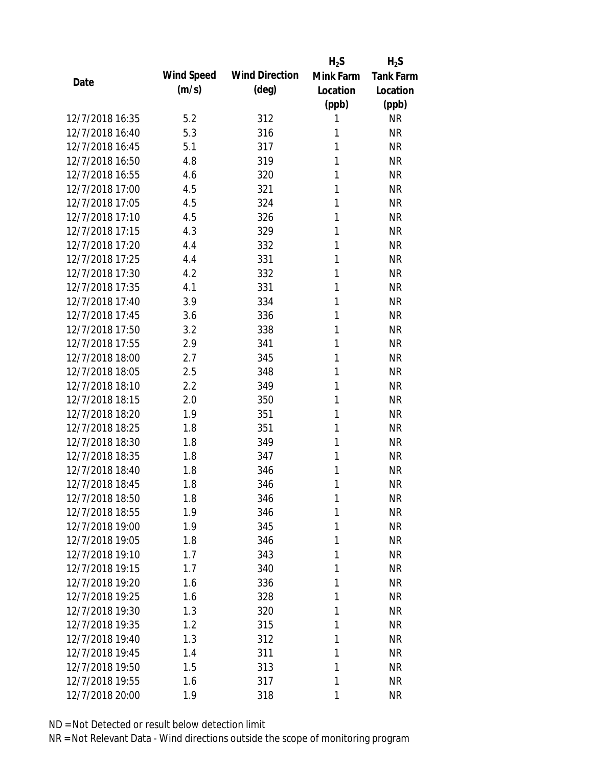|                 |            |                       | $H_2S$    | $H_2S$           |
|-----------------|------------|-----------------------|-----------|------------------|
| Date            | Wind Speed | <b>Wind Direction</b> | Mink Farm | <b>Tank Farm</b> |
|                 | (m/s)      | $(\text{deg})$        | Location  | Location         |
|                 |            |                       | (ppb)     | (ppb)            |
| 12/7/2018 16:35 | 5.2        | 312                   | 1         | <b>NR</b>        |
| 12/7/2018 16:40 | 5.3        | 316                   | 1         | <b>NR</b>        |
| 12/7/2018 16:45 | 5.1        | 317                   | 1         | <b>NR</b>        |
| 12/7/2018 16:50 | 4.8        | 319                   | 1         | <b>NR</b>        |
| 12/7/2018 16:55 | 4.6        | 320                   | 1         | <b>NR</b>        |
| 12/7/2018 17:00 | 4.5        | 321                   | 1         | <b>NR</b>        |
| 12/7/2018 17:05 | 4.5        | 324                   | 1         | <b>NR</b>        |
| 12/7/2018 17:10 | 4.5        | 326                   | 1         | <b>NR</b>        |
| 12/7/2018 17:15 | 4.3        | 329                   | 1         | <b>NR</b>        |
| 12/7/2018 17:20 | 4.4        | 332                   | 1         | <b>NR</b>        |
| 12/7/2018 17:25 | 4.4        | 331                   | 1         | <b>NR</b>        |
| 12/7/2018 17:30 | 4.2        | 332                   | 1         | <b>NR</b>        |
| 12/7/2018 17:35 | 4.1        | 331                   | 1         | <b>NR</b>        |
| 12/7/2018 17:40 | 3.9        | 334                   | 1         | <b>NR</b>        |
| 12/7/2018 17:45 | 3.6        | 336                   | 1         | <b>NR</b>        |
| 12/7/2018 17:50 | 3.2        | 338                   | 1         | <b>NR</b>        |
| 12/7/2018 17:55 | 2.9        | 341                   | 1         | <b>NR</b>        |
| 12/7/2018 18:00 | 2.7        | 345                   | 1         | <b>NR</b>        |
| 12/7/2018 18:05 | 2.5        | 348                   | 1         | <b>NR</b>        |
| 12/7/2018 18:10 | 2.2        | 349                   | 1         | <b>NR</b>        |
| 12/7/2018 18:15 | 2.0        | 350                   | 1         | <b>NR</b>        |
| 12/7/2018 18:20 | 1.9        | 351                   | 1         | <b>NR</b>        |
| 12/7/2018 18:25 | 1.8        | 351                   | 1         | <b>NR</b>        |
| 12/7/2018 18:30 | 1.8        | 349                   | 1         | <b>NR</b>        |
| 12/7/2018 18:35 | 1.8        | 347                   | 1         | <b>NR</b>        |
| 12/7/2018 18:40 | 1.8        | 346                   | 1         | <b>NR</b>        |
| 12/7/2018 18:45 | 1.8        | 346                   | 1         | <b>NR</b>        |
| 12/7/2018 18:50 | 1.8        | 346                   | 1         | <b>NR</b>        |
| 12/7/2018 18:55 | 1.9        | 346                   | 1         | <b>NR</b>        |
| 12/7/2018 19:00 | 1.9        | 345                   | 1         | <b>NR</b>        |
| 12/7/2018 19:05 | 1.8        | 346                   | 1         | <b>NR</b>        |
| 12/7/2018 19:10 | 1.7        | 343                   | 1         | <b>NR</b>        |
| 12/7/2018 19:15 | 1.7        |                       | 1         | <b>NR</b>        |
| 12/7/2018 19:20 | 1.6        | 340<br>336            | 1         | <b>NR</b>        |
|                 |            |                       |           |                  |
| 12/7/2018 19:25 | 1.6        | 328                   | 1         | <b>NR</b>        |
| 12/7/2018 19:30 | 1.3        | 320                   | 1         | <b>NR</b>        |
| 12/7/2018 19:35 | 1.2        | 315                   | 1         | <b>NR</b>        |
| 12/7/2018 19:40 | 1.3        | 312                   | 1         | <b>NR</b>        |
| 12/7/2018 19:45 | 1.4        | 311                   | 1         | <b>NR</b>        |
| 12/7/2018 19:50 | 1.5        | 313                   | 1         | <b>NR</b>        |
| 12/7/2018 19:55 | 1.6        | 317                   | 1         | <b>NR</b>        |
| 12/7/2018 20:00 | 1.9        | 318                   | 1         | <b>NR</b>        |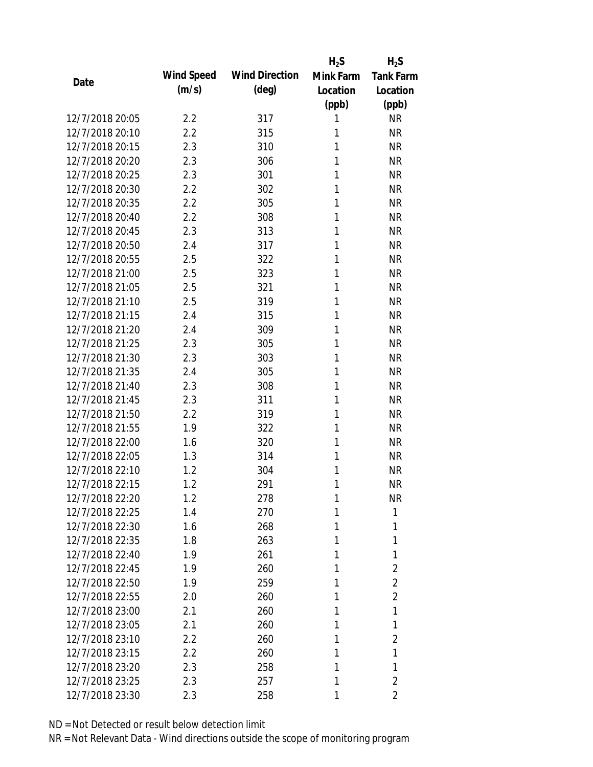|                 |            |                       | $H_2S$    | $H_2S$           |
|-----------------|------------|-----------------------|-----------|------------------|
| Date            | Wind Speed | <b>Wind Direction</b> | Mink Farm | <b>Tank Farm</b> |
|                 | (m/s)      | $(\text{deg})$        | Location  | Location         |
|                 |            |                       | (ppb)     | (ppb)            |
| 12/7/2018 20:05 | 2.2        | 317                   | 1         | <b>NR</b>        |
| 12/7/2018 20:10 | 2.2        | 315                   | 1         | <b>NR</b>        |
| 12/7/2018 20:15 | 2.3        | 310                   | 1         | <b>NR</b>        |
| 12/7/2018 20:20 | 2.3        | 306                   | 1         | <b>NR</b>        |
| 12/7/2018 20:25 | 2.3        | 301                   | 1         | <b>NR</b>        |
| 12/7/2018 20:30 | 2.2        | 302                   | 1         | <b>NR</b>        |
| 12/7/2018 20:35 | 2.2        | 305                   | 1         | <b>NR</b>        |
| 12/7/2018 20:40 | 2.2        | 308                   | 1         | <b>NR</b>        |
| 12/7/2018 20:45 | 2.3        | 313                   | 1         | <b>NR</b>        |
| 12/7/2018 20:50 | 2.4        | 317                   | 1         | <b>NR</b>        |
| 12/7/2018 20:55 | 2.5        | 322                   | 1         | <b>NR</b>        |
| 12/7/2018 21:00 | 2.5        | 323                   | 1         | <b>NR</b>        |
| 12/7/2018 21:05 | 2.5        | 321                   | 1         | <b>NR</b>        |
| 12/7/2018 21:10 | 2.5        | 319                   | 1         | <b>NR</b>        |
| 12/7/2018 21:15 | 2.4        | 315                   | 1         | <b>NR</b>        |
| 12/7/2018 21:20 | 2.4        | 309                   | 1         | <b>NR</b>        |
| 12/7/2018 21:25 | 2.3        | 305                   | 1         | <b>NR</b>        |
| 12/7/2018 21:30 | 2.3        | 303                   | 1         | <b>NR</b>        |
| 12/7/2018 21:35 | 2.4        | 305                   | 1         | <b>NR</b>        |
| 12/7/2018 21:40 | 2.3        | 308                   | 1         | <b>NR</b>        |
| 12/7/2018 21:45 | 2.3        | 311                   | 1         | <b>NR</b>        |
| 12/7/2018 21:50 | 2.2        | 319                   | 1         | <b>NR</b>        |
| 12/7/2018 21:55 | 1.9        | 322                   | 1         | <b>NR</b>        |
| 12/7/2018 22:00 | 1.6        | 320                   | 1         | <b>NR</b>        |
| 12/7/2018 22:05 | 1.3        | 314                   | 1         | <b>NR</b>        |
| 12/7/2018 22:10 | 1.2        | 304                   | 1         | <b>NR</b>        |
| 12/7/2018 22:15 | 1.2        | 291                   | 1         | <b>NR</b>        |
| 12/7/2018 22:20 | 1.2        | 278                   | 1         | <b>NR</b>        |
| 12/7/2018 22:25 | 1.4        | 270                   | 1         | 1                |
| 12/7/2018 22:30 | 1.6        | 268                   | 1         | 1                |
| 12/7/2018 22:35 | 1.8        | 263                   | 1         | 1                |
| 12/7/2018 22:40 | 1.9        | 261                   | 1         | 1                |
| 12/7/2018 22:45 | 1.9        | 260                   | 1         | $\overline{2}$   |
| 12/7/2018 22:50 | 1.9        | 259                   | 1         | $\overline{2}$   |
| 12/7/2018 22:55 | 2.0        | 260                   | 1         | $\overline{2}$   |
| 12/7/2018 23:00 | 2.1        | 260                   | 1         | 1                |
| 12/7/2018 23:05 | 2.1        | 260                   | 1         | 1                |
| 12/7/2018 23:10 | 2.2        | 260                   | 1         | 2                |
| 12/7/2018 23:15 | 2.2        | 260                   | 1         | 1                |
| 12/7/2018 23:20 | 2.3        | 258                   | 1         | 1                |
| 12/7/2018 23:25 | 2.3        | 257                   | 1         | $\overline{2}$   |
| 12/7/2018 23:30 | 2.3        | 258                   | 1         | 2                |
|                 |            |                       |           |                  |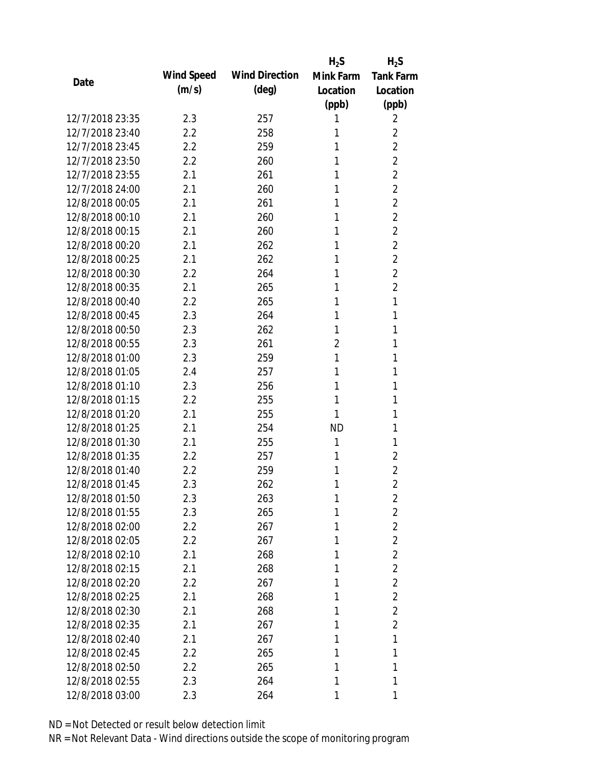|                 |            |                       | $H_2S$         | $H_2S$           |
|-----------------|------------|-----------------------|----------------|------------------|
|                 | Wind Speed | <b>Wind Direction</b> | Mink Farm      | <b>Tank Farm</b> |
| Date            | (m/s)      | $(\text{deg})$        | Location       | Location         |
|                 |            |                       | (ppb)          | (ppb)            |
| 12/7/2018 23:35 | 2.3        | 257                   | 1              | 2                |
| 12/7/2018 23:40 | 2.2        | 258                   | 1              | 2                |
| 12/7/2018 23:45 | 2.2        | 259                   | 1              | $\overline{2}$   |
| 12/7/2018 23:50 | 2.2        | 260                   | 1              | $\overline{2}$   |
| 12/7/2018 23:55 | 2.1        | 261                   | 1              | $\overline{2}$   |
| 12/7/2018 24:00 | 2.1        | 260                   | 1              | $\overline{2}$   |
| 12/8/2018 00:05 | 2.1        | 261                   | 1              | $\overline{2}$   |
| 12/8/2018 00:10 | 2.1        | 260                   | 1              | $\overline{2}$   |
| 12/8/2018 00:15 | 2.1        | 260                   | 1              | $\overline{2}$   |
| 12/8/2018 00:20 | 2.1        | 262                   | 1              | $\overline{2}$   |
| 12/8/2018 00:25 | 2.1        | 262                   | 1              | $\overline{2}$   |
| 12/8/2018 00:30 | 2.2        | 264                   | 1              | $\overline{2}$   |
| 12/8/2018 00:35 | 2.1        | 265                   | 1              | $\overline{2}$   |
| 12/8/2018 00:40 | 2.2        | 265                   | 1              | 1                |
| 12/8/2018 00:45 | 2.3        | 264                   | 1              | 1                |
| 12/8/2018 00:50 | 2.3        | 262                   | 1              | 1                |
| 12/8/2018 00:55 | 2.3        | 261                   | $\overline{2}$ | 1                |
| 12/8/2018 01:00 | 2.3        | 259                   | 1              | 1                |
| 12/8/2018 01:05 | 2.4        | 257                   | 1              | 1                |
| 12/8/2018 01:10 | 2.3        | 256                   | 1              | 1                |
| 12/8/2018 01:15 | 2.2        | 255                   | 1              | 1                |
| 12/8/2018 01:20 | 2.1        | 255                   | 1              | 1                |
| 12/8/2018 01:25 | 2.1        | 254                   | <b>ND</b>      | 1                |
| 12/8/2018 01:30 | 2.1        | 255                   | 1              | 1                |
| 12/8/2018 01:35 | 2.2        | 257                   | 1              | 2                |
| 12/8/2018 01:40 | 2.2        | 259                   | 1              | $\overline{2}$   |
| 12/8/2018 01:45 | 2.3        | 262                   | 1              | $\overline{2}$   |
| 12/8/2018 01:50 | 2.3        | 263                   | 1              | $\overline{2}$   |
| 12/8/2018 01:55 | 2.3        | 265                   | 1              | $\overline{2}$   |
| 12/8/2018 02:00 | 2.2        | 267                   | 1              | $\overline{2}$   |
| 12/8/2018 02:05 | $2.2\,$    | 267                   | 1              | $\overline{2}$   |
| 12/8/2018 02:10 | 2.1        | 268                   | 1              | $\overline{2}$   |
| 12/8/2018 02:15 | 2.1        | 268                   | 1              | $\overline{2}$   |
| 12/8/2018 02:20 | 2.2        | 267                   | 1              | $\overline{2}$   |
| 12/8/2018 02:25 | 2.1        | 268                   | 1              | $\overline{2}$   |
| 12/8/2018 02:30 | 2.1        | 268                   | 1              | $\overline{2}$   |
| 12/8/2018 02:35 | 2.1        | 267                   | 1              | $\overline{2}$   |
| 12/8/2018 02:40 | 2.1        | 267                   | 1              | 1                |
| 12/8/2018 02:45 | 2.2        | 265                   | 1              | 1                |
| 12/8/2018 02:50 | 2.2        | 265                   | 1              | 1                |
| 12/8/2018 02:55 | 2.3        | 264                   | 1              | 1                |
| 12/8/2018 03:00 | 2.3        | 264                   | 1              | 1                |
|                 |            |                       |                |                  |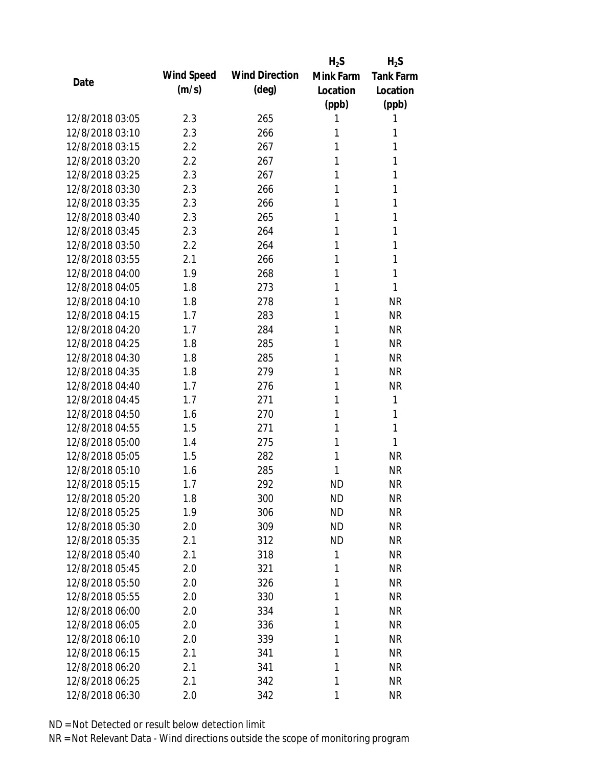|                 |            |                       | $H_2S$    | $H_2S$           |
|-----------------|------------|-----------------------|-----------|------------------|
| Date            | Wind Speed | <b>Wind Direction</b> | Mink Farm | <b>Tank Farm</b> |
|                 | (m/s)      | $(\text{deg})$        | Location  | Location         |
|                 |            |                       | (ppb)     | (ppb)            |
| 12/8/2018 03:05 | 2.3        | 265                   | 1         | 1                |
| 12/8/2018 03:10 | 2.3        | 266                   | 1         | 1                |
| 12/8/2018 03:15 | 2.2        | 267                   | 1         | 1                |
| 12/8/2018 03:20 | 2.2        | 267                   | 1         | 1                |
| 12/8/2018 03:25 | 2.3        | 267                   | 1         | 1                |
| 12/8/2018 03:30 | 2.3        | 266                   | 1         | 1                |
| 12/8/2018 03:35 | 2.3        | 266                   | 1         | 1                |
| 12/8/2018 03:40 | 2.3        | 265                   | 1         | 1                |
| 12/8/2018 03:45 | 2.3        | 264                   | 1         | 1                |
| 12/8/2018 03:50 | 2.2        | 264                   | 1         | 1                |
| 12/8/2018 03:55 | 2.1        | 266                   | 1         | 1                |
| 12/8/2018 04:00 | 1.9        | 268                   | 1         | 1                |
| 12/8/2018 04:05 | 1.8        | 273                   | 1         | 1                |
| 12/8/2018 04:10 | 1.8        | 278                   | 1         | <b>NR</b>        |
| 12/8/2018 04:15 | 1.7        | 283                   | 1         | <b>NR</b>        |
| 12/8/2018 04:20 | 1.7        | 284                   | 1         | <b>NR</b>        |
| 12/8/2018 04:25 | 1.8        | 285                   | 1         | <b>NR</b>        |
| 12/8/2018 04:30 | 1.8        | 285                   | 1         | <b>NR</b>        |
| 12/8/2018 04:35 | 1.8        | 279                   | 1         | <b>NR</b>        |
| 12/8/2018 04:40 | 1.7        | 276                   | 1         | <b>NR</b>        |
| 12/8/2018 04:45 | 1.7        | 271                   | 1         | 1                |
| 12/8/2018 04:50 | 1.6        | 270                   | 1         | 1                |
| 12/8/2018 04:55 | 1.5        | 271                   | 1         | 1                |
| 12/8/2018 05:00 | 1.4        | 275                   | 1         | 1                |
| 12/8/2018 05:05 | 1.5        | 282                   | 1         | <b>NR</b>        |
| 12/8/2018 05:10 | 1.6        | 285                   | 1         | <b>NR</b>        |
| 12/8/2018 05:15 | 1.7        | 292                   | <b>ND</b> | <b>NR</b>        |
| 12/8/2018 05:20 | 1.8        | 300                   | <b>ND</b> | <b>NR</b>        |
| 12/8/2018 05:25 | 1.9        | 306                   | <b>ND</b> | <b>NR</b>        |
| 12/8/2018 05:30 | 2.0        | 309                   | ND        | <b>NR</b>        |
| 12/8/2018 05:35 | 2.1        | 312                   | <b>ND</b> | <b>NR</b>        |
| 12/8/2018 05:40 | 2.1        | 318                   | 1         | <b>NR</b>        |
| 12/8/2018 05:45 | 2.0        | 321                   | 1         | <b>NR</b>        |
| 12/8/2018 05:50 | 2.0        | 326                   | 1         | <b>NR</b>        |
| 12/8/2018 05:55 | 2.0        | 330                   | 1         | <b>NR</b>        |
| 12/8/2018 06:00 | 2.0        | 334                   | 1         | <b>NR</b>        |
| 12/8/2018 06:05 | 2.0        | 336                   | 1         | <b>NR</b>        |
| 12/8/2018 06:10 | 2.0        | 339                   | 1         | <b>NR</b>        |
| 12/8/2018 06:15 | 2.1        | 341                   | 1         | <b>NR</b>        |
| 12/8/2018 06:20 | 2.1        | 341                   | 1         | <b>NR</b>        |
| 12/8/2018 06:25 | 2.1        | 342                   | 1         | <b>NR</b>        |
| 12/8/2018 06:30 | 2.0        | 342                   | 1         | <b>NR</b>        |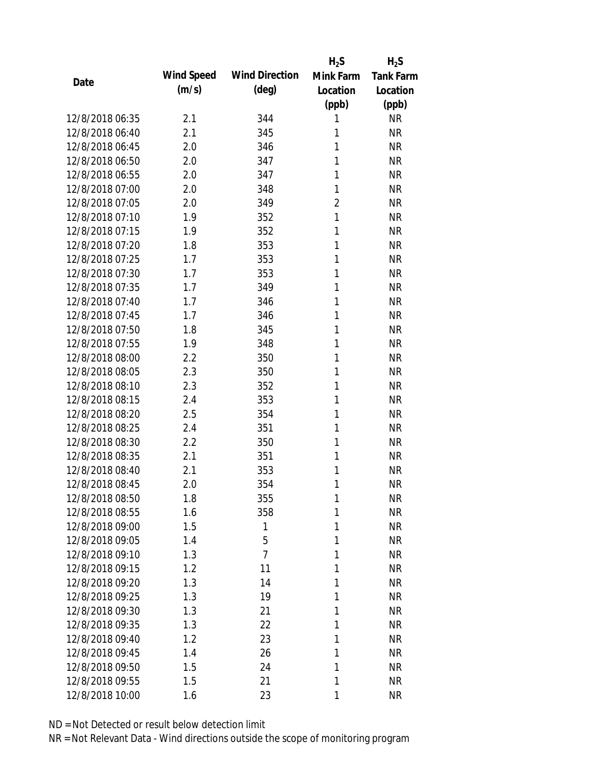|                 |            |                       | $H_2S$         | $H_2S$           |
|-----------------|------------|-----------------------|----------------|------------------|
| Date            | Wind Speed | <b>Wind Direction</b> | Mink Farm      | <b>Tank Farm</b> |
|                 | (m/s)      | $(\text{deg})$        | Location       | Location         |
|                 |            |                       | (ppb)          | (ppb)            |
| 12/8/2018 06:35 | 2.1        | 344                   | 1              | <b>NR</b>        |
| 12/8/2018 06:40 | 2.1        | 345                   | 1              | <b>NR</b>        |
| 12/8/2018 06:45 | 2.0        | 346                   | 1              | <b>NR</b>        |
| 12/8/2018 06:50 | 2.0        | 347                   | 1              | <b>NR</b>        |
| 12/8/2018 06:55 | 2.0        | 347                   | 1              | <b>NR</b>        |
| 12/8/2018 07:00 | 2.0        | 348                   | 1              | <b>NR</b>        |
| 12/8/2018 07:05 | 2.0        | 349                   | $\overline{2}$ | <b>NR</b>        |
| 12/8/2018 07:10 | 1.9        | 352                   | 1              | <b>NR</b>        |
| 12/8/2018 07:15 | 1.9        | 352                   | 1              | <b>NR</b>        |
| 12/8/2018 07:20 | 1.8        | 353                   | 1              | <b>NR</b>        |
| 12/8/2018 07:25 | 1.7        | 353                   | 1              | <b>NR</b>        |
| 12/8/2018 07:30 | 1.7        | 353                   | 1              | <b>NR</b>        |
| 12/8/2018 07:35 | 1.7        | 349                   | 1              | <b>NR</b>        |
| 12/8/2018 07:40 | 1.7        | 346                   | 1              | <b>NR</b>        |
| 12/8/2018 07:45 | 1.7        | 346                   | 1              | <b>NR</b>        |
| 12/8/2018 07:50 | 1.8        | 345                   | 1              | <b>NR</b>        |
| 12/8/2018 07:55 | 1.9        | 348                   | 1              | <b>NR</b>        |
| 12/8/2018 08:00 | 2.2        | 350                   | 1              | <b>NR</b>        |
| 12/8/2018 08:05 | 2.3        | 350                   | 1              | <b>NR</b>        |
| 12/8/2018 08:10 | 2.3        | 352                   | 1              | <b>NR</b>        |
| 12/8/2018 08:15 | 2.4        | 353                   | 1              | <b>NR</b>        |
| 12/8/2018 08:20 | 2.5        | 354                   | 1              | <b>NR</b>        |
| 12/8/2018 08:25 | 2.4        | 351                   | 1              | <b>NR</b>        |
| 12/8/2018 08:30 | 2.2        | 350                   | 1              | <b>NR</b>        |
| 12/8/2018 08:35 | 2.1        | 351                   | 1              | <b>NR</b>        |
| 12/8/2018 08:40 | 2.1        | 353                   | 1              | <b>NR</b>        |
| 12/8/2018 08:45 | 2.0        | 354                   | 1              | <b>NR</b>        |
| 12/8/2018 08:50 | 1.8        | 355                   | $\mathbf{1}$   | <b>NR</b>        |
| 12/8/2018 08:55 | 1.6        | 358                   | 1              | <b>NR</b>        |
| 12/8/2018 09:00 | 1.5        | 1                     | 1              | <b>NR</b>        |
| 12/8/2018 09:05 | 1.4        | 5                     | 1              | <b>NR</b>        |
| 12/8/2018 09:10 | 1.3        | $\overline{7}$        | 1              | <b>NR</b>        |
| 12/8/2018 09:15 | 1.2        | 11                    | 1              | <b>NR</b>        |
| 12/8/2018 09:20 | 1.3        | 14                    | 1              | <b>NR</b>        |
| 12/8/2018 09:25 | 1.3        | 19                    | 1              | <b>NR</b>        |
| 12/8/2018 09:30 | 1.3        | 21                    | 1              | <b>NR</b>        |
| 12/8/2018 09:35 | 1.3        | 22                    | 1              | <b>NR</b>        |
| 12/8/2018 09:40 | 1.2        | 23                    | 1              | <b>NR</b>        |
| 12/8/2018 09:45 | 1.4        | 26                    | 1              | <b>NR</b>        |
| 12/8/2018 09:50 | 1.5        | 24                    | 1              | <b>NR</b>        |
| 12/8/2018 09:55 | 1.5        | 21                    | 1              | <b>NR</b>        |
| 12/8/2018 10:00 | 1.6        | 23                    | 1              | <b>NR</b>        |
|                 |            |                       |                |                  |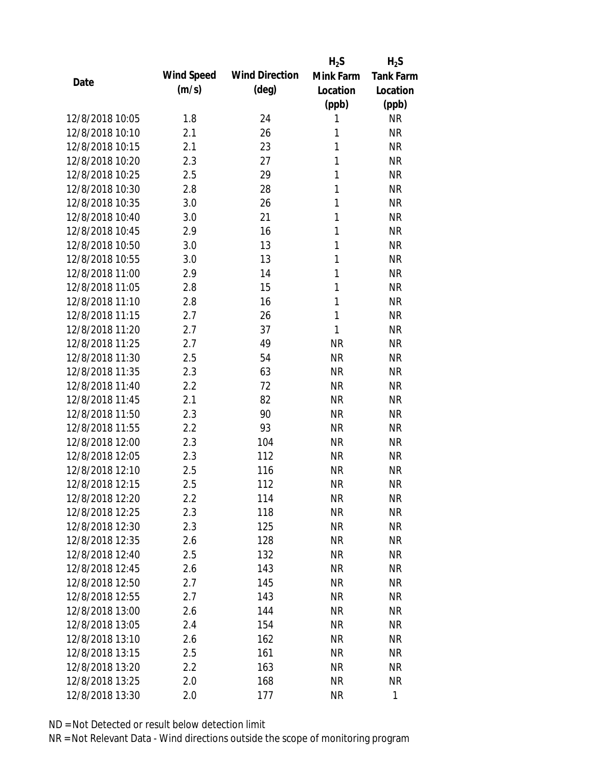|                 |            |                       | $H_2S$    | $H_2S$           |
|-----------------|------------|-----------------------|-----------|------------------|
| Date            | Wind Speed | <b>Wind Direction</b> | Mink Farm | <b>Tank Farm</b> |
|                 | (m/s)      | $(\text{deg})$        | Location  | Location         |
|                 |            |                       | (ppb)     | (ppb)            |
| 12/8/2018 10:05 | 1.8        | 24                    | 1         | <b>NR</b>        |
| 12/8/2018 10:10 | 2.1        | 26                    | 1         | <b>NR</b>        |
| 12/8/2018 10:15 | 2.1        | 23                    | 1         | <b>NR</b>        |
| 12/8/2018 10:20 | 2.3        | 27                    | 1         | <b>NR</b>        |
| 12/8/2018 10:25 | 2.5        | 29                    | 1         | <b>NR</b>        |
| 12/8/2018 10:30 | 2.8        | 28                    | 1         | <b>NR</b>        |
| 12/8/2018 10:35 | 3.0        | 26                    | 1         | <b>NR</b>        |
| 12/8/2018 10:40 | 3.0        | 21                    | 1         | <b>NR</b>        |
| 12/8/2018 10:45 | 2.9        | 16                    | 1         | <b>NR</b>        |
| 12/8/2018 10:50 | 3.0        | 13                    | 1         | <b>NR</b>        |
| 12/8/2018 10:55 | 3.0        | 13                    | 1         | <b>NR</b>        |
| 12/8/2018 11:00 | 2.9        | 14                    | 1         | <b>NR</b>        |
| 12/8/2018 11:05 | 2.8        | 15                    | 1         | <b>NR</b>        |
| 12/8/2018 11:10 | 2.8        | 16                    | 1         | <b>NR</b>        |
| 12/8/2018 11:15 | 2.7        | 26                    | 1         | <b>NR</b>        |
| 12/8/2018 11:20 | 2.7        | 37                    | 1         | <b>NR</b>        |
| 12/8/2018 11:25 | 2.7        | 49                    | <b>NR</b> | <b>NR</b>        |
| 12/8/2018 11:30 | 2.5        | 54                    | <b>NR</b> | <b>NR</b>        |
| 12/8/2018 11:35 | 2.3        | 63                    | <b>NR</b> | <b>NR</b>        |
| 12/8/2018 11:40 | 2.2        | 72                    | <b>NR</b> | <b>NR</b>        |
| 12/8/2018 11:45 | 2.1        | 82                    | <b>NR</b> | <b>NR</b>        |
| 12/8/2018 11:50 | 2.3        | 90                    | <b>NR</b> | <b>NR</b>        |
| 12/8/2018 11:55 | 2.2        | 93                    | <b>NR</b> | <b>NR</b>        |
| 12/8/2018 12:00 | 2.3        | 104                   | <b>NR</b> | <b>NR</b>        |
| 12/8/2018 12:05 | 2.3        | 112                   | <b>NR</b> | <b>NR</b>        |
| 12/8/2018 12:10 | 2.5        | 116                   | <b>NR</b> | <b>NR</b>        |
| 12/8/2018 12:15 | 2.5        | 112                   | <b>NR</b> | <b>NR</b>        |
| 12/8/2018 12:20 | $2.2\,$    | 114                   | <b>NR</b> | <b>NR</b>        |
| 12/8/2018 12:25 | 2.3        | 118                   | <b>NR</b> | <b>NR</b>        |
| 12/8/2018 12:30 | 2.3        | 125                   | <b>NR</b> | NR               |
| 12/8/2018 12:35 | 2.6        | 128                   | <b>NR</b> | <b>NR</b>        |
| 12/8/2018 12:40 | 2.5        | 132                   | <b>NR</b> | NR               |
| 12/8/2018 12:45 | 2.6        | 143                   | <b>NR</b> | <b>NR</b>        |
| 12/8/2018 12:50 | 2.7        | 145                   | <b>NR</b> | NR               |
| 12/8/2018 12:55 | 2.7        | 143                   | <b>NR</b> | NR               |
| 12/8/2018 13:00 | 2.6        | 144                   | <b>NR</b> | <b>NR</b>        |
| 12/8/2018 13:05 |            |                       |           |                  |
| 12/8/2018 13:10 | 2.4        | 154                   | <b>NR</b> | NR               |
|                 | 2.6        | 162                   | NR        | NR               |
| 12/8/2018 13:15 | 2.5        | 161                   | <b>NR</b> | NR               |
| 12/8/2018 13:20 | 2.2        | 163                   | <b>NR</b> | NR               |
| 12/8/2018 13:25 | 2.0        | 168                   | <b>NR</b> | <b>NR</b>        |
| 12/8/2018 13:30 | 2.0        | 177                   | <b>NR</b> | $\mathbf{1}$     |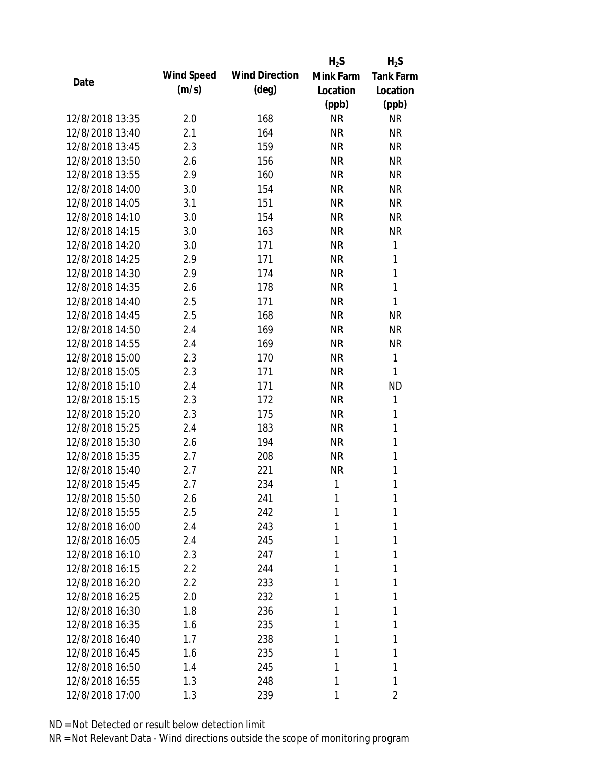|                 |            |                       | $H_2S$    | $H_2S$           |
|-----------------|------------|-----------------------|-----------|------------------|
| Date            | Wind Speed | <b>Wind Direction</b> | Mink Farm | <b>Tank Farm</b> |
|                 | (m/s)      | $(\text{deg})$        | Location  | Location         |
|                 |            |                       | (ppb)     | (ppb)            |
| 12/8/2018 13:35 | 2.0        | 168                   | <b>NR</b> | <b>NR</b>        |
| 12/8/2018 13:40 | 2.1        | 164                   | <b>NR</b> | <b>NR</b>        |
| 12/8/2018 13:45 | 2.3        | 159                   | <b>NR</b> | <b>NR</b>        |
| 12/8/2018 13:50 | 2.6        | 156                   | <b>NR</b> | <b>NR</b>        |
| 12/8/2018 13:55 | 2.9        | 160                   | <b>NR</b> | <b>NR</b>        |
| 12/8/2018 14:00 | 3.0        | 154                   | <b>NR</b> | <b>NR</b>        |
| 12/8/2018 14:05 | 3.1        | 151                   | <b>NR</b> | <b>NR</b>        |
| 12/8/2018 14:10 | 3.0        | 154                   | <b>NR</b> | <b>NR</b>        |
| 12/8/2018 14:15 | 3.0        | 163                   | <b>NR</b> | <b>NR</b>        |
| 12/8/2018 14:20 | 3.0        | 171                   | <b>NR</b> | 1                |
| 12/8/2018 14:25 | 2.9        | 171                   | <b>NR</b> | 1                |
| 12/8/2018 14:30 | 2.9        | 174                   | <b>NR</b> | $\mathbf{1}$     |
| 12/8/2018 14:35 | 2.6        | 178                   | <b>NR</b> | 1                |
| 12/8/2018 14:40 | 2.5        | 171                   | <b>NR</b> | 1                |
| 12/8/2018 14:45 | 2.5        | 168                   | <b>NR</b> | <b>NR</b>        |
| 12/8/2018 14:50 | 2.4        | 169                   | <b>NR</b> | <b>NR</b>        |
| 12/8/2018 14:55 | 2.4        | 169                   | <b>NR</b> | <b>NR</b>        |
| 12/8/2018 15:00 | 2.3        | 170                   | <b>NR</b> | 1                |
| 12/8/2018 15:05 | 2.3        | 171                   | <b>NR</b> | 1                |
| 12/8/2018 15:10 | 2.4        | 171                   | <b>NR</b> | <b>ND</b>        |
| 12/8/2018 15:15 | 2.3        | 172                   | <b>NR</b> | 1                |
| 12/8/2018 15:20 | 2.3        | 175                   | <b>NR</b> | 1                |
| 12/8/2018 15:25 | 2.4        | 183                   | <b>NR</b> | 1                |
| 12/8/2018 15:30 | 2.6        | 194                   | <b>NR</b> | $\mathbf{1}$     |
| 12/8/2018 15:35 | 2.7        | 208                   | <b>NR</b> | 1                |
| 12/8/2018 15:40 | 2.7        | 221                   | <b>NR</b> | 1                |
| 12/8/2018 15:45 | 2.7        | 234                   | 1         | 1                |
| 12/8/2018 15:50 | 2.6        | 241                   | 1         | 1                |
| 12/8/2018 15:55 | 2.5        | 242                   | 1         | 1                |
| 12/8/2018 16:00 | 2.4        | 243                   | 1         | 1                |
| 12/8/2018 16:05 | 2.4        | 245                   | 1         | 1                |
| 12/8/2018 16:10 | 2.3        | 247                   | 1         | 1                |
| 12/8/2018 16:15 | 2.2        | 244                   | 1         | 1                |
| 12/8/2018 16:20 | 2.2        | 233                   | 1         | 1                |
| 12/8/2018 16:25 | 2.0        | 232                   | 1         | 1                |
| 12/8/2018 16:30 | 1.8        | 236                   | 1         | 1                |
| 12/8/2018 16:35 | 1.6        | 235                   | 1         | 1                |
| 12/8/2018 16:40 | 1.7        | 238                   | 1         | 1                |
| 12/8/2018 16:45 | 1.6        | 235                   | 1         | 1                |
| 12/8/2018 16:50 | 1.4        | 245                   | 1         | 1                |
| 12/8/2018 16:55 |            |                       | 1         | 1                |
|                 | 1.3        | 248                   |           |                  |
| 12/8/2018 17:00 | 1.3        | 239                   | 1         | 2                |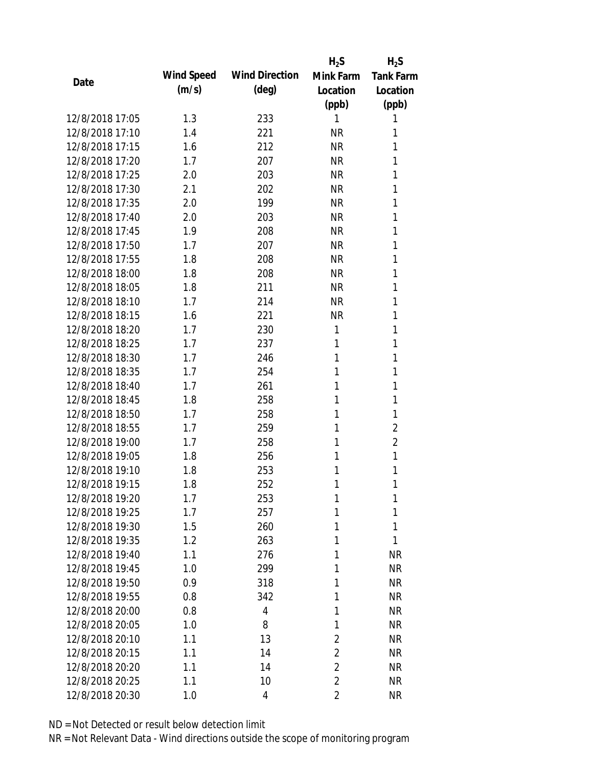|                 |            |                       | $H_2S$         | $H_2S$           |
|-----------------|------------|-----------------------|----------------|------------------|
| Date            | Wind Speed | <b>Wind Direction</b> | Mink Farm      | <b>Tank Farm</b> |
|                 | (m/s)      | $(\text{deg})$        | Location       | Location         |
|                 |            |                       | (ppb)          | (ppb)            |
| 12/8/2018 17:05 | 1.3        | 233                   | 1              | 1                |
| 12/8/2018 17:10 | 1.4        | 221                   | <b>NR</b>      | 1                |
| 12/8/2018 17:15 | 1.6        | 212                   | <b>NR</b>      | 1                |
| 12/8/2018 17:20 | 1.7        | 207                   | <b>NR</b>      | 1                |
| 12/8/2018 17:25 | 2.0        | 203                   | <b>NR</b>      | 1                |
| 12/8/2018 17:30 | 2.1        | 202                   | <b>NR</b>      | 1                |
| 12/8/2018 17:35 | 2.0        | 199                   | <b>NR</b>      | 1                |
| 12/8/2018 17:40 | 2.0        | 203                   | <b>NR</b>      | 1                |
| 12/8/2018 17:45 | 1.9        | 208                   | <b>NR</b>      | 1                |
| 12/8/2018 17:50 | 1.7        | 207                   | <b>NR</b>      | 1                |
| 12/8/2018 17:55 | 1.8        | 208                   | <b>NR</b>      | 1                |
| 12/8/2018 18:00 | 1.8        | 208                   | <b>NR</b>      | 1                |
| 12/8/2018 18:05 | 1.8        | 211                   | <b>NR</b>      | 1                |
| 12/8/2018 18:10 | 1.7        | 214                   | <b>NR</b>      | 1                |
| 12/8/2018 18:15 | 1.6        | 221                   | <b>NR</b>      | 1                |
| 12/8/2018 18:20 | 1.7        | 230                   | 1              | 1                |
| 12/8/2018 18:25 | 1.7        | 237                   | 1              | 1                |
| 12/8/2018 18:30 | 1.7        | 246                   | 1              | 1                |
| 12/8/2018 18:35 | 1.7        | 254                   | 1              | 1                |
| 12/8/2018 18:40 | 1.7        | 261                   | 1              | 1                |
| 12/8/2018 18:45 | 1.8        | 258                   | 1              | 1                |
| 12/8/2018 18:50 | 1.7        | 258                   | 1              | 1                |
| 12/8/2018 18:55 | 1.7        | 259                   | 1              | $\overline{2}$   |
| 12/8/2018 19:00 | 1.7        | 258                   | 1              | $\overline{2}$   |
| 12/8/2018 19:05 | 1.8        | 256                   | 1              | 1                |
| 12/8/2018 19:10 | 1.8        | 253                   | 1              | 1                |
| 12/8/2018 19:15 | 1.8        | 252                   | 1              | 1                |
| 12/8/2018 19:20 | 1.7        | 253                   | 1              | 1                |
| 12/8/2018 19:25 | 1.7        | 257                   | 1              | 1                |
| 12/8/2018 19:30 | 1.5        | 260                   | 1              | 1                |
| 12/8/2018 19:35 | 1.2        | 263                   | 1              | 1                |
| 12/8/2018 19:40 | 1.1        | 276                   | 1              | <b>NR</b>        |
| 12/8/2018 19:45 | 1.0        | 299                   | 1              | <b>NR</b>        |
| 12/8/2018 19:50 | 0.9        | 318                   | 1              | <b>NR</b>        |
| 12/8/2018 19:55 | 0.8        | 342                   | 1              | <b>NR</b>        |
| 12/8/2018 20:00 | 0.8        | 4                     | 1              | <b>NR</b>        |
| 12/8/2018 20:05 | 1.0        | 8                     | 1              | <b>NR</b>        |
| 12/8/2018 20:10 | 1.1        | 13                    | 2              | <b>NR</b>        |
| 12/8/2018 20:15 | 1.1        | 14                    | $\overline{2}$ | <b>NR</b>        |
| 12/8/2018 20:20 | 1.1        | 14                    | $\overline{2}$ | <b>NR</b>        |
| 12/8/2018 20:25 | 1.1        | 10                    | $\overline{2}$ | <b>NR</b>        |
| 12/8/2018 20:30 | 1.0        | 4                     | $\overline{2}$ | <b>NR</b>        |